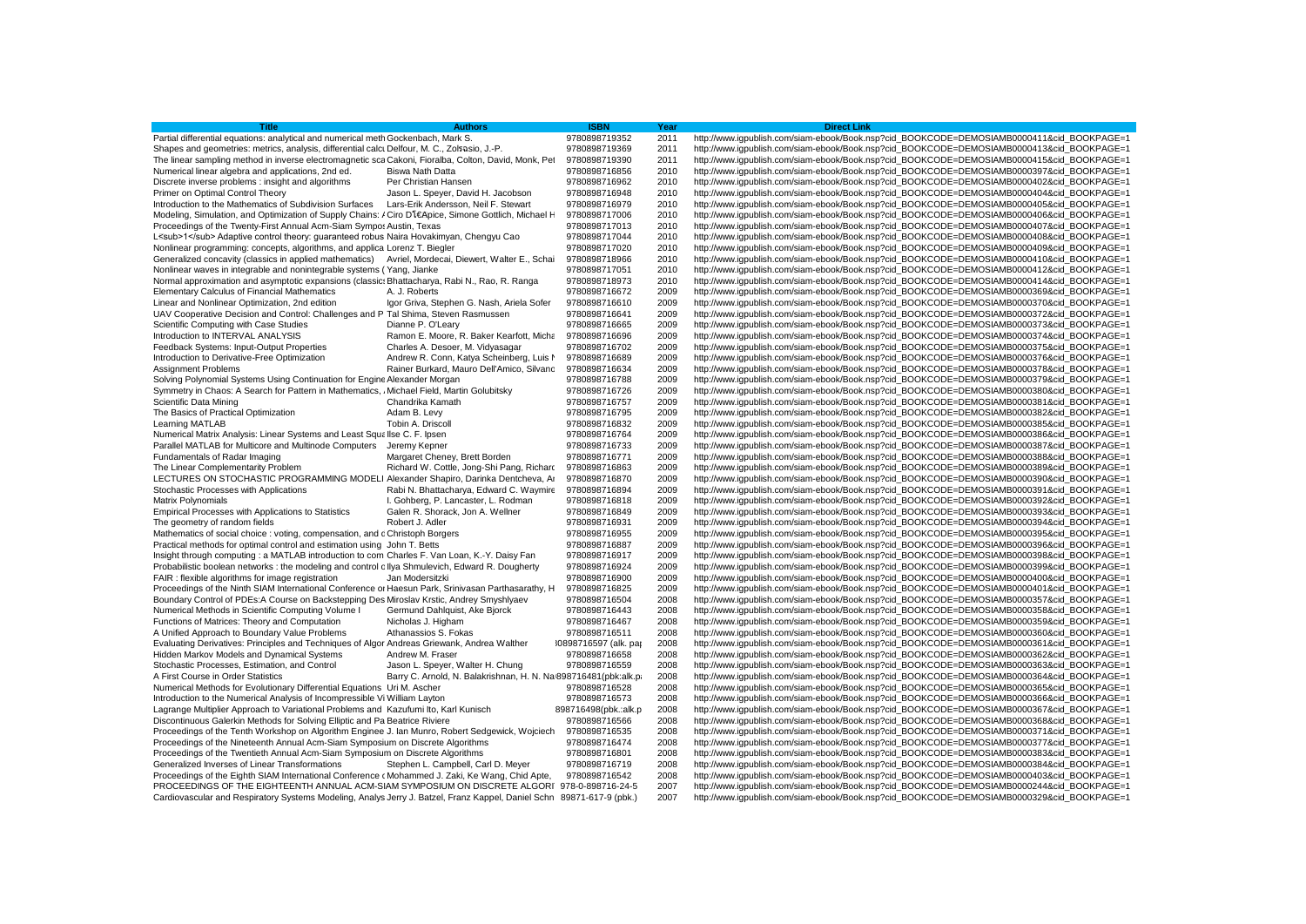| <b>Title</b>                                                                                                          | <b>Authors</b>                                                   | <b>ISBN</b>           | Year | <b>Direct Link</b>                                                                        |
|-----------------------------------------------------------------------------------------------------------------------|------------------------------------------------------------------|-----------------------|------|-------------------------------------------------------------------------------------------|
| Partial differential equations: analytical and numerical meth Gockenbach, Mark S.                                     |                                                                  | 9780898719352         | 2011 | http://www.iqpublish.com/siam-ebook/Book.nsp?cid_BOOKCODE=DEMOSIAMB0000411&cid_BOOKPAGE=1 |
| Shapes and geometries: metrics, analysis, differential calci Delfour, M. C., Zolsasio, J.-P.                          |                                                                  | 9780898719369         | 2011 | http://www.iqpublish.com/siam-ebook/Book.nsp?cid_BOOKCODE=DEMOSIAMB0000413&cid_BOOKPAGE=1 |
| The linear sampling method in inverse electromagnetic sca Cakoni, Fioralba, Colton, David, Monk, Pet                  |                                                                  | 9780898719390         | 2011 | http://www.iqpublish.com/siam-ebook/Book.nsp?cid_BOOKCODE=DEMOSIAMB0000415&cid_BOOKPAGE=1 |
| Numerical linear algebra and applications, 2nd ed.                                                                    | <b>Biswa Nath Datta</b>                                          | 9780898716856         | 2010 | http://www.iqpublish.com/siam-ebook/Book.nsp?cid_BOOKCODE=DEMOSIAMB0000397&cid_BOOKPAGE=1 |
| Discrete inverse problems : insight and algorithms                                                                    | Per Christian Hansen                                             | 9780898716962         | 2010 | http://www.igpublish.com/siam-ebook/Book.nsp?cid_BOOKCODE=DEMOSIAMB0000402&cid_BOOKPAGE=1 |
| Primer on Optimal Control Theory                                                                                      | Jason L. Speyer, David H. Jacobson                               | 9780898716948         | 2010 | http://www.iqpublish.com/siam-ebook/Book.nsp?cid_BOOKCODE=DEMOSIAMB0000404&cid_BOOKPAGE=1 |
| Introduction to the Mathematics of Subdivision Surfaces                                                               | Lars-Erik Andersson, Neil F. Stewart                             | 9780898716979         | 2010 | http://www.igpublish.com/siam-ebook/Book.nsp?cid_BOOKCODE=DEMOSIAMB0000405&cid_BOOKPAGE=1 |
| Modeling, Simulation, and Optimization of Supply Chains: / Ciro DlEApice, Simone Gottlich, Michael H                  |                                                                  | 9780898717006         | 2010 | http://www.iqpublish.com/siam-ebook/Book.nsp?cid_BOOKCODE=DEMOSIAMB0000406&cid_BOOKPAGE=1 |
| Proceedings of the Twenty-First Annual Acm-Siam Sympos Austin, Texas                                                  |                                                                  | 9780898717013         | 2010 | http://www.iqpublish.com/siam-ebook/Book.nsp?cid_BOOKCODE=DEMOSIAMB0000407&cid_BOOKPAGE=1 |
| L <sub>1</sub> Adaptive control theory: quaranteed robus Naira Hovakimyan, Chengyu Cao                                |                                                                  | 9780898717044         | 2010 | http://www.iqpublish.com/siam-ebook/Book.nsp?cid_BOOKCODE=DEMOSIAMB0000408&cid_BOOKPAGE=1 |
| Nonlinear programming: concepts, algorithms, and applica Lorenz T. Biegler                                            |                                                                  | 9780898717020         | 2010 | http://www.iqpublish.com/siam-ebook/Book.nsp?cid_BOOKCODE=DEMOSIAMB0000409&cid_BOOKPAGE=1 |
| Generalized concavity (classics in applied mathematics) Avriel, Mordecai, Diewert, Walter E., Schai                   |                                                                  | 9780898718966         | 2010 | http://www.iqpublish.com/siam-ebook/Book.nsp?cid_BOOKCODE=DEMOSIAMB0000410&cid_BOOKPAGE=1 |
| Nonlinear waves in integrable and nonintegrable systems (Yang, Jianke                                                 |                                                                  | 9780898717051         | 2010 | http://www.igpublish.com/siam-ebook/Book.nsp?cid_BOOKCODE=DEMOSIAMB0000412&cid_BOOKPAGE=1 |
| Normal approximation and asymptotic expansions (classic: Bhattacharya, Rabi N., Rao, R. Ranga                         |                                                                  | 9780898718973         | 2010 | http://www.igpublish.com/siam-ebook/Book.nsp?cid_BOOKCODE=DEMOSIAMB0000414&cid_BOOKPAGE=1 |
| <b>Elementary Calculus of Financial Mathematics</b>                                                                   | A. J. Roberts                                                    | 9780898716672         | 2009 | http://www.iqpublish.com/siam-ebook/Book.nsp?cid_BOOKCODE=DEMOSIAMB0000369&cid_BOOKPAGE=1 |
| Linear and Nonlinear Optimization, 2nd edition                                                                        | Igor Griva, Stephen G. Nash, Ariela Sofer                        | 9780898716610         | 2009 | http://www.igpublish.com/siam-ebook/Book.nsp?cid_BOOKCODE=DEMOSIAMB0000370&cid_BOOKPAGE=1 |
| UAV Cooperative Decision and Control: Challenges and P Tal Shima, Steven Rasmussen                                    |                                                                  | 9780898716641         | 2009 | http://www.iqpublish.com/siam-ebook/Book.nsp?cid_BOOKCODE=DEMOSIAMB0000372&cid_BOOKPAGE=1 |
| Scientific Computing with Case Studies                                                                                | Dianne P. O'Leary                                                | 9780898716665         | 2009 | http://www.igpublish.com/siam-ebook/Book.nsp?cid_BOOKCODE=DEMOSIAMB0000373&cid_BOOKPAGE=1 |
| Introduction to INTERVAL ANALYSIS                                                                                     | Ramon E. Moore, R. Baker Kearfott, Micha                         | 9780898716696         | 2009 | http://www.igpublish.com/siam-ebook/Book.nsp?cid_BOOKCODE=DEMOSIAMB0000374&cid_BOOKPAGE=1 |
| Feedback Systems: Input-Output Properties                                                                             | Charles A. Desoer, M. Vidyasagar                                 | 9780898716702         | 2009 | http://www.igpublish.com/siam-ebook/Book.nsp?cid_BOOKCODE=DEMOSIAMB0000375&cid_BOOKPAGE=1 |
| Introduction to Derivative-Free Optimization                                                                          | Andrew R. Conn, Katya Scheinberg, Luis N                         | 9780898716689         | 2009 | http://www.iqpublish.com/siam-ebook/Book.nsp?cid_BOOKCODE=DEMOSIAMB0000376&cid_BOOKPAGE=1 |
| <b>Assignment Problems</b>                                                                                            | Rainer Burkard, Mauro Dell'Amico, Silvanc                        | 9780898716634         | 2009 | http://www.igpublish.com/siam-ebook/Book.nsp?cid_BOOKCODE=DEMOSIAMB0000378&cid_BOOKPAGE=1 |
| Solving Polynomial Systems Using Continuation for Engine Alexander Morgan                                             |                                                                  | 9780898716788         | 2009 | http://www.iqpublish.com/siam-ebook/Book.nsp?cid_BOOKCODE=DEMOSIAMB0000379&cid_BOOKPAGE=1 |
| Symmetry in Chaos: A Search for Pattern in Mathematics, Michael Field, Martin Golubitsky                              |                                                                  | 9780898716726         | 2009 | http://www.iqpublish.com/siam-ebook/Book.nsp?cid_BOOKCODE=DEMOSIAMB0000380&cid_BOOKPAGE=1 |
| Scientific Data Mining                                                                                                | Chandrika Kamath                                                 | 9780898716757         | 2009 | http://www.iqpublish.com/siam-ebook/Book.nsp?cid_BOOKCODE=DEMOSIAMB0000381&cid_BOOKPAGE=1 |
| The Basics of Practical Optimization                                                                                  | Adam B. Levy                                                     | 9780898716795         | 2009 | http://www.iqpublish.com/siam-ebook/Book.nsp?cid_BOOKCODE=DEMOSIAMB0000382&cid_BOOKPAGE=1 |
| Learning MATLAB                                                                                                       | Tobin A. Driscoll                                                | 9780898716832         | 2009 | http://www.iqpublish.com/siam-ebook/Book.nsp?cid_BOOKCODE=DEMOSIAMB0000385&cid_BOOKPAGE=1 |
| Numerical Matrix Analysis: Linear Systems and Least Squallse C. F. Ipsen                                              |                                                                  | 9780898716764         | 2009 | http://www.igpublish.com/siam-ebook/Book.nsp?cid_BOOKCODE=DEMOSIAMB0000386&cid_BOOKPAGE=1 |
| Parallel MATLAB for Multicore and Multinode Computers Jeremy Kepner                                                   |                                                                  | 9780898716733         | 2009 | http://www.iqpublish.com/siam-ebook/Book.nsp?cid_BOOKCODE=DEMOSIAMB0000387&cid_BOOKPAGE=1 |
| Fundamentals of Radar Imaging                                                                                         | Margaret Cheney, Brett Borden                                    | 9780898716771         | 2009 | http://www.iqpublish.com/siam-ebook/Book.nsp?cid_BOOKCODE=DEMOSIAMB0000388&cid_BOOKPAGE=1 |
| The Linear Complementarity Problem                                                                                    | Richard W. Cottle, Jong-Shi Pang, Richard                        | 9780898716863         | 2009 | http://www.iqpublish.com/siam-ebook/Book.nsp?cid_BOOKCODE=DEMOSIAMB0000389&cid_BOOKPAGE=1 |
| LECTURES ON STOCHASTIC PROGRAMMING MODELI Alexander Shapiro, Darinka Dentcheva, Ar                                    |                                                                  | 9780898716870         | 2009 | http://www.iqpublish.com/siam-ebook/Book.nsp?cid_BOOKCODE=DEMOSIAMB0000390&cid_BOOKPAGE=1 |
| Stochastic Processes with Applications                                                                                | Rabi N. Bhattacharya, Edward C. Waymire                          | 9780898716894         | 2009 | http://www.igpublish.com/siam-ebook/Book.nsp?cid_BOOKCODE=DEMOSIAMB0000391&cid_BOOKPAGE=1 |
| <b>Matrix Polynomials</b>                                                                                             | I. Gohberg, P. Lancaster, L. Rodman                              | 9780898716818         | 2009 | http://www.igpublish.com/siam-ebook/Book.nsp?cid_BOOKCODE=DEMOSIAMB0000392&cid_BOOKPAGE=1 |
| <b>Empirical Processes with Applications to Statistics</b>                                                            | Galen R. Shorack, Jon A. Wellner                                 | 9780898716849         | 2009 | http://www.iqpublish.com/siam-ebook/Book.nsp?cid_BOOKCODE=DEMOSIAMB0000393&cid_BOOKPAGE=1 |
| The geometry of random fields                                                                                         | Robert J. Adler                                                  | 9780898716931         | 2009 | http://www.iqpublish.com/siam-ebook/Book.nsp?cid_BOOKCODE=DEMOSIAMB0000394&cid_BOOKPAGE=1 |
| Mathematics of social choice : voting, compensation, and c Christoph Borgers                                          |                                                                  | 9780898716955         | 2009 | http://www.igpublish.com/siam-ebook/Book.nsp?cid_BOOKCODE=DEMOSIAMB0000395&cid_BOOKPAGE=1 |
| Practical methods for optimal control and estimation using John T. Betts                                              |                                                                  | 9780898716887         | 2009 | http://www.iqpublish.com/siam-ebook/Book.nsp?cid_BOOKCODE=DEMOSIAMB0000396&cid_BOOKPAGE=1 |
| Insight through computing : a MATLAB introduction to com Charles F. Van Loan, K.-Y. Daisy Fan                         |                                                                  | 9780898716917         | 2009 | http://www.iqpublish.com/siam-ebook/Book.nsp?cid_BOOKCODE=DEMOSIAMB0000398&cid_BOOKPAGE=1 |
| Probabilistic boolean networks : the modeling and control c llya Shmulevich, Edward R. Dougherty                      |                                                                  | 9780898716924         | 2009 | http://www.igpublish.com/siam-ebook/Book.nsp?cid_BOOKCODE=DEMOSIAMB0000399&cid_BOOKPAGE=1 |
| FAIR: flexible algorithms for image registration                                                                      | Jan Modersitzki                                                  | 9780898716900         | 2009 | http://www.igpublish.com/siam-ebook/Book.nsp?cid_BOOKCODE=DEMOSIAMB0000400&cid_BOOKPAGE=1 |
| Proceedings of the Ninth SIAM International Conference or Haesun Park, Srinivasan Parthasarathy, H                    |                                                                  | 9780898716825         | 2009 | http://www.igpublish.com/siam-ebook/Book.nsp?cid_BOOKCODE=DEMOSIAMB0000401&cid_BOOKPAGE=1 |
| Boundary Control of PDEs:A Course on Backstepping Des Miroslav Krstic, Andrey Smyshlyaev                              |                                                                  | 9780898716504         | 2008 | http://www.igpublish.com/siam-ebook/Book.nsp?cid_BOOKCODE=DEMOSIAMB0000357&cid_BOOKPAGE=1 |
| Numerical Methods in Scientific Computing Volume I                                                                    | Germund Dahlquist, Ake Bjorck                                    | 9780898716443         | 2008 | http://www.iqpublish.com/siam-ebook/Book.nsp?cid_BOOKCODE=DEMOSIAMB0000358&cid_BOOKPAGE=1 |
| Functions of Matrices: Theory and Computation                                                                         | Nicholas J. Higham                                               | 9780898716467         | 2008 | http://www.iqpublish.com/siam-ebook/Book.nsp?cid_BOOKCODE=DEMOSIAMB0000359&cid_BOOKPAGE=1 |
| A Unified Approach to Boundary Value Problems                                                                         | Athanassios S. Fokas                                             | 9780898716511         | 2008 | http://www.iqpublish.com/siam-ebook/Book.nsp?cid_BOOKCODE=DEMOSIAMB0000360&cid_BOOKPAGE=1 |
| Evaluating Derivatives: Principles and Techniques of Algor Andreas Griewank, Andrea Walther                           |                                                                  | 30898716597 (alk. pa) | 2008 | http://www.iqpublish.com/siam-ebook/Book.nsp?cid_BOOKCODE=DEMOSIAMB0000361&cid_BOOKPAGE=1 |
| Hidden Markov Models and Dynamical Systems                                                                            | Andrew M. Fraser                                                 | 9780898716658         | 2008 | http://www.iqpublish.com/siam-ebook/Book.nsp?cid_BOOKCODE=DEMOSIAMB0000362&cid_BOOKPAGE=1 |
| Stochastic Processes, Estimation, and Control                                                                         | Jason L. Speyer, Walter H. Chung                                 | 9780898716559         | 2008 | http://www.igpublish.com/siam-ebook/Book.nsp?cid_BOOKCODE=DEMOSIAMB0000363&cid_BOOKPAGE=1 |
| A First Course in Order Statistics                                                                                    | Barry C. Arnold, N. Balakrishnan, H. N. Na 898716481 (pbk:alk.p. |                       | 2008 | http://www.iqpublish.com/siam-ebook/Book.nsp?cid_BOOKCODE=DEMOSIAMB0000364&cid_BOOKPAGE=1 |
| Numerical Methods for Evolutionary Differential Equations Uri M. Ascher                                               |                                                                  | 9780898716528         | 2008 | http://www.iqpublish.com/siam-ebook/Book.nsp?cid_BOOKCODE=DEMOSIAMB0000365&cid_BOOKPAGE=1 |
| Introduction to the Numerical Analysis of Incompressible Vi William Layton                                            |                                                                  | 9780898716573         | 2008 | http://www.igpublish.com/siam-ebook/Book.nsp?cid_BOOKCODE=DEMOSIAMB0000366&cid_BOOKPAGE=1 |
| Lagrange Multiplier Approach to Variational Problems and Kazufumi Ito, Karl Kunisch                                   |                                                                  | 898716498(pbk.:alk.p  | 2008 | http://www.iqpublish.com/siam-ebook/Book.nsp?cid_BOOKCODE=DEMOSIAMB0000367&cid_BOOKPAGE=1 |
| Discontinuous Galerkin Methods for Solving Elliptic and Pa Beatrice Riviere                                           |                                                                  | 9780898716566         | 2008 | http://www.igpublish.com/siam-ebook/Book.nsp?cid_BOOKCODE=DEMOSIAMB0000368&cid_BOOKPAGE=1 |
| Proceedings of the Tenth Workshop on Algorithm Enginee J. Ian Munro, Robert Sedgewick, Wojciech                       |                                                                  | 9780898716535         | 2008 | http://www.igpublish.com/siam-ebook/Book.nsp?cid_BOOKCODE=DEMOSIAMB0000371&cid_BOOKPAGE=1 |
| Proceedings of the Nineteenth Annual Acm-Siam Symposium on Discrete Algorithms                                        |                                                                  | 9780898716474         | 2008 | http://www.igpublish.com/siam-ebook/Book.nsp?cid_BOOKCODE=DEMOSIAMB0000377&cid_BOOKPAGE=1 |
| Proceedings of the Twentieth Annual Acm-Siam Symposium on Discrete Algorithms                                         |                                                                  | 9780898716801         | 2008 | http://www.iqpublish.com/siam-ebook/Book.nsp?cid_BOOKCODE=DEMOSIAMB0000383&cid_BOOKPAGE=1 |
| Generalized Inverses of Linear Transformations                                                                        | Stephen L. Campbell, Carl D. Meyer                               | 9780898716719         | 2008 | http://www.igpublish.com/siam-ebook/Book.nsp?cid_BOOKCODE=DEMOSIAMB0000384&cid_BOOKPAGE=1 |
| Proceedings of the Eighth SIAM International Conference (Mohammed J. Zaki, Ke Wang, Chid Apte,                        |                                                                  | 9780898716542         | 2008 | http://www.iqpublish.com/siam-ebook/Book.nsp?cid_BOOKCODE=DEMOSIAMB0000403&cid_BOOKPAGE=1 |
| PROCEEDINGS OF THE EIGHTEENTH ANNUAL ACM-SIAM SYMPOSIUM ON DISCRETE ALGORI 978-0-898716-24-5                          |                                                                  |                       | 2007 | http://www.igpublish.com/siam-ebook/Book.nsp?cid_BOOKCODE=DEMOSIAMB0000244&cid_BOOKPAGE=1 |
| Cardiovascular and Respiratory Systems Modeling, Analys Jerry J. Batzel, Franz Kappel, Daniel Schn 89871-617-9 (pbk.) |                                                                  |                       | 2007 | http://www.iqpublish.com/siam-ebook/Book.nsp?cid_BOOKCODE=DEMOSIAMB0000329&cid_BOOKPAGE=1 |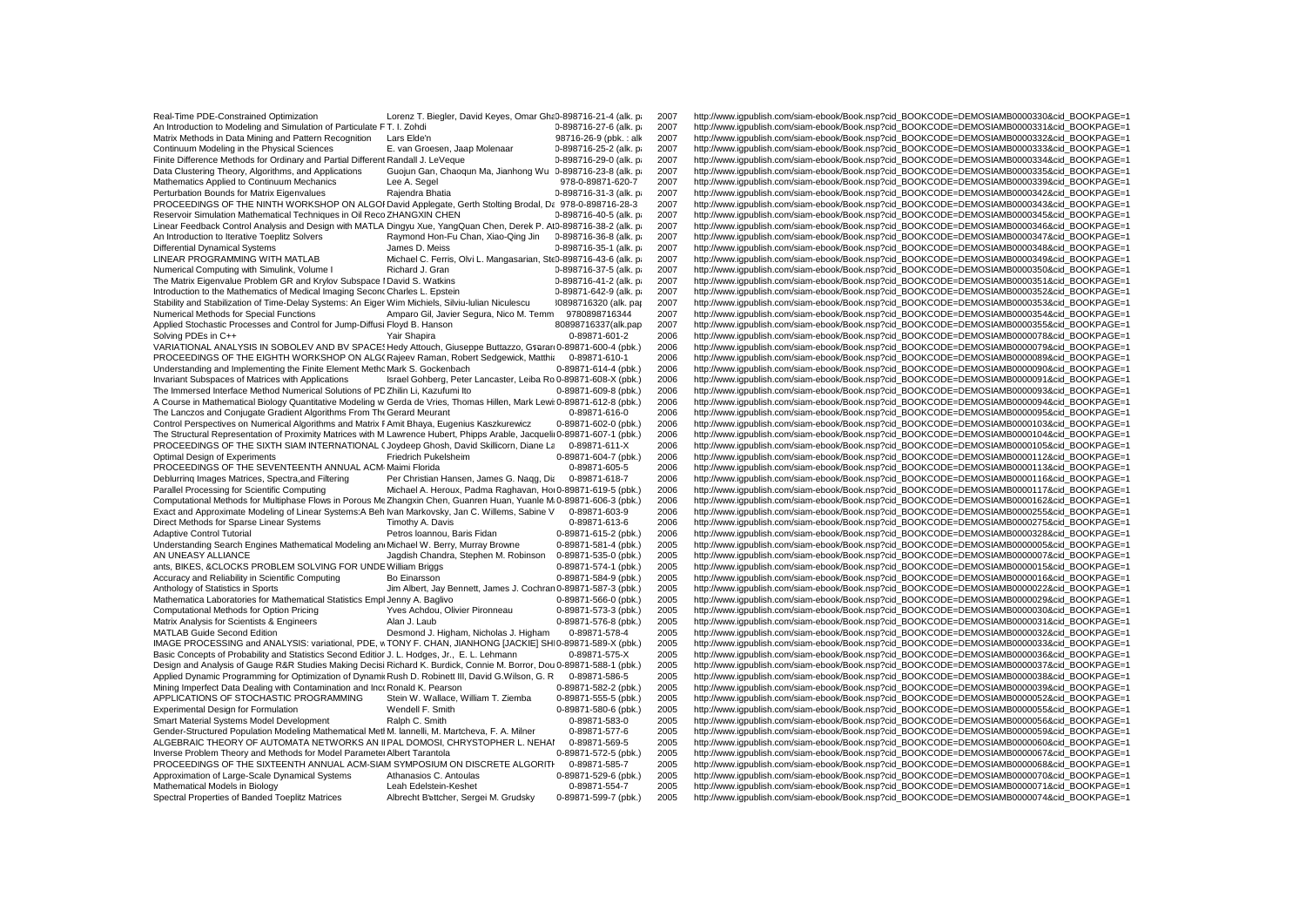Real-Time PDE-Constrained Optimization Lorenz T. Biegler, David Keyes, Omar Gha 0-898716-21-4 (alk. p 2007 http://www.igpublish.com/siam-ebook/Book.nsp?cid\_BOOKCODE=DEMOSIAMB0000330&cid\_BOOKPAGE=1<br>An Introduction to Modeli An Introduction to Modeling and Simulation of Particulate F T. I. Zohdi **2008** 2008 2008 0-898716-27-6 (alk. p. 2007 http://www.igpublish.com/siam-ebook/Book.nsp?cid\_BOOKCODE=DEMOSIAMB0000331&cid\_BOOKPAGE=1<br>Matrix Methods Matrix Methods in Data Mining and Pattern Recognition Lars Elde'n 98716-26-9 (pbk.: alk 2007 http://www.igpublish.com/siam-ebook/Book.nsp?cid\_BOOKCODE=DEMOSIAMB0000332&cid\_BOOKPAGE=1<br>Continuum Modeling in the Physical Scie Continuum Modeling in the Physical Sciences E. van Groesen, Jaap Molenaar 0-898716-25-2 (alk. p. 2007 http://www.igpublish.com/siam-ebook/Book.nsp?cid\_BOOKCODE=DEMOSIAMB0000333&cid\_BOOKPAGE=1<br>Finite Difference Methods for Finite Difference Methods for Ordinary and Partial Different Randall J. LeVeque 0-898716-29-0 (alk. p. 2007 http://www.igpublish.com/siam-ebook/Book.nsp?cid\_BOOKCODE=DEMOSIAMB0000334&cid\_BOOKPAGE=1<br>Data Clustering Theory, Data Clustering Theory, Algorithms, and Applications Guojun Gan, Chaoqun Ma, Jianhong Wu 0-898716-23-8 (alk. p<br>1978-0-89871-620-7 2007 http://www.igpublish.com/siam-ebook/Book.nsp?cid\_BOOKCODE=DEMOSIAMB0000338&cid\_BOOKPAGE Mathematics Applied to Continuum Mechanics Lee A. Segel 1978-0-89871-620-7 2007 http://www.igpublish.com/siam-ebook/Book.nsp?cid\_BOOKCODE=DEMOSIAMB0000339&cid\_BOOKPAGE=1<br>Perturbation Bounds for Matrix Eigenvalues Rajendra PROCEEDINGS OF THE NINTH WORKSHOP ON ALGOI David Applegate, Gerth Stolting Brodal, Da 978-0-898716-28-3 2007<br>Reservoir Simulation Mathematical Techniques in Oil Reco ZHANGXIN CHEN<br>0-898716-40-5 (alk. p. 2007 Linear Feedback Control Analysis and Design with MATLA Dingyu Xue, YangQuan Chen, Derek P. At0-898716-38-2 (alk. p<br>An Introduction to Iterative Toeolitz Solvers Rowmond Hon-Ru Chan. Xiao-Qing Jin 19-898716-36-8 (alk. pa 2 An Introduction to Iterative Toeplitz Solvers **Raymond Hon-Fu Chan, Xiao-Qing Jin** 0-898716-36-8 (alk. p. 2007 http://www.igpublish.com/siam-ebook/Book.nsp?cid\_BOOKCODE=DEMOSIAMB0000347&cid\_BOOKPAGE=1<br>Differential Dynamica Differential Dynamical Systems Manus Dames D. Meiss 0-898716-35-1 (alk. p. 2007 http://www.igpublish.com/siam-ebook/Book.nsp?cid\_BOOKCODE=DEMOSIAMB0000348&cid\_BOOKPAGE=1<br>CINEAR PROGRAMMING WITH MATLAB Michael C. Ferris. Ol LINEAR PROGRAMMING WITH MATLAB Michael C. Ferris, Olvi L. Mangasarian, Ste 0-898716-43-6 (alk. p. 2007 http://www.igpublish.com/siam-ebook/Book.nsp?cid\_BOOKCODE=DEMOSIAMB0000349&cid\_BOOKPAGE=1<br>Numerical Computing with Simu Numerical Computing with Simulink, Volume I Richard J. Gran 0-898716-37-5 (alk. p. 2007 http://www.igpublish.com/siam-ebook/Book.nsp?cid\_BOOKCODE=DEMOSIAMB0000350&cid\_BOOKPAGE=1<br>The Matrix Finenyalue Problem GR and Krylov The Matrix Eigenvalue Problem GR and Krylov Subspace I David S. Watkins 0-898716-41-2 (alk. p. 2007 http://www.igpublish.com/siam-ebook/Book.nsp?cid\_BOOKCODE=DEMOSIAMB0000351&cid\_BOOKPAGE=1<br>0-89871-642-9 (alk. p. 2007 http Stability and Stabilization of Time-Delay Systems: An Eiger Wim Michiels, Silviu-Iulian Niculescu 80898716320 (alk. pap 2007 http://www.igpublish.com/siam-ebook.nsp?cid=1007 http://www.igpublish.com/siam-ebook.nsp?cid=1007 Numerical Methods for Special Functions Amparo Gil, Javier Segura, Nico M. Temm 9780898716344 2007 http://www.igpublish.com/siam-ebook/Book.nsp?cid\_BOOKCODE=DEMOSIAMB0000354&cid\_BOOKPAGE=1<br>Applied Stochastic Processes and Applied Stochastic Processes and Control for Jump-Diffusi Floyd B. Hanson 80898716337(alk.pap 2007 http://www.igpublish.com/siam-ebook/Book.nsp?cid\_BOOKCODE=DEMOSIAMB0000355&cid\_BOOKPAGE=1<br>Solving PDEs in C++ Solve and Con VARIATIONAL ANALYSIS IN SOBOLEV AND BV SPACES Hedy Attouch, Giuseppe Buttazzo, Gsarar 0-89871-600-4 (pbk.) 2006 http://www.igpublish.com/siam-ebook/Book.nsp?cid\_BOOKCODE=DEMOSIAMB0000079&cid\_BOOKPAGE=1<br>PROCEFDINGS OF THE F PROCEEDINGS OF THE EIGHTH WORKSHOP ON ALG( Rajeev Raman, Robert Sedgewick, Matthi $\epsilon = 0.89871-610-1$  2006<br>
Understanding and Implementing the Finite Element Methc Mark S. Gockenbach Understanding and Implementing the Finite Element MethoMark S. Gockenbach 0-89871-614-4 (pbk.) 2006 http://www.igpublish.com/siam-ebook/Book.nsp?cid\_BOOKCODE=DEMOSIAMB0000090&cid\_BOOKPAGE=1<br>Invariant Subspaces of Matrices Invariant Subspaces of Matrices with Applications Israel Gohberg, Peter Lancaster, Leiba Ro 0-89871-608-X (pbk.) 2006 http://www.igpublish.com/siam-ebook/Book.nsp?cid\_BOOKCODE=DEMOSIAMB0000091&cid\_BOOKPAGE=1<br>The Immersed I A Course in Mathematical Biology Quantitative Modeling w Gerda de Vries, Thomas Hillen, Mark Lewi: 0-89871-612-8 (pbk.) 2006<br>The Lanczos and Coniugate Gradient Algorithms From The Gerard Meurant<br>2006 http://www.igpublish.c The Lanczos and Conjugate Gradient Algorithms From The Gerard Meurant 0-89871-616-0 2006 http://www.igpublish.com/siam-ebook/Book.nsp?cid\_BOOKCODE=DEMOSIAMB0000095&cid\_BOOKPAGE=1<br>Control Perspectives on Numerical Algorithm Control Perspectives on Numerical Algorithms and Matrix FAmit Bhaya, Eugenius Kaszkurewicz 0-89871-602-0 (pbk.) 2006 http://www.igpublish.com/siam-ebook/Book.nsp?cid\_BOOKCODE=DEMOSIAMB0000103&cid\_BOOKPAGE=1<br>The Structural PROCEEDINGS OF THE SIXTH SIAM INTERNATIONAL (Joydeep Ghosh, David Skillicorn, Diane La 0-89871-611-X 2006<br>Optimal Design of Experiments http://www.igpublish.com/siam-ebook.nsp?cid=17.com/siam-ebook.nsp?cid=17.com/sia Optimal Design of Experiments Friedrich Pukelsheim Friedrich Pukelsheim 0-89871-604-7 (pbk.) 2006 http://www.igpublish.com/siam-ebook/Book.nsp?cid\_BOOKCODE=DEMOSIAMB0000112&cid\_BOOKPAGE=1<br>PROCEEDINGS OF THE SEVENTEENTH ANN PROCEEDINGS OF THE SEVENTEENTH ANNUAL ACM- Maimi Florida 0-89871-605-5 2006 http://www.igpublish.com/siam-ebook/Book.nsp?cid\_BOOKCODE=DEMOSIAMB0000113&cid\_BOOKPAGE=1<br>Deblurring Images Matrices. Spectra.and Filtering Per Ch Deblurring Images Matrices, Spectra,and Filtering Per Christian Hansen, James G. Nagg, Dia 0-89871-618-7 2006 http://www.igpublish.com/siam-ebook/Book.nsp?cid\_BOOKCODE=DEMOSIAMB0000116&cid\_BOOKPAGE=1<br>Parallel Processing fo Computational Methods for Multiphase Flows in Porous MeZhangxin Chen, Guanren Huan, Yuanle M. 0-89871-606-3 (pbk.) 2006 http://www.igpublish.com/siam-ebook/Book.nsp?cid\_BOOKCODE=DEMOSIAMB0000162&cid\_BOOKPAGE=1<br>Exact and Ap Exact and Approximate Modeling of Linear Systems:A Beh Ivan Markovsky, Jan C. Willems, Sabine V 0-89871-603-9 2006<br>Direct Methods for Sparse Linear Systems Timothy A. Davis 0-89871-613-6 2006 Direct Methods for Sparse Linear Systems Timothy A. Davis 0-89871-613-6 2006 http://www.igpublish.com/siam-ebook/Book.nsp?cid\_BOOKCODE=DEMOSIAMB0000275&cid\_BOOKPAGE=1<br>Adaptive Control Tutorial current of Detros loannou. Ba Adaptive Control Tutorial Petros Mannou, Baris Fidan 0-89871-615-2 (pbk.) 2006 http://www.igpublish.com/siam-ebook/Book.nsp?cid\_BOOKCODE=DEMOSIAMB0000328&cid\_BOOKPAGE=1<br>1- Understanding Search Engines Mathematical Modeling Understanding Search Engines Mathematical Modeling an Michael W. Berry, Murray Browne 0-89871-581-4 (pbk.) 2005 http://www.igpublish.com/siam-ebook/Book.nsp?cid\_BOOKCODE=DEMOSIAMB0000005&cid\_BOOKPAGE=1<br>AN UNEASY ALLIANCE a AN UNEASY ALLIANCE Jagdish Chandra, Stephen M. Robinson 0-89871-535-0 (pbk.) 2005 http://www.igpublish.com/siam-ebook/Book.nsp?cid\_BOOKCODE=DEMOSIAMB0000007&cid\_BOOKPAGE=1<br>2005 http://www.igpublish.com/siam-ebook/Book.nsp? ants, BIKES, &CLOCKS PROBLEM SOLVING FOR UNDEWilliam Briggs 0-89871-574-1 (pbk.) 2005 http://www.igpublish.com/siam-ebook/Book.nsp?cid\_BOOKCODE=DEMOSIAMB0000015&cid\_BOOKPAGE=1<br>Accuracy and Reliability in Scientific Computi Accuracy and Reliability in Scientific Computing Bo Einarsson Bo Einarsson D-89871-584-9 (pbk.) 2005 http://www.igpublish.com/siam-ebook/Book.nsp?cid\_BOOKCODE=DEMOSIAMB0000016&cid\_BOOKPAGE=1<br>Anthology of Statistics in Spor Anthology of Statistics in Sports Terms and Book Jim Albert, Jay Bennett, James J. Cochran 0-89871-587-3 (pbk.) 2005 http://www.igpublish.com/siam-ebook/Book.nsp?cid\_BOOKCODE=DEMOSIAMB0000022&cid\_BOOKPAGE=1<br>Mathematica Lab Mathematica Laboratories for Mathematical Statistics Empl Jenny A. Baglivo 0-89871-566-0 (pbk.) 2005 http://www.igpublish.com/siam-ebook/Book.nsp?cid\_BOOKCODE=DEMOSIAMB0000029&cid\_BOOKPAGE=1<br>Computational Methods for Optio Computational Methods for Option Pricing Yves Achdou, Olivier Pironneau 0-89871-573-3 (pbk.) 2005 http://www.igpublish.com/siam-ebook/Book.nsp?cid\_BOOKCODE=DEMOSIAMB0000030&cid\_BOOKPAGE=1<br>Matrix Analysis for Scientists & E Matrix Analysis for Scientists & Engineers Alan J. Laub 0-89871-576-8 (pbk.) 2005 http://www.igpublish.com/siam-ebook/Book.nsp?cid\_BOOKCODE=DEMOSIAMB0000031&cid\_BOOKPAGE=1<br>MATLAB Guide Second Edition and Edition Desmond J. IMAGE PROCESSING and ANALYSIS: variational, PDE, w TONY F. CHAN, JIANHONG [JACKIE] SHI 0-89871-589-X (pbk.) 2005<br>Basic Concepts of Probability and Statistics Second Editior J. L. Hodges. Jr.. E. L. Lehmann Design and Analysis of Gauge R&R Studies Making Decisi Richard K. Burdick, Connie M. Borror, Dou 0-89871-588-1 (pbk.) 2005 http://www.igpublish.com/siam-ebook/Book.nsp?cid\_BOOKCODE=DEMOSIAMB0000037&cid\_BOOKPAGE=1<br>Applied D Applied Dynamic Programming for Optimization of Dynamii Rush D. Robinett III, David G.Wilson, G. R 0-89871-586-5<br>Mining Imperfect Data Dealing with Contamination and Incx Ronald K. Pearson 00000000000003871-582-2 (pbk.) Mining Imperfect Data Dealing with Contamination and Inco Ronald K. Pearson bearson 0-89871-582-2 (pbk.) 2005 http://www.igpublish.com/siam-ebook/Book.nsp?cid\_BOOKCODE=DEMOSIAMB0000039&cid\_BOOKPAGE=1<br>APPLICATIONS OF STOCHA APPLICATIONS OF STOCHASTIC PROGRAMMING Stein W. Wallace, William T. Ziemba 0-89871-555-5 (pbk.) 2005 http://www.igpublish.com/siam-ebook/Book.nsp?cid\_BOOKCODE=DEMOSIAMB0000052&cid\_BOOKPAGE=1<br>Experimental Design for Formula Experimental Design for Formulation Wendell F. Smith Wendell F. Smith 0-89871-580-6 (pbk.) 2005 http://www.igpublish.com/siam-ebook/Book.nsp?cid\_BOOKCODE=DEMOSIAMB0000055&cid\_BOOKPAGE=1<br>Smart Material Systems Model Develop Smart Material Systems Model Development Ralph C. Smith Ralph C. Smith 0-89871-583-0 2005 http://www.igpublish.com/siam-ebook/Book.nsp?cid\_BOOKCODE=DEMOSIAMB0000056&cid\_BOOKPAGE=1<br>Gender-Structured Population Modeling Math Gender-Structured Population Modeling Mathematical Metl M. lannelli, M. Martcheva, F. A. Milner 0-89871-577-6 2005 http://www.igpublish.com/siam-ebook/Book.nsp?cid\_BOOKCODE=DEMOSIAMB0000059&cid\_BOOKPAGE=1<br>ALGEBRAIC THEORY ALGEBRAIC THEORY OF AUTOMATA NETWORKS AN IIPAL DOMOSI, CHRYSTOPHER L. NEHAI 0-89871-569-5 2005 http://www.igpublish.com/siam-ebook/Book.nsp?cid\_BOOKCODE=DEMOSIAMB0000060&cid\_BOOKPAGE=1<br>Inverse Problem Theory and Methods fo PROCEEDINGS OF THE SIXTEENTH ANNUAL ACM-SIAM SYMPOSIUM ON DISCRETE ALGORITH 0-89871-585-7 2005<br>Approximation of Large-Scale Dynamical Systems Athanasios C. Antoulas 0-89871-529-6 (pbk.) 2005 Approximation of Large-Scale Dynamical Systems Athanasios C. Antoulas 0-89871-529-6 (pbk.) 2005 http://www.igpublish.com/siam-ebook/Book.nsp?cid\_BOOKCODE=DEMOSIAMB0000070&cid\_BOOKPAGE=1<br>Mathematical Models in Biology Acid\_ Mathematical Models in Biology Leah Edelstein-Keshet 0-89871-554-7 2005 http://www.igpublish.com/siam-ebook/Book.nsp?cid\_BOOKCODE=DEMOSIAMB0000071&cid\_BOOKPAGE=1<br>Spectral Properties of Banded Toeplitz Matrices Albrecht Bet

Perture Bounds for Matrix Eigenvalues Anatomy Books For Matrix Eigenvalues Rajendra Bhatia 2007<br>2007 http://www.igpublish.com/siam-ebook/Book.nsp?cid\_BOOKCODE=DEMOSIAMB0000343&cid\_BOOKPAGE=1 Reservoir Simulation Mathematical Techniques in Oil Book Conce Demathematical Techniques in Orleans-<br>1907 http://www.igpublish.com/siam-ebook/Book.nsp?cid\_BOOKCODE=DEMOSIAMB0000346&cid\_BOOKPAGE=1 0-89871-642-9 (alk. pa 2007 http://www.igpublish.com/siam-ebook/Book.nsp?cid\_BOOKCODE=DEMOSIAMB0000352&cid\_BOOKPAGE=1<br>10898716320 (alk. par 2007 http://www.igpublish.com/siam-ebook/Book.nsp?cid\_BOOKCODE=DEMOSIAMB0000353&ci Solthtp://www.igpublish.com/siam-ebook/Book.nsp?cid\_BOOKCODE=DEMOSIAMB0000078&cid\_BOOKPAGE=1<br>2006 http://www.igpublish.com/siam-ebook/Book.nsp?cid\_BOOKCODE=DEMOSIAMB0000079&cid\_BOOKPAGE=1 The 2006 http://www.igpublish.com/siam-ebook/Book.nsp?cid\_BOOKCODE=DEMOSIAMB0000093&cid\_BOOKPAGE=1<br>2006 http://www.igpublish.com/siam-ebook/Book.nsp?cid\_BOOKCODE=DEMOSIAMB0000094&cid\_BOOKPAGE=1 http://www.igpublish.com/siam-ebook/Book.nsp?cid\_BOOKCODE=DEMOSIAMB0000104&cid\_BOOKPAGE=1<br>http://www.igpublish.com/siam-ebook/Book.nsp?cid\_BOOKCODE=DEMOSIAMB0000105&cid\_BOOKPAGE=1 Parallel Processing Michael A. Heroux, Parallel A. Heroux, Parallel A. Heroux, Padma Raghavan, Hor 0.00117-6.<br>2006 http://www.igpublish.com/siam-ebook/Book.nsp?cid\_BOOKCODE=DEMOSIAMB0000162&cid\_BOOKPAGE=1 2005 http://www.igpublish.com/siam-ebook/Book.nsp?cid\_BOOKCODE=DEMOSIAMB0000032&cid\_BOOKPAGE=1<br>2005 http://www.igpublish.com/siam-ebook/Book.nsp?cid\_BOOKCODE=DEMOSIAMB0000033&cid\_BOOKPAGE=1 Basic Concepts of Probability and Statistics Concepts of Probability and Statistics Second D. Hodges, 2005<br>1998. http://www.igpublish.com/siam-ebook/Book.nsp?cid\_BOOKCODE=DEMOSIAMB0000037&cid\_BOOKPAGE=1 2005 http://www.igpublish.com/siam-ebook/Book.nsp?cid\_BOOKCODE=DEMOSIAMB0000067&cid\_BOOKPAGE=1<br>2005 http://www.igpublish.com/siam-ebook/Book.nsp?cid\_BOOKCODE=DEMOSIAMB0000068&cid\_BOOKPAGE=1 2005 http://www.igpublish.com/siam-ebook/Book.nsp?cid\_BOOKCODE=DEMOSIAMB0000074&cid\_BOOKPAGE=1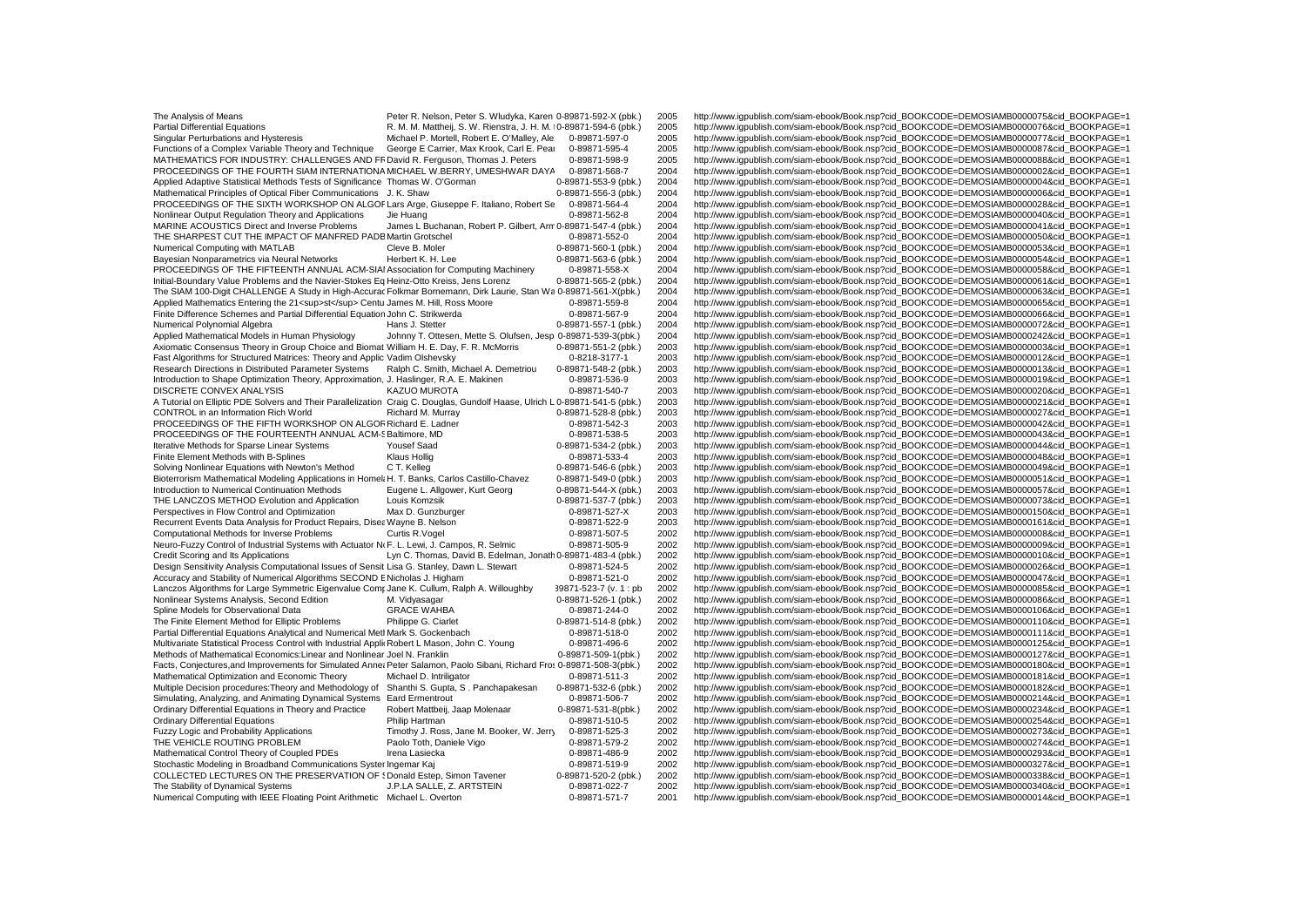The Analysis of Means **Peter R. Nelson, Peter S. Wludyka, Karen 0-89871-592-X (pbk.)** 2005 http://www.igpublish.com/siam-ebook/Book.nsp?cid\_BOOKCODE=DEMOSIAMB0000075&cid\_BOOKPAGE=1<br>Partial Differential Equations Particles Partial Differential Equations Matthes R. M. M. Mattheij, S. W. Rienstra, J. H. M. 0-89871-594-6 (pbk.) 2005 http://www.igpublish.com/siam-ebook/Book.nsp?cid\_BOOKCODE=DEMOSIAMB0000076&cid\_BOOKPAGE=1<br>Singular Perturbations Singular Perturbations and Hysteresis Michael P. Mortell, Robert E. O'Malley, Ale 0-89871-597-0 2005 http://www.igpublish.com/siam-ebook/Book.nsp?cid\_BOOKCODE=DEMOSIAMB0000077&cid\_BOOKPAGE=1<br>Functions of a Complex Variable Functions of a Complex Variable Theory and Technique George E Carrier, Max Krook, Carl E. Pear 0-89871-595-4 2005 http://www.igpublish.com/siam-ebook/Book.nsp?cid\_BOOKCODE=DEMOSIAMB0000087&cid\_BOOKPAGE=1<br>MATHEMATICS FOR IN MATHEMATICS FOR INDUSTRY: CHALLENGES AND FF David R. Ferguson, Thomas J. Peters 0-89871-598-9 2005 http://www.igpublish.com/siam-ebook/Book.nsp?cid\_BOOKCODE=DEMOSIAMB0000088&cid\_BOOKPAGE=1<br>PROCEEDINGS OF THE FOURTH SIAM IN PROCEEDINGS OF THE FOURTH SIAM INTERNATIONA MICHAEL W.BERRY, UMESHWAR DAYA 0-89871-568-7 2004 http://www.igpublish.com/siam-ebook/Book.nsp?cid\_BOOKCODE=DEMOSIAMB0000002&cid\_BOOKPAGE=1<br>Applied Adaptive Statistical Methods T Applied Adaptive Statistical Methods Tests of Significance Thomas W. O'Gorman **0-89871-553-9 (pbk.)** 2004 http://www.igpublish.com/siam-ebook/Book.nsp?cid\_BOOKCODE=DEMOSIAMB0000004&cid\_BOOKPAGE=1<br>Mathematical Principles of PROCEEDINGS OF THE SIXTH WORKSHOP ON ALGOF Lars Arge, Giuseppe F. Italiano, Robert Se 0-89871-564-4 2004<br>Nonlinear Output Regulation Theory and Applications Jie Huang 10-89871-562-8 2004 Nonlinear Output Regulation Theory and Applications Jie Huang 0-89871-562-8 2004 http://www.igpublish.com/siam-ebook/Book.nsp?cid\_BOOKCODE=DEMOSIAMB0000040&cid\_BOOKPAGE=1<br>MARINE ACOUSTICS Direct and Inverse Problems James MARINE ACOUSTICS Direct and Inverse Problems James L Buchanan, Robert P. Gilbert, Arm 0-89871-547-4 (pbk.) 2004 http://www.igpublish.com/siam-ebook/Book.nsp?cid\_BOOKCODE=DEMOSIAMB0000041&cid\_BOOKPAGE=1<br>THE SHARPEST CUT THE THE SHARPEST CUT THE IMPACT OF MANFRED PADB Martin Grotschel 0-89871-552-0 2004 http://www.igpublish.com/siam-ebook/Book.nsp?cid\_BOOKCODE=DEMOSIAMB0000050&cid\_BOOKPAGE=1<br>Numerical Computing with MATLAB Numerical Computing with MATLAB Cleve B. Moler Cleve B. Moler Cleve B. Moler Cleve B. Moler Cleve B. Moler 0-89871-560-1 (pbk.) 2004 http://www.igpublish.com/siam-ebook/Book.nsp?cid\_BOOKCODE=DEMOSIAMB0000053&cid\_BOOKPAGE=1 Bayesian Nonparametrics via Neural Networks Herbert K. H. Lee 0-89871-563-6 (pbk.) 2004 http://www.igpublish.com/siam-ebook/Book.nsp?cid\_BOOKCODE=DEMOSIAMB0000054&cid\_BOOKPAGE=1<br>PROCEEDINGS OF THE FIFTEENTH ANNUAL ACM-SIAI PROCEEDINGS OF THE FIFTEENTH ANNUAL ACM-SIAI Association for Computing Machinery 0-89871-558-X 2004 http://www.igpublish.com/siam-ebook/Book.nsp?cid\_BOOKCODE=DEMOSIAMB0000058&cid\_BOOKPAGE=1<br>Initial-Boundary Value Problems The SIAM 100-Digit CHALLENGE A Study in High-Accurac Folkmar Bornemann, Dirk Laurie, Stan Wa 0-89871-561-X(pbk.) 2004<br>Applied Mathematics Entering the 21<sup>st</sup>Centu James M. Hill, Ross Moore 0-89871-559-8 2004 Applied Mathematics Entering the 21<sup>st</sup> Centu James M. Hill, Ross Moore 0-89871-559-8 2004 http://www.igpublish.com/siam-ebook/Book.nsp?cid\_BOOKCODE=DEMOSIAMB0000065&cid\_BOOKPAGE=1<br>Finite Difference Schemes and Pa Finite Difference Schemes and Partial Differential Equation John C. Strikwerda 0-89871-567-9 2004 http://www.igpublish.com/siam-ebook/Book.nsp?cid\_BOOKCODE=DEMOSIAMB0000066&cid\_BOOKPAGE=1<br>Numerical Polynomial Algebra and P Numerical Polynomial Algebra Hans Division Mans J. Stetter Desertion Center Communical Accords Hans J. Stetter 0-89871-557-1 (pbk.) 2004 http://www.igpublish.com/siam-ebook/Book.nsp?cid\_BOOKCODE=DEMOSIAMB0000072&cid\_BOOKPA Applied Mathematical Models in Human Physiology Johnny T. Ottesen, Mette S. Olufsen, Jesp 0-89871-539-3(pbk.) 2004 http://www.igpublish.com/siam-ebook/Book.nsp?cid\_BOOKCODE=DEMOSIAMB00000242&cid\_BOOKPAGE=1<br>Axiomatic Consen Axiomatic Consensus Theory in Group Choice and Biomat William H. E. Day, F. R. McMorris 0-89871-551-2 (pbk.) 2003 http://www.igpublish.com/siam-ebook/Book.nsp?cid\_BOOKCODE=DEMOSIAMB0000003&cid\_BOOKPAGE=1<br>Fast Algorithms fo Fast Algorithms for Structured Matrices: Theory and Applic Vadim Olshevsky 0-8218-3177-1 2003 http://www.igpublish.com/siam-ebook/Book.nsp?cid\_BOOKCODE=DEMOSIAMB0000012&cid\_BOOKPAGE=1<br>Research Directions in Distributed Par Research Directions in Distributed Parameter Systems Ralph C. Smith, Michael A. Demetriou 0-89871-548-2 (pbk.) 2003 http://www.igpublish.com/siam-ebook/Book.nsp?cid\_BOOKCODE=DEMOSIAMB0000013&cid\_BOOKPAGE=1<br>Introduction to Introduction to Shape Optimization Theory, Approximation, J. Haslinger, R.A. E. Makinen 0-89871-536-9 2003 http://www.igpublish.com/siam-ebook/Book.nsp?cid\_BOOKCODE=DEMOSIAMB0000019&cid\_BOOKPAGE=1<br>DISCRETE CONVEX ANALYSIS DISCRETE CONVEX ANALYSIS KAZUO MUROTA 0-89871-540-7 2003 http://www.igpublish.com/siam-ebook/Book.nsp?cid\_BOOKCODE=DEMOSIAMB0000020&cid\_BOOKPAGE=1<br>A Tutorial on Elliptic PDE Solvers and Their Parallelization Craig C. Dougl A Tutorial on Elliptic PDE Solvers and Their Parallelization Craig C. Douglas, Gundolf Haase, Ulrich L 0-89871-541-5 (pbk.) 2003 http://www.igpublish.com/siam-ebook/Book.nsp?cid\_BOOKCODE=DEMOSIAMB0000021&cid\_BOOKPAGE=1<br>CON CONTROL in an Information Rich World Richard M. Murray Richard M. Murray Companish.com/stam-ebook/Sing-ebook/Book.nsp?cid\_BOOKCODE=DEMOSIAMB0000027&cid\_BOOKPAGE=1<br>PROCEEDINGS OF THE FIFTH WORKSHOP ON ALGOF Richard E. Ladne PROCEEDINGS OF THE FIFTH WORKSHOP ON ALGOR Richard E. Ladner 199871-542-3 2003 http://www.igpublish.com/siam-ebook/Book.nsp?cid\_BOOKCODE=DEMOSIAMB0000042&cid\_BOOKPAGE=1<br>PROCEEDINGS OF THE FOURTEENTH ANNUAL ACM-S Baltimore, PROCEEDINGS OF THE FOURTEENTH ANNUAL ACM-S Baltimore, MD 0-89871-538-5 2003 http://www.igpublish.com/siam-ebook/Book.nsp?cid\_BOOKCODE=DEMOSIAMB0000043&cid\_BOOKPAGE=1<br>Iterative Methods for Sparse Linear Systems Yousef Saad Iterative Methods for Sparse Linear Systems Yousef Saad 199871-534-2 (pbk.) 2003 http://www.igpublish.com/siam-ebook/Book.nsp?cid\_BOOKCODE=DEMOSIAMB0000044&cid\_BOOKPAGE=1<br>Finite Flement Methods with B-Splines Maria ROOKP Finite Element Methods with B-Splines Method Method Klaus Hollig CT. Kelleg CT. Kelled CT. Kelleg CHAS DELEMOSIAMB000000498&cid\_BOOK Dock http://www.igpublish.com/siam-ebook/Book.nsp?cid\_BOOKCODE=DEMOSIAMB0000049&cid\_BOOKP Solving Nonlinear Equations with Newton's Method C T. Kelleg brack Carlos Castillo-Chavez 0-89871-546-6 (pbk.) 2003 http://www.igpublish.com/siam-ebook/Book.nsp?cid\_BOOKCODE=DEMOSIAMB0000049&cid\_BOOKPAGE=1<br>Bioterrorism Mat Bioterrorism Mathematical Modeling Applications in Homela H. T. Banks, Carlos Castillo-Chavez 0-89871-549-0 (pbk.) 2003 http://www.igpublish.com/siam-ebook/Book.nsp?cid\_BOOKCODE=DEMOSIAMB0000051&cid\_BOOKPAGE=1<br>Introduction Introduction to Numerical Continuation Methods Eugene L. Allgower, Kurt Georg 0-89871-544-X (pbk.) 2003 http://www.igpublish.com/siam-ebook/Book.nsp?cid\_BOOKCODE=DEMOSIAMB0000057&cid\_BOOKPAGE=1<br>THE LANCZOS METHOD Evoluti THE LANCZOS METHOD Evolution and Application Louis Komzsik busic and the dealer and the dealer and the dealer of the dealer and the dealer and the dealer and the dealer and the dealer and the dealer and the dealer and the Perspectives in Flow Control and Optimization Max D. Gunzburger and the dealer the dealers of the dealers of the dealers of the dealers of the dealers of the dealers in ebook/Book.nsp?cid\_BOOKCODE=DEMOSIAMB0000150&cid\_BOOK Recurrent Events Data Analysis for Product Repairs, Disea Wayne B. Nelson 0-89871-522-9 2003 http://www.igpublish.com/siam-ebook/Book.nsp?cid\_BOOKCODE=DEMOSIAMB0000161&cid\_BOOKPAGE=1<br>Computational Methods for Inverse Probl Computational Methods for Inverse Problems Curtis R.Vogel Curtis R.Vogel 0-89871-507-5 2002 http://www.igpublish.com/siam-ebook/Book.nsp?cid\_BOOKCODE=DEMOSIAMB0000008&cid\_BOOKPAGE=1<br>Neuro-Fuzzy Control of Industrial System Neuro-Fuzzy Control of Industrial Systems with Actuator NoF. L. Lewi, J. Campos, R. Selmic 0-89871-505-9 2002 http://www.igpublish.com/siam-ebook/Book.nsp?cid\_BOOKCODE=DEMOSIAMB0000009&cid\_BOOKPAGE=1<br>Credit Scoring and Its Credit Scoring and Its Applications Lyn C. Thomas, David B. Edelman, Jonath 0-89871-483-4 (pbk.) 2002 http://www.igpublish.com/siam-ebook/Book.nsp?cid\_BOOKCODE=DEMOSIAMB0000010&cid\_BOOKPAGE=1<br>Design Sensitivity Analysis Co Design Sensitivity Analysis Computational Issues of Sensit Lisa G. Stanley, Dawn L. Stewart 0-89871-524-5 2002 http://www.igpublish.com/siam-ebook/Book.nsp?cid\_BOOKCODE=DEMOSIAMB0000026&cid\_BOOKPAGE=1<br>Accuracy and Stabilit Lanczos Algorithms for Large Symmetric Eigenvalue Comr Jane K. Cullum, Ralph A. Willoughby Nonlinear Systems Analysis, Second Edition M. Vidyasagar M. Vidyasagar 0-89871-526-1 (pbk.) 2002 http://www.igpublish.com/siam-ebook/Book.nsp?cid\_BOOKCODE=DEMOSIAMB0000086&cid\_BOOKPAGE=1 (pbk.) 3002 http://www.igpublish.co Spline Models for Observational Data GRACE WAHBA 6-89871-244-0 2002 http://www.igpublish.com/siam-ebook/Book.nsp?cid\_BOOKCODE=DEMOSIAMB0000106&cid\_BOOKPAGE=1<br>The Finite Element Method for Elliptic Problems Philippe G. Ciar The Finite Element Method for Elliptic Problems Philippe G. Ciarlet 0-89871-514-8 (pbk.) 2002 http://www.igpublish.com/siam-ebook/Book.nsp?cid\_BOOKCODE=DEMOSIAMB0000110&cid\_BOOKPAGE=1<br>Partial Differential Equations Analyti Partial Differential Equations Analytical and Numerical Mett Mark S. Gockenbach 0-89871-518-0 2002 http://www.igpublish.com/siam-ebook/Book.nsp?cid\_BOOKCODE=DEMOSIAMB0000111&cid\_BOOKPAGE=1<br>Multivariate Statistical Process Multivariate Statistical Process Control with Industrial Applir Robert L Mason, John C. Young 0-89871-496-6 2002 http://www.igpublish.com/siam-ebook/Book.nsp?cid\_BOOKCODE=DEMOSIAMB0000127&cid\_BOOKPAGE=1<br>Methods of Mathemat Facts, Conjectures,and Improvements for Simulated Annea Peter Salamon, Paolo Sibani, Richard Fros 0-89871-508-3(pbk.) 2002<br>Mathematical Optimization and Economic Theory Michael D. Intriligator 0-89871-511-3 2002 Multiple Decision procedures:Theory and Methodology of Shanthi S. Gupta, S. Panchapakesan 0-89871-532-6 (pt<br>2002 Simulating, Analyzing, and Animating Dynamical Systems Eard Ermentrout Simulating, Analyzing, and Animating Dynamical Systems Eard Ermentrout 0-89871-506-7 2002 http://www.igpublish.com/siam-ebook/Book.nsp?cid\_BOOKCODE=DEMOSIAMB0000214&cid\_BOOKPAGE=1<br>Ordinary Differential Equations in Theory Ordinary Differential Equations in Theory and Practice Robert Mattbeij, Jaap Molenaar 0-89871-531-8(pbk.) 2002 http://www.igpublish.com/siam-ebook/Book.nsp?cid\_BOOKCODE=DEMOSIAMB0000234&cid\_BOOKPAGE=1<br>Ordinary Differential Ordinary Differential Equations **Philip Hartman** Philip Hartman 199871-510-5 2002 http://www.igpublish.com/siam-ebook/Book.nsp?cid\_BOOKCODE=DEMOSIAMB0000254&cid\_BOOKPAGE=1<br>Puzzy Logic and Probability Applications Timothy J Fuzzy Logic and Probability Applications Timothy J. Ross, Jane M. Booker, W. Jerry 0-89871-525-3 2002 http://www.igpublish.com/siam-ebook/Book.nsp?cid\_BOOKCODE=DEMOSIAMB0000273&cid\_BOOKPAGE=1<br>THE VEHICLE ROUTING PROBLEM Pa THE VEHICLE ROUTING PROBLEM Paolo Toth, Daniele Vigo 0-89871-579-2 2002 http://www.igpublish.com/siam-ebook/Book.nsp?cid\_BOOKCODE=DEMOSIAMB0000274&cid\_BOOKPAGE=1 Mathematical Control Theory of Coupled PDEs Irena Lasiecka 1998 and the decay of the decay of the decay of the decay of the decay of the decay of the decay of the decay of the decay of the decay of the decay of the decay o Stochastic Modeling in Broadband Communications Syster Ingemar Kaj 6-89871-519-9 2002 http://www.igpublish.com/siam-ebook/Book.nsp?cid\_BOOKCODE=DEMOSIAMB0000327&cid\_BOOKPAGE=1<br>COLLECTED LECTURES ON THE PRESERVATION OF {Don COLLECTED LECTURES ON THE PRESERVATION OF S Donald Estep, Simon Tavener 0-89871-520-2 (pbk.) 2002 http://www.igpublish.com/siam-ebook/Book.nsp?cid\_BOOKCODE=DEMOSIAMB0000338&cid\_BOOKPAGE=1<br>The Stability of Dynamical Systems The Stability of Dynamical Systems J.P.LA SALLE, Z. ARTSTEIN 0-89871-022-7 2002 http://www.igpublish.com/siam-ebook/Book.nsp?cid\_BOOKCODE=DEMOSIAMB0000340&cid\_BOOKPAGE=1<br>Numerical Computing with IEEE Floating Point Arithme  $2001$  http://www.igpublish.com/siam-ebook/Book.nsp?cid\_BOOKCODE=DEMOSIAMB0000014&cid\_BOOKPAGE=1

Mathematical Arthonical Principles of Optical Principles of Optical Book CoDE=DEMOSIAMB0000006&cid\_BOOKPAGE=1<br>1992 http://www.igpublish.com/siam-ebook/Book.nsp?cid\_BOOKCODE=DEMOSIAMB0000028&cid\_BOOKPAGE=1 **http://www.igpublish.com/siam-ebook/Book.nsp?cid\_BOOKCODE=DEMOSIAMB0000061&cid\_BOOKPAGE=1**<br>http://www.igpublish.com/siam-ebook/Book.nsp?cid\_BOOKCODE=DEMOSIAMB0000063&cid\_BOOKPAGE=1 Accuracy and Stability of Numerical Algorithms SECOND ENicholas J. Higham 0-89871-521-0 2002 http://www.igpublish.com/siam-ebook/Book.nsp?cid\_BOOKCODE=DEMOSIAMB0000047&cid\_BOOKPAGE=1 Methods of Mathematical Economics:Linear And Nonlinear Accordination of Deconomics:<br>1902 http://www.igpublish.com/siam-ebook/Book.nsp?cid\_BOOKCODE=DEMOSIAMB0000180&cid\_BOOKPAGE=1 0-89871-511-3 2002 http://www.igpublish.com/siam-ebook/Book.nsp?cid\_BOOKCODE=DEMOSIAMB0000181&cid\_BOOKPAGE=1<br>1-0-89871-532-6 (pbk.) 2002 http://www.igpublish.com/siam-ebook/Book.nsp?cid\_BOOKCODE=DEMOSIAMB0000182&cid\_BOOKP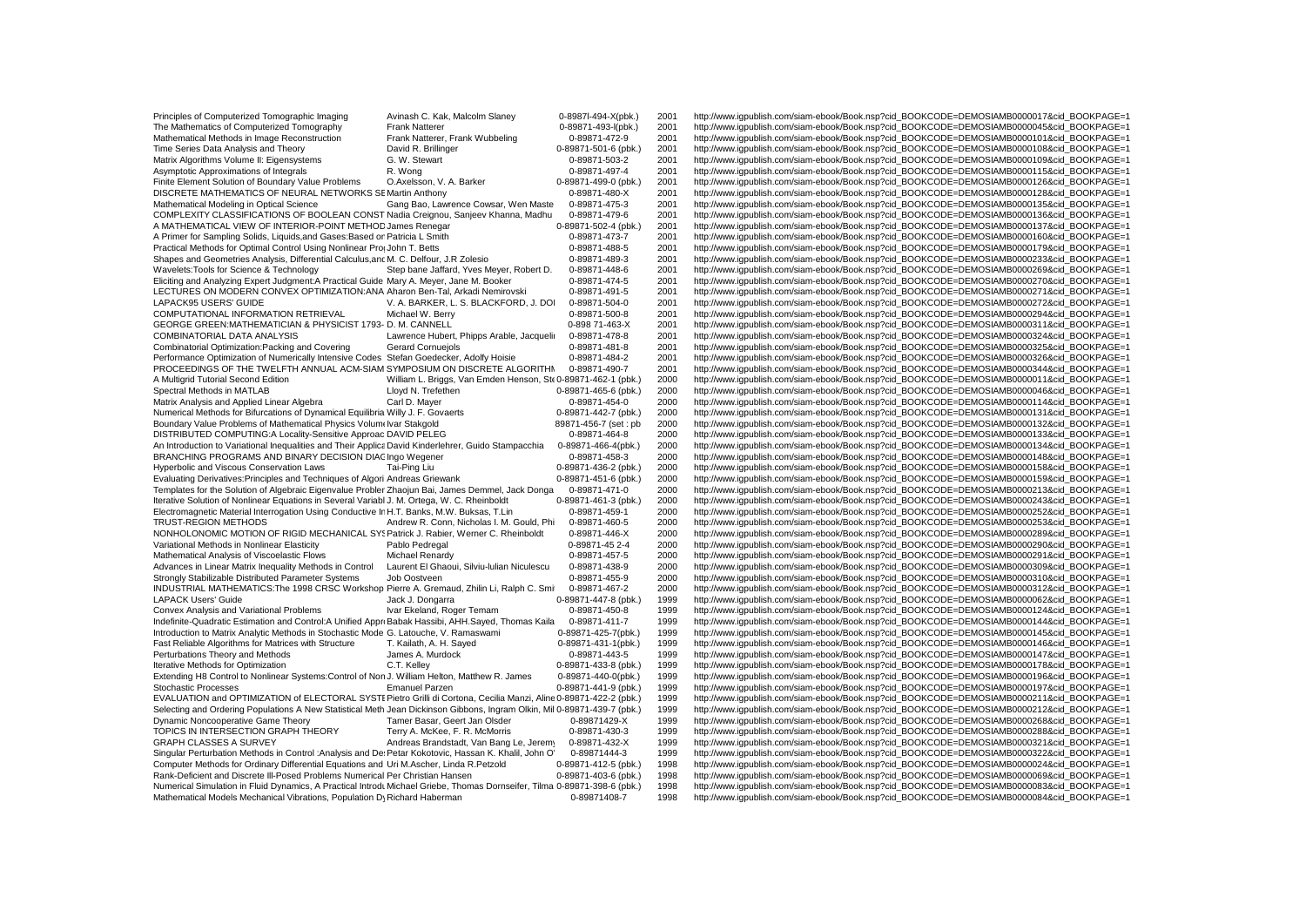| The Mathematics of Computerized Tomography<br>0-89871-493-l(pbk.)<br>2001<br>http://www.iqpublish.com/siam-ebook/Book.nsp?cid_BOOKCODE=DEMOSIAMB0000045&cid_BOOKPAGE=1<br><b>Frank Natterer</b><br>Mathematical Methods in Image Reconstruction<br>Frank Natterer, Frank Wubbeling<br>0-89871-472-9<br>2001<br>http://www.iqpublish.com/siam-ebook/Book.nsp?cid_BOOKCODE=DEMOSIAMB0000101&cid_BOOKPAGE=1<br>Time Series Data Analysis and Theory<br>David R. Brillinger<br>0-89871-501-6 (pbk.)<br>2001<br>http://www.iqpublish.com/siam-ebook/Book.nsp?cid_BOOKCODE=DEMOSIAMB0000108&cid_BOOKPAGE=1<br>Matrix Algorithms Volume II: Eigensystems<br>G. W. Stewart<br>0-89871-503-2<br>2001<br>http://www.iqpublish.com/siam-ebook/Book.nsp?cid_BOOKCODE=DEMOSIAMB0000109&cid_BOOKPAGE=1<br>Asymptotic Approximations of Integrals<br>0-89871-497-4<br>2001<br>http://www.iqpublish.com/siam-ebook/Book.nsp?cid_BOOKCODE=DEMOSIAMB0000115&cid_BOOKPAGE=1<br>R. Wong<br>Finite Element Solution of Boundary Value Problems<br>O.Axelsson, V. A. Barker<br>0-89871-499-0 (pbk.)<br>2001<br>http://www.iqpublish.com/siam-ebook/Book.nsp?cid_BOOKCODE=DEMOSIAMB0000126&cid_BOOKPAGE=1<br>DISCRETE MATHEMATICS OF NEURAL NETWORKS SE Martin Anthony<br>2001<br>0-89871-480-X<br>http://www.iqpublish.com/siam-ebook/Book.nsp?cid_BOOKCODE=DEMOSIAMB0000128&cid_BOOKPAGE=1<br>0-89871-475-3<br>2001<br>http://www.iqpublish.com/siam-ebook/Book.nsp?cid_BOOKCODE=DEMOSIAMB0000135&cid_BOOKPAGE=1<br>Mathematical Modeling in Optical Science<br>Gang Bao, Lawrence Cowsar, Wen Maste<br>COMPLEXITY CLASSIFICATIONS OF BOOLEAN CONST Nadia Creignou, Sanjeev Khanna, Madhu<br>2001<br>http://www.igpublish.com/siam-ebook/Book.nsp?cid_BOOKCODE=DEMOSIAMB0000136&cid_BOOKPAGE=1<br>0-89871-479-6<br>A MATHEMATICAL VIEW OF INTERIOR-POINT METHOD James Renegar<br>0-89871-502-4 (pbk.)<br>2001<br>http://www.iqpublish.com/siam-ebook/Book.nsp?cid_BOOKCODE=DEMOSIAMB0000137&cid_BOOKPAGE=1<br>A Primer for Sampling Solids, Liquids, and Gases: Based or Patricia L Smith<br>0-89871-473-7<br>2001<br>http://www.iqpublish.com/siam-ebook/Book.nsp?cid_BOOKCODE=DEMOSIAMB0000160&cid_BOOKPAGE=1<br>Practical Methods for Optimal Control Using Nonlinear Pro John T. Betts<br>2001<br>http://www.iqpublish.com/siam-ebook/Book.nsp?cid_BOOKCODE=DEMOSIAMB0000179&cid_BOOKPAGE=1<br>0-89871-488-5<br>Shapes and Geometries Analysis, Differential Calculus, and M. C. Delfour, J.R Zolesio<br>0-89871-489-3<br>2001<br>http://www.igpublish.com/siam-ebook/Book.nsp?cid_BOOKCODE=DEMOSIAMB0000233&cid_BOOKPAGE=1<br>Wavelets: Tools for Science & Technology<br>Step bane Jaffard, Yves Meyer, Robert D.<br>0-89871-448-6<br>2001<br>http://www.iqpublish.com/siam-ebook/Book.nsp?cid_BOOKCODE=DEMOSIAMB0000269&cid_BOOKPAGE=1<br>http://www.iqpublish.com/siam-ebook/Book.nsp?cid_BOOKCODE=DEMOSIAMB0000270&cid_BOOKPAGE=1<br>Eliciting and Analyzing Expert Judgment: A Practical Guide Mary A. Meyer, Jane M. Booker<br>0-89871-474-5<br>2001<br>LECTURES ON MODERN CONVEX OPTIMIZATION:ANA Aharon Ben-Tal, Arkadi Nemirovski<br>0-89871-491-5<br>2001<br>http://www.igpublish.com/siam-ebook/Book.nsp?cid_BOOKCODE=DEMOSIAMB0000271&cid_BOOKPAGE=1<br>LAPACK95 USERS' GUIDE<br>V. A. BARKER, L. S. BLACKFORD, J. DOI<br>0-89871-504-0<br>2001<br>http://www.igpublish.com/siam-ebook/Book.nsp?cid_BOOKCODE=DEMOSIAMB0000272&cid_BOOKPAGE=1<br>COMPUTATIONAL INFORMATION RETRIEVAL<br>Michael W. Berry<br>0-89871-500-8<br>2001<br>http://www.iqpublish.com/siam-ebook/Book.nsp?cid_BOOKCODE=DEMOSIAMB0000294&cid_BOOKPAGE=1<br>GEORGE GREEN: MATHEMATICIAN & PHYSICIST 1793- D. M. CANNELL<br>0-898 71-463-X<br>2001<br>http://www.igpublish.com/siam-ebook/Book.nsp?cid_BOOKCODE=DEMOSIAMB0000311&cid_BOOKPAGE=1<br>COMBINATORIAL DATA ANALYSIS<br>Lawrence Hubert, Phipps Arable, Jacquelir<br>0-89871-478-8<br>2001<br>http://www.iqpublish.com/siam-ebook/Book.nsp?cid_BOOKCODE=DEMOSIAMB0000324&cid_BOOKPAGE=1<br>Combinatorial Optimization: Packing and Covering<br><b>Gerard Cornueiols</b><br>0-89871-481-8<br>2001<br>http://www.iqpublish.com/siam-ebook/Book.nsp?cid_BOOKCODE=DEMOSIAMB0000325&cid_BOOKPAGE=1<br>Performance Optimization of Numerically Intensive Codes Stefan Goedecker, Adolfy Hoisie<br>2001<br>http://www.igpublish.com/siam-ebook/Book.nsp?cid_BOOKCODE=DEMOSIAMB0000326&cid_BOOKPAGE=1<br>0-89871-484-2<br>PROCEEDINGS OF THE TWELFTH ANNUAL ACM-SIAM SYMPOSIUM ON DISCRETE ALGORITHM<br>0-89871-490-7<br>2001<br>http://www.iqpublish.com/siam-ebook/Book.nsp?cid_BOOKCODE=DEMOSIAMB0000344&cid_BOOKPAGE=1<br>A Multigrid Tutorial Second Edition<br>William L. Briggs, Van Emden Henson, Ste 0-89871-462-1 (pbk.)<br>2000<br>http://www.iqpublish.com/siam-ebook/Book.nsp?cid_BOOKCODE=DEMOSIAMB0000011&cid_BOOKPAGE=1<br>2000<br>Spectral Methods in MATLAB<br>Lloyd N. Trefethen<br>0-89871-465-6 (pbk.)<br>http://www.iqpublish.com/siam-ebook/Book.nsp?cid_BOOKCODE=DEMOSIAMB0000046&cid_BOOKPAGE=1<br>Carl D. Mayer<br>2000<br>http://www.iqpublish.com/siam-ebook/Book.nsp?cid_BOOKCODE=DEMOSIAMB0000114&cid_BOOKPAGE=1<br>Matrix Analysis and Applied Linear Algebra<br>0-89871-454-0<br>Numerical Methods for Bifurcations of Dynamical Equilibria Willy J. F. Govaerts<br>0-89871-442-7 (pbk.)<br>2000<br>http://www.iqpublish.com/siam-ebook/Book.nsp?cid_BOOKCODE=DEMOSIAMB0000131&cid_BOOKPAGE=1<br>Boundary Value Problems of Mathematical Physics Volum Ivar Stakgold<br>2000<br>http://www.iqpublish.com/siam-ebook/Book.nsp?cid_BOOKCODE=DEMOSIAMB0000132&cid_BOOKPAGE=1<br>89871-456-7 (set: pb<br>DISTRIBUTED COMPUTING:A Locality-Sensitive Approac DAVID PELEG<br>2000<br>0-89871-464-8<br>http://www.iqpublish.com/siam-ebook/Book.nsp?cid_BOOKCODE=DEMOSIAMB0000133&cid_BOOKPAGE=1<br>An Introduction to Variational Inequalities and Their Applica David Kinderlehrer, Guido Stampacchia<br>2000<br>http://www.iqpublish.com/siam-ebook/Book.nsp?cid_BOOKCODE=DEMOSIAMB0000134&cid_BOOKPAGE=1<br>0-89871-466-4(pbk.)<br>BRANCHING PROGRAMS AND BINARY DECISION DIAC Ingo Wegener<br>2000<br>http://www.iqpublish.com/siam-ebook/Book.nsp?cid_BOOKCODE=DEMOSIAMB0000148&cid_BOOKPAGE=1<br>0-89871-458-3<br>http://www.igpublish.com/siam-ebook/Book.nsp?cid_BOOKCODE=DEMOSIAMB0000158&cid_BOOKPAGE=1<br>Hyperbolic and Viscous Conservation Laws<br>Tai-Ping Liu<br>0-89871-436-2 (pbk.)<br>2000<br>2000<br>Evaluating Derivatives: Principles and Techniques of Algori Andreas Griewank<br>0-89871-451-6 (pbk.)<br>http://www.iqpublish.com/siam-ebook/Book.nsp?cid_BOOKCODE=DEMOSIAMB0000159&cid_BOOKPAGE=1<br>Templates for the Solution of Algebraic Eigenvalue Probler Zhaojun Bai, James Demmel, Jack Donga<br>2000<br>0-89871-471-0<br>http://www.igpublish.com/siam-ebook/Book.nsp?cid_BOOKCODE=DEMOSIAMB0000213&cid_BOOKPAGE=1<br>Iterative Solution of Nonlinear Equations in Several Variabl J. M. Ortega, W. C. Rheinboldt<br>0-89871-461-3 (pbk.)<br>2000<br>http://www.igpublish.com/siam-ebook/Book.nsp?cid_BOOKCODE=DEMOSIAMB0000243&cid_BOOKPAGE=1<br>Electromagnetic Material Interrogation Using Conductive In H.T. Banks, M.W. Buksas, T.Lin<br>0-89871-459-1<br>2000<br>http://www.igpublish.com/siam-ebook/Book.nsp?cid_BOOKCODE=DEMOSIAMB0000252&cid_BOOKPAGE=1<br>TRUST-REGION METHODS<br>Andrew R. Conn, Nicholas I. M. Gould, Phi<br>0-89871-460-5<br>2000<br>http://www.iqpublish.com/siam-ebook/Book.nsp?cid_BOOKCODE=DEMOSIAMB0000253&cid_BOOKPAGE=1<br>NONHOLONOMIC MOTION OF RIGID MECHANICAL SY! Patrick J. Rabier, Werner C. Rheinboldt<br>2000<br>0-89871-446-X<br>http://www.igpublish.com/siam-ebook/Book.nsp?cid_BOOKCODE=DEMOSIAMB0000289&cid_BOOKPAGE=1<br>Variational Methods in Nonlinear Elasticity<br>Pablo Pedregal<br>0-89871-45 2-4<br>2000<br>http://www.igpublish.com/siam-ebook/Book.nsp?cid_BOOKCODE=DEMOSIAMB0000290&cid_BOOKPAGE=1<br>Mathematical Analysis of Viscoelastic Flows<br>Michael Renardy<br>0-89871-457-5<br>2000<br>http://www.igpublish.com/siam-ebook/Book.nsp?cid_BOOKCODE=DEMOSIAMB0000291&cid_BOOKPAGE=1<br>Advances in Linear Matrix Inequality Methods in Control<br>Laurent El Ghaoui, Silviu-Iulian Niculescu<br>2000<br>http://www.igpublish.com/siam-ebook/Book.nsp?cid_BOOKCODE=DEMOSIAMB0000309&cid_BOOKPAGE=1<br>0-89871-438-9<br>Strongly Stabilizable Distributed Parameter Systems<br>Job Oostveen<br>2000<br>http://www.iqpublish.com/siam-ebook/Book.nsp?cid_BOOKCODE=DEMOSIAMB0000310&cid_BOOKPAGE=1<br>0-89871-455-9<br>INDUSTRIAL MATHEMATICS: The 1998 CRSC Workshop Pierre A. Gremaud, Zhilin Li, Ralph C. Smi<br>http://www.iqpublish.com/siam-ebook/Book.nsp?cid_BOOKCODE=DEMOSIAMB0000312&cid_BOOKPAGE=1<br>0-89871-467-2<br>2000<br><b>LAPACK Users' Guide</b><br>Jack J. Dongarra<br>0-89871-447-8 (pbk.)<br>1999<br>http://www.iqpublish.com/siam-ebook/Book.nsp?cid_BOOKCODE=DEMOSIAMB0000062&cid_BOOKPAGE=1<br>Ivar Ekeland, Roger Temam<br>1999<br>http://www.iqpublish.com/siam-ebook/Book.nsp?cid_BOOKCODE=DEMOSIAMB0000124&cid_BOOKPAGE=1<br>Convex Analysis and Variational Problems<br>0-89871-450-8<br>Indefinite-Quadratic Estimation and Control:A Unified Appri Babak Hassibi, AHH.Sayed, Thomas Kaila<br>0-89871-411-7<br>1999<br>http://www.iqpublish.com/siam-ebook/Book.nsp?cid_BOOKCODE=DEMOSIAMB0000144&cid_BOOKPAGE=1<br>Introduction to Matrix Analytic Methods in Stochastic Mode G. Latouche, V. Ramaswami<br>0-89871-425-7(pbk.)<br>1999<br>http://www.iqpublish.com/siam-ebook/Book.nsp?cid_BOOKCODE=DEMOSIAMB0000145&cid_BOOKPAGE=1<br>Fast Reliable Algorithms for Matrices with Structure<br>T. Kailath, A. H. Sayed<br>0-89871-431-1(pbk.)<br>1999<br>http://www.iqpublish.com/siam-ebook/Book.nsp?cid_BOOKCODE=DEMOSIAMB0000146&cid_BOOKPAGE=1<br>Perturbations Theory and Methods<br>0-89871-443-5<br>1999<br>http://www.iqpublish.com/siam-ebook/Book.nsp?cid_BOOKCODE=DEMOSIAMB0000147&cid_BOOKPAGE=1<br>James A. Murdock<br>0-89871-433-8 (pbk.)<br>1999<br>http://www.iqpublish.com/siam-ebook/Book.nsp?cid_BOOKCODE=DEMOSIAMB0000178&cid_BOOKPAGE=1<br>Iterative Methods for Optimization<br>C.T. Kelley<br>Extending H8 Control to Nonlinear Systems: Control of Non J. William Helton, Matthew R. James<br>0-89871-440-0(pbk.)<br>1999<br>http://www.iqpublish.com/siam-ebook/Book.nsp?cid_BOOKCODE=DEMOSIAMB0000196&cid_BOOKPAGE=1<br><b>Stochastic Processes</b><br>0-89871-441-9 (pbk.)<br>1999<br>http://www.iqpublish.com/siam-ebook/Book.nsp?cid_BOOKCODE=DEMOSIAMB0000197&cid_BOOKPAGE=1<br><b>Emanuel Parzen</b><br>EVALUATION and OPTIMIZATION of ELECTORAL SYSTI Pietro Grilli di Cortona, Cecilia Manzi, Aline 0-89871-422-2 (pbk.)<br>1999<br>http://www.igpublish.com/siam-ebook/Book.nsp?cid_BOOKCODE=DEMOSIAMB0000211&cid_BOOKPAGE=1<br>Selecting and Ordering Populations A New Statistical Meth Jean Dickinson Gibbons, Ingram Olkin, Mil 0-89871-439-7 (pbk.)<br>1999<br>http://www.igpublish.com/siam-ebook/Book.nsp?cid_BOOKCODE=DEMOSIAMB0000212&cid_BOOKPAGE=1<br>Dynamic Noncooperative Game Theory<br>Tamer Basar, Geert Jan Olsder<br>0-89871429-X<br>1999<br>http://www.iqpublish.com/siam-ebook/Book.nsp?cid_BOOKCODE=DEMOSIAMB0000268&cid_BOOKPAGE=1<br>TOPICS IN INTERSECTION GRAPH THEORY<br>Terry A. McKee, F. R. McMorris<br>0-89871-430-3<br>1999<br>http://www.iqpublish.com/siam-ebook/Book.nsp?cid_BOOKCODE=DEMOSIAMB0000288&cid_BOOKPAGE=1<br><b>GRAPH CLASSES A SURVEY</b><br>Andreas Brandstadt, Van Bang Le, Jeremy<br>0-89871-432-X<br>1999<br>http://www.igpublish.com/siam-ebook/Book.nsp?cid_BOOKCODE=DEMOSIAMB0000321&cid_BOOKPAGE=1<br>Singular Perturbation Methods in Control : Analysis and De Petar Kokotovic, Hassan K. Khalil, John O'<br>0-89871444-3<br>1999<br>http://www.igpublish.com/siam-ebook/Book.nsp?cid_BOOKCODE=DEMOSIAMB0000322&cid_BOOKPAGE=1<br>Computer Methods for Ordinary Differential Equations and Uri M.Ascher, Linda R.Petzold<br>0-89871-412-5 (pbk.)<br>1998<br>http://www.igpublish.com/siam-ebook/Book.nsp?cid_BOOKCODE=DEMOSIAMB0000024&cid_BOOKPAGE=1<br>Rank-Deficient and Discrete III-Posed Problems Numerical Per Christian Hansen<br>1998<br>http://www.iqpublish.com/siam-ebook/Book.nsp?cid_BOOKCODE=DEMOSIAMB0000069&cid_BOOKPAGE=1<br>0-89871-403-6 (pbk.)<br>Numerical Simulation in Fluid Dynamics, A Practical Introdu Michael Griebe, Thomas Dornseifer, Tilma 0-89871-398-6 (pbk.)<br>1998<br>http://www.igpublish.com/siam-ebook/Book.nsp?cid_BOOKCODE=DEMOSIAMB0000083&cid_BOOKPAGE=1<br>Mathematical Models Mechanical Vibrations, Population Dy Richard Haberman<br>0-89871408-7<br>1998<br>http://www.igpublish.com/siam-ebook/Book.nsp?cid_BOOKCODE=DEMOSIAMB0000084&cid_BOOKPAGE=1 | Principles of Computerized Tomographic Imaging | Avinash C. Kak, Malcolm Slaney | 0-8987l-494-X(pbk.) | 2001 | http://www.igpublish.com/siam-ebook/Book.nsp?cid_BOOKCODE=DEMOSIAMB0000017&cid_BOOKPAGE=1 |
|---------------------------------------------------------------------------------------------------------------------------------------------------------------------------------------------------------------------------------------------------------------------------------------------------------------------------------------------------------------------------------------------------------------------------------------------------------------------------------------------------------------------------------------------------------------------------------------------------------------------------------------------------------------------------------------------------------------------------------------------------------------------------------------------------------------------------------------------------------------------------------------------------------------------------------------------------------------------------------------------------------------------------------------------------------------------------------------------------------------------------------------------------------------------------------------------------------------------------------------------------------------------------------------------------------------------------------------------------------------------------------------------------------------------------------------------------------------------------------------------------------------------------------------------------------------------------------------------------------------------------------------------------------------------------------------------------------------------------------------------------------------------------------------------------------------------------------------------------------------------------------------------------------------------------------------------------------------------------------------------------------------------------------------------------------------------------------------------------------------------------------------------------------------------------------------------------------------------------------------------------------------------------------------------------------------------------------------------------------------------------------------------------------------------------------------------------------------------------------------------------------------------------------------------------------------------------------------------------------------------------------------------------------------------------------------------------------------------------------------------------------------------------------------------------------------------------------------------------------------------------------------------------------------------------------------------------------------------------------------------------------------------------------------------------------------------------------------------------------------------------------------------------------------------------------------------------------------------------------------------------------------------------------------------------------------------------------------------------------------------------------------------------------------------------------------------------------------------------------------------------------------------------------------------------------------------------------------------------------------------------------------------------------------------------------------------------------------------------------------------------------------------------------------------------------------------------------------------------------------------------------------------------------------------------------------------------------------------------------------------------------------------------------------------------------------------------------------------------------------------------------------------------------------------------------------------------------------------------------------------------------------------------------------------------------------------------------------------------------------------------------------------------------------------------------------------------------------------------------------------------------------------------------------------------------------------------------------------------------------------------------------------------------------------------------------------------------------------------------------------------------------------------------------------------------------------------------------------------------------------------------------------------------------------------------------------------------------------------------------------------------------------------------------------------------------------------------------------------------------------------------------------------------------------------------------------------------------------------------------------------------------------------------------------------------------------------------------------------------------------------------------------------------------------------------------------------------------------------------------------------------------------------------------------------------------------------------------------------------------------------------------------------------------------------------------------------------------------------------------------------------------------------------------------------------------------------------------------------------------------------------------------------------------------------------------------------------------------------------------------------------------------------------------------------------------------------------------------------------------------------------------------------------------------------------------------------------------------------------------------------------------------------------------------------------------------------------------------------------------------------------------------------------------------------------------------------------------------------------------------------------------------------------------------------------------------------------------------------------------------------------------------------------------------------------------------------------------------------------------------------------------------------------------------------------------------------------------------------------------------------------------------------------------------------------------------------------------------------------------------------------------------------------------------------------------------------------------------------------------------------------------------------------------------------------------------------------------------------------------------------------------------------------------------------------------------------------------------------------------------------------------------------------------------------------------------------------------------------------------------------------------------------------------------------------------------------------------------------------------------------------------------------------------------------------------------------------------------------------------------------------------------------------------------------------------------------------------------------------------------------------------------------------------------------------------------------------------------------------------------------------------------------------------------------------------------------------------------------------------------------------------------------------------------------------------------------------------------------------------------------------------------------------------------------------------------------------------------------------------------------------------------------------------------------------------------------------------------------------------------------------------------------------------------------------------------------------------------------------------------------------------------------------------------------------------------------------------------------------------------------------------------------------------------------------------------------------------------------------------------------------------------------------------------------------------------------------------------------------------------------------------------------------------------------------------------------------------------------------------------------------------------------------------------------------------------------------------------------------------------------------------------------------------------------------------------------------------------------------------------------------------------------------------------------------------------------------------------------------------------------------------------------------------------------------------------------------------------------------------------------------------------------------------------------------------------------------------------------------------------------------------------------------------------------------------------------------------------------------------------------------------------------------------------------------------------------------------------------------------------------------------------------------------------------------------------------------------------------------------------------------------------------------------------------------------------------------------------------------------------------------------------------------------------------------------------------------------------------------------------------------------------------------------------------------------------------------------------------------------------------------------------------------------------------------------------------------------------------------------------------------------------------------------------------------------------------------------------------------------------------------------------------------------------------------------------------------------------------------------------------------------------------------------------------------------------------------------------------------------------------------------------------------------------------------------------------------------------------------------------------------------------------------------------------------------------------------------------------------------------------------------------------------------------------------------------------------------------------------------------------------------------------------------------------------------------------------------------------------------------------------------------------------------------------------------------------------------------------------------------------------------------------------------------------------------------------------------------------------------------------------------------------------------------------------------------------------------------------------------------------------------------------------------------------------------------------------------------------------------------------------------------------------------------------------------------------------------------------------------------------------------------------------------------------------------------------------------------------------------------------------------------------------------------------------------------------------------------------------------------------------------------------------------------------------------------------------------------------------------------------------------------------------------------------------------------------------------------------------------------------------------------------------------------------------------------------------------------------------------------------------------------------------------|------------------------------------------------|--------------------------------|---------------------|------|-------------------------------------------------------------------------------------------|
|                                                                                                                                                                                                                                                                                                                                                                                                                                                                                                                                                                                                                                                                                                                                                                                                                                                                                                                                                                                                                                                                                                                                                                                                                                                                                                                                                                                                                                                                                                                                                                                                                                                                                                                                                                                                                                                                                                                                                                                                                                                                                                                                                                                                                                                                                                                                                                                                                                                                                                                                                                                                                                                                                                                                                                                                                                                                                                                                                                                                                                                                                                                                                                                                                                                                                                                                                                                                                                                                                                                                                                                                                                                                                                                                                                                                                                                                                                                                                                                                                                                                                                                                                                                                                                                                                                                                                                                                                                                                                                                                                                                                                                                                                                                                                                                                                                                                                                                                                                                                                                                                                                                                                                                                                                                                                                                                                                                                                                                                                                                                                                                                                                                                                                                                                                                                                                                                                                                                                                                                                                                                                                                                                                                                                                                                                                                                                                                                                                                                                                                                                                                                                                                                                                                                                                                                                                                                                                                                                                                                                                                                                                                                                                                                                                                                                                                                                                                                                                                                                                                                                                                                                                                                                                                                                                                                                                                                                                                                                                                                                                                                                                                                                                                                                                                                                                                                                                                                                                                                                                                                                                                                                                                                                                                                                                                                                                                                                                                                                                                                                                                                                                                                                                                                                                                                                                                                                                                                                                                                                                                                                                                                                                                                                                                                                                                                                                                                                                                                                                                                                                                                                                                                                                                                                                                                                                                                                                                                                                                                                                                                                                                                                                                                                                                                                                                                                                                                                                                                                                                                                                                                                                                                                                                                                                                                                                                                                                                                                                                                                                                                                                                                                                                                                                                                                                                                                                                                                                                                                                                                                                                                                                                                                                                                                                                                                                                                                                                                                                                                                                                                                                                                                                                                                                                                                                                       |                                                |                                |                     |      |                                                                                           |
|                                                                                                                                                                                                                                                                                                                                                                                                                                                                                                                                                                                                                                                                                                                                                                                                                                                                                                                                                                                                                                                                                                                                                                                                                                                                                                                                                                                                                                                                                                                                                                                                                                                                                                                                                                                                                                                                                                                                                                                                                                                                                                                                                                                                                                                                                                                                                                                                                                                                                                                                                                                                                                                                                                                                                                                                                                                                                                                                                                                                                                                                                                                                                                                                                                                                                                                                                                                                                                                                                                                                                                                                                                                                                                                                                                                                                                                                                                                                                                                                                                                                                                                                                                                                                                                                                                                                                                                                                                                                                                                                                                                                                                                                                                                                                                                                                                                                                                                                                                                                                                                                                                                                                                                                                                                                                                                                                                                                                                                                                                                                                                                                                                                                                                                                                                                                                                                                                                                                                                                                                                                                                                                                                                                                                                                                                                                                                                                                                                                                                                                                                                                                                                                                                                                                                                                                                                                                                                                                                                                                                                                                                                                                                                                                                                                                                                                                                                                                                                                                                                                                                                                                                                                                                                                                                                                                                                                                                                                                                                                                                                                                                                                                                                                                                                                                                                                                                                                                                                                                                                                                                                                                                                                                                                                                                                                                                                                                                                                                                                                                                                                                                                                                                                                                                                                                                                                                                                                                                                                                                                                                                                                                                                                                                                                                                                                                                                                                                                                                                                                                                                                                                                                                                                                                                                                                                                                                                                                                                                                                                                                                                                                                                                                                                                                                                                                                                                                                                                                                                                                                                                                                                                                                                                                                                                                                                                                                                                                                                                                                                                                                                                                                                                                                                                                                                                                                                                                                                                                                                                                                                                                                                                                                                                                                                                                                                                                                                                                                                                                                                                                                                                                                                                                                                                                                                                                       |                                                |                                |                     |      |                                                                                           |
|                                                                                                                                                                                                                                                                                                                                                                                                                                                                                                                                                                                                                                                                                                                                                                                                                                                                                                                                                                                                                                                                                                                                                                                                                                                                                                                                                                                                                                                                                                                                                                                                                                                                                                                                                                                                                                                                                                                                                                                                                                                                                                                                                                                                                                                                                                                                                                                                                                                                                                                                                                                                                                                                                                                                                                                                                                                                                                                                                                                                                                                                                                                                                                                                                                                                                                                                                                                                                                                                                                                                                                                                                                                                                                                                                                                                                                                                                                                                                                                                                                                                                                                                                                                                                                                                                                                                                                                                                                                                                                                                                                                                                                                                                                                                                                                                                                                                                                                                                                                                                                                                                                                                                                                                                                                                                                                                                                                                                                                                                                                                                                                                                                                                                                                                                                                                                                                                                                                                                                                                                                                                                                                                                                                                                                                                                                                                                                                                                                                                                                                                                                                                                                                                                                                                                                                                                                                                                                                                                                                                                                                                                                                                                                                                                                                                                                                                                                                                                                                                                                                                                                                                                                                                                                                                                                                                                                                                                                                                                                                                                                                                                                                                                                                                                                                                                                                                                                                                                                                                                                                                                                                                                                                                                                                                                                                                                                                                                                                                                                                                                                                                                                                                                                                                                                                                                                                                                                                                                                                                                                                                                                                                                                                                                                                                                                                                                                                                                                                                                                                                                                                                                                                                                                                                                                                                                                                                                                                                                                                                                                                                                                                                                                                                                                                                                                                                                                                                                                                                                                                                                                                                                                                                                                                                                                                                                                                                                                                                                                                                                                                                                                                                                                                                                                                                                                                                                                                                                                                                                                                                                                                                                                                                                                                                                                                                                                                                                                                                                                                                                                                                                                                                                                                                                                                                                                                       |                                                |                                |                     |      |                                                                                           |
|                                                                                                                                                                                                                                                                                                                                                                                                                                                                                                                                                                                                                                                                                                                                                                                                                                                                                                                                                                                                                                                                                                                                                                                                                                                                                                                                                                                                                                                                                                                                                                                                                                                                                                                                                                                                                                                                                                                                                                                                                                                                                                                                                                                                                                                                                                                                                                                                                                                                                                                                                                                                                                                                                                                                                                                                                                                                                                                                                                                                                                                                                                                                                                                                                                                                                                                                                                                                                                                                                                                                                                                                                                                                                                                                                                                                                                                                                                                                                                                                                                                                                                                                                                                                                                                                                                                                                                                                                                                                                                                                                                                                                                                                                                                                                                                                                                                                                                                                                                                                                                                                                                                                                                                                                                                                                                                                                                                                                                                                                                                                                                                                                                                                                                                                                                                                                                                                                                                                                                                                                                                                                                                                                                                                                                                                                                                                                                                                                                                                                                                                                                                                                                                                                                                                                                                                                                                                                                                                                                                                                                                                                                                                                                                                                                                                                                                                                                                                                                                                                                                                                                                                                                                                                                                                                                                                                                                                                                                                                                                                                                                                                                                                                                                                                                                                                                                                                                                                                                                                                                                                                                                                                                                                                                                                                                                                                                                                                                                                                                                                                                                                                                                                                                                                                                                                                                                                                                                                                                                                                                                                                                                                                                                                                                                                                                                                                                                                                                                                                                                                                                                                                                                                                                                                                                                                                                                                                                                                                                                                                                                                                                                                                                                                                                                                                                                                                                                                                                                                                                                                                                                                                                                                                                                                                                                                                                                                                                                                                                                                                                                                                                                                                                                                                                                                                                                                                                                                                                                                                                                                                                                                                                                                                                                                                                                                                                                                                                                                                                                                                                                                                                                                                                                                                                                                                                                       |                                                |                                |                     |      |                                                                                           |
|                                                                                                                                                                                                                                                                                                                                                                                                                                                                                                                                                                                                                                                                                                                                                                                                                                                                                                                                                                                                                                                                                                                                                                                                                                                                                                                                                                                                                                                                                                                                                                                                                                                                                                                                                                                                                                                                                                                                                                                                                                                                                                                                                                                                                                                                                                                                                                                                                                                                                                                                                                                                                                                                                                                                                                                                                                                                                                                                                                                                                                                                                                                                                                                                                                                                                                                                                                                                                                                                                                                                                                                                                                                                                                                                                                                                                                                                                                                                                                                                                                                                                                                                                                                                                                                                                                                                                                                                                                                                                                                                                                                                                                                                                                                                                                                                                                                                                                                                                                                                                                                                                                                                                                                                                                                                                                                                                                                                                                                                                                                                                                                                                                                                                                                                                                                                                                                                                                                                                                                                                                                                                                                                                                                                                                                                                                                                                                                                                                                                                                                                                                                                                                                                                                                                                                                                                                                                                                                                                                                                                                                                                                                                                                                                                                                                                                                                                                                                                                                                                                                                                                                                                                                                                                                                                                                                                                                                                                                                                                                                                                                                                                                                                                                                                                                                                                                                                                                                                                                                                                                                                                                                                                                                                                                                                                                                                                                                                                                                                                                                                                                                                                                                                                                                                                                                                                                                                                                                                                                                                                                                                                                                                                                                                                                                                                                                                                                                                                                                                                                                                                                                                                                                                                                                                                                                                                                                                                                                                                                                                                                                                                                                                                                                                                                                                                                                                                                                                                                                                                                                                                                                                                                                                                                                                                                                                                                                                                                                                                                                                                                                                                                                                                                                                                                                                                                                                                                                                                                                                                                                                                                                                                                                                                                                                                                                                                                                                                                                                                                                                                                                                                                                                                                                                                                                                                                       |                                                |                                |                     |      |                                                                                           |
|                                                                                                                                                                                                                                                                                                                                                                                                                                                                                                                                                                                                                                                                                                                                                                                                                                                                                                                                                                                                                                                                                                                                                                                                                                                                                                                                                                                                                                                                                                                                                                                                                                                                                                                                                                                                                                                                                                                                                                                                                                                                                                                                                                                                                                                                                                                                                                                                                                                                                                                                                                                                                                                                                                                                                                                                                                                                                                                                                                                                                                                                                                                                                                                                                                                                                                                                                                                                                                                                                                                                                                                                                                                                                                                                                                                                                                                                                                                                                                                                                                                                                                                                                                                                                                                                                                                                                                                                                                                                                                                                                                                                                                                                                                                                                                                                                                                                                                                                                                                                                                                                                                                                                                                                                                                                                                                                                                                                                                                                                                                                                                                                                                                                                                                                                                                                                                                                                                                                                                                                                                                                                                                                                                                                                                                                                                                                                                                                                                                                                                                                                                                                                                                                                                                                                                                                                                                                                                                                                                                                                                                                                                                                                                                                                                                                                                                                                                                                                                                                                                                                                                                                                                                                                                                                                                                                                                                                                                                                                                                                                                                                                                                                                                                                                                                                                                                                                                                                                                                                                                                                                                                                                                                                                                                                                                                                                                                                                                                                                                                                                                                                                                                                                                                                                                                                                                                                                                                                                                                                                                                                                                                                                                                                                                                                                                                                                                                                                                                                                                                                                                                                                                                                                                                                                                                                                                                                                                                                                                                                                                                                                                                                                                                                                                                                                                                                                                                                                                                                                                                                                                                                                                                                                                                                                                                                                                                                                                                                                                                                                                                                                                                                                                                                                                                                                                                                                                                                                                                                                                                                                                                                                                                                                                                                                                                                                                                                                                                                                                                                                                                                                                                                                                                                                                                                                                                       |                                                |                                |                     |      |                                                                                           |
|                                                                                                                                                                                                                                                                                                                                                                                                                                                                                                                                                                                                                                                                                                                                                                                                                                                                                                                                                                                                                                                                                                                                                                                                                                                                                                                                                                                                                                                                                                                                                                                                                                                                                                                                                                                                                                                                                                                                                                                                                                                                                                                                                                                                                                                                                                                                                                                                                                                                                                                                                                                                                                                                                                                                                                                                                                                                                                                                                                                                                                                                                                                                                                                                                                                                                                                                                                                                                                                                                                                                                                                                                                                                                                                                                                                                                                                                                                                                                                                                                                                                                                                                                                                                                                                                                                                                                                                                                                                                                                                                                                                                                                                                                                                                                                                                                                                                                                                                                                                                                                                                                                                                                                                                                                                                                                                                                                                                                                                                                                                                                                                                                                                                                                                                                                                                                                                                                                                                                                                                                                                                                                                                                                                                                                                                                                                                                                                                                                                                                                                                                                                                                                                                                                                                                                                                                                                                                                                                                                                                                                                                                                                                                                                                                                                                                                                                                                                                                                                                                                                                                                                                                                                                                                                                                                                                                                                                                                                                                                                                                                                                                                                                                                                                                                                                                                                                                                                                                                                                                                                                                                                                                                                                                                                                                                                                                                                                                                                                                                                                                                                                                                                                                                                                                                                                                                                                                                                                                                                                                                                                                                                                                                                                                                                                                                                                                                                                                                                                                                                                                                                                                                                                                                                                                                                                                                                                                                                                                                                                                                                                                                                                                                                                                                                                                                                                                                                                                                                                                                                                                                                                                                                                                                                                                                                                                                                                                                                                                                                                                                                                                                                                                                                                                                                                                                                                                                                                                                                                                                                                                                                                                                                                                                                                                                                                                                                                                                                                                                                                                                                                                                                                                                                                                                                                                                                       |                                                |                                |                     |      |                                                                                           |
|                                                                                                                                                                                                                                                                                                                                                                                                                                                                                                                                                                                                                                                                                                                                                                                                                                                                                                                                                                                                                                                                                                                                                                                                                                                                                                                                                                                                                                                                                                                                                                                                                                                                                                                                                                                                                                                                                                                                                                                                                                                                                                                                                                                                                                                                                                                                                                                                                                                                                                                                                                                                                                                                                                                                                                                                                                                                                                                                                                                                                                                                                                                                                                                                                                                                                                                                                                                                                                                                                                                                                                                                                                                                                                                                                                                                                                                                                                                                                                                                                                                                                                                                                                                                                                                                                                                                                                                                                                                                                                                                                                                                                                                                                                                                                                                                                                                                                                                                                                                                                                                                                                                                                                                                                                                                                                                                                                                                                                                                                                                                                                                                                                                                                                                                                                                                                                                                                                                                                                                                                                                                                                                                                                                                                                                                                                                                                                                                                                                                                                                                                                                                                                                                                                                                                                                                                                                                                                                                                                                                                                                                                                                                                                                                                                                                                                                                                                                                                                                                                                                                                                                                                                                                                                                                                                                                                                                                                                                                                                                                                                                                                                                                                                                                                                                                                                                                                                                                                                                                                                                                                                                                                                                                                                                                                                                                                                                                                                                                                                                                                                                                                                                                                                                                                                                                                                                                                                                                                                                                                                                                                                                                                                                                                                                                                                                                                                                                                                                                                                                                                                                                                                                                                                                                                                                                                                                                                                                                                                                                                                                                                                                                                                                                                                                                                                                                                                                                                                                                                                                                                                                                                                                                                                                                                                                                                                                                                                                                                                                                                                                                                                                                                                                                                                                                                                                                                                                                                                                                                                                                                                                                                                                                                                                                                                                                                                                                                                                                                                                                                                                                                                                                                                                                                                                                                                                       |                                                |                                |                     |      |                                                                                           |
|                                                                                                                                                                                                                                                                                                                                                                                                                                                                                                                                                                                                                                                                                                                                                                                                                                                                                                                                                                                                                                                                                                                                                                                                                                                                                                                                                                                                                                                                                                                                                                                                                                                                                                                                                                                                                                                                                                                                                                                                                                                                                                                                                                                                                                                                                                                                                                                                                                                                                                                                                                                                                                                                                                                                                                                                                                                                                                                                                                                                                                                                                                                                                                                                                                                                                                                                                                                                                                                                                                                                                                                                                                                                                                                                                                                                                                                                                                                                                                                                                                                                                                                                                                                                                                                                                                                                                                                                                                                                                                                                                                                                                                                                                                                                                                                                                                                                                                                                                                                                                                                                                                                                                                                                                                                                                                                                                                                                                                                                                                                                                                                                                                                                                                                                                                                                                                                                                                                                                                                                                                                                                                                                                                                                                                                                                                                                                                                                                                                                                                                                                                                                                                                                                                                                                                                                                                                                                                                                                                                                                                                                                                                                                                                                                                                                                                                                                                                                                                                                                                                                                                                                                                                                                                                                                                                                                                                                                                                                                                                                                                                                                                                                                                                                                                                                                                                                                                                                                                                                                                                                                                                                                                                                                                                                                                                                                                                                                                                                                                                                                                                                                                                                                                                                                                                                                                                                                                                                                                                                                                                                                                                                                                                                                                                                                                                                                                                                                                                                                                                                                                                                                                                                                                                                                                                                                                                                                                                                                                                                                                                                                                                                                                                                                                                                                                                                                                                                                                                                                                                                                                                                                                                                                                                                                                                                                                                                                                                                                                                                                                                                                                                                                                                                                                                                                                                                                                                                                                                                                                                                                                                                                                                                                                                                                                                                                                                                                                                                                                                                                                                                                                                                                                                                                                                                                                                       |                                                |                                |                     |      |                                                                                           |
|                                                                                                                                                                                                                                                                                                                                                                                                                                                                                                                                                                                                                                                                                                                                                                                                                                                                                                                                                                                                                                                                                                                                                                                                                                                                                                                                                                                                                                                                                                                                                                                                                                                                                                                                                                                                                                                                                                                                                                                                                                                                                                                                                                                                                                                                                                                                                                                                                                                                                                                                                                                                                                                                                                                                                                                                                                                                                                                                                                                                                                                                                                                                                                                                                                                                                                                                                                                                                                                                                                                                                                                                                                                                                                                                                                                                                                                                                                                                                                                                                                                                                                                                                                                                                                                                                                                                                                                                                                                                                                                                                                                                                                                                                                                                                                                                                                                                                                                                                                                                                                                                                                                                                                                                                                                                                                                                                                                                                                                                                                                                                                                                                                                                                                                                                                                                                                                                                                                                                                                                                                                                                                                                                                                                                                                                                                                                                                                                                                                                                                                                                                                                                                                                                                                                                                                                                                                                                                                                                                                                                                                                                                                                                                                                                                                                                                                                                                                                                                                                                                                                                                                                                                                                                                                                                                                                                                                                                                                                                                                                                                                                                                                                                                                                                                                                                                                                                                                                                                                                                                                                                                                                                                                                                                                                                                                                                                                                                                                                                                                                                                                                                                                                                                                                                                                                                                                                                                                                                                                                                                                                                                                                                                                                                                                                                                                                                                                                                                                                                                                                                                                                                                                                                                                                                                                                                                                                                                                                                                                                                                                                                                                                                                                                                                                                                                                                                                                                                                                                                                                                                                                                                                                                                                                                                                                                                                                                                                                                                                                                                                                                                                                                                                                                                                                                                                                                                                                                                                                                                                                                                                                                                                                                                                                                                                                                                                                                                                                                                                                                                                                                                                                                                                                                                                                                                                                       |                                                |                                |                     |      |                                                                                           |
|                                                                                                                                                                                                                                                                                                                                                                                                                                                                                                                                                                                                                                                                                                                                                                                                                                                                                                                                                                                                                                                                                                                                                                                                                                                                                                                                                                                                                                                                                                                                                                                                                                                                                                                                                                                                                                                                                                                                                                                                                                                                                                                                                                                                                                                                                                                                                                                                                                                                                                                                                                                                                                                                                                                                                                                                                                                                                                                                                                                                                                                                                                                                                                                                                                                                                                                                                                                                                                                                                                                                                                                                                                                                                                                                                                                                                                                                                                                                                                                                                                                                                                                                                                                                                                                                                                                                                                                                                                                                                                                                                                                                                                                                                                                                                                                                                                                                                                                                                                                                                                                                                                                                                                                                                                                                                                                                                                                                                                                                                                                                                                                                                                                                                                                                                                                                                                                                                                                                                                                                                                                                                                                                                                                                                                                                                                                                                                                                                                                                                                                                                                                                                                                                                                                                                                                                                                                                                                                                                                                                                                                                                                                                                                                                                                                                                                                                                                                                                                                                                                                                                                                                                                                                                                                                                                                                                                                                                                                                                                                                                                                                                                                                                                                                                                                                                                                                                                                                                                                                                                                                                                                                                                                                                                                                                                                                                                                                                                                                                                                                                                                                                                                                                                                                                                                                                                                                                                                                                                                                                                                                                                                                                                                                                                                                                                                                                                                                                                                                                                                                                                                                                                                                                                                                                                                                                                                                                                                                                                                                                                                                                                                                                                                                                                                                                                                                                                                                                                                                                                                                                                                                                                                                                                                                                                                                                                                                                                                                                                                                                                                                                                                                                                                                                                                                                                                                                                                                                                                                                                                                                                                                                                                                                                                                                                                                                                                                                                                                                                                                                                                                                                                                                                                                                                                                                                                       |                                                |                                |                     |      |                                                                                           |
|                                                                                                                                                                                                                                                                                                                                                                                                                                                                                                                                                                                                                                                                                                                                                                                                                                                                                                                                                                                                                                                                                                                                                                                                                                                                                                                                                                                                                                                                                                                                                                                                                                                                                                                                                                                                                                                                                                                                                                                                                                                                                                                                                                                                                                                                                                                                                                                                                                                                                                                                                                                                                                                                                                                                                                                                                                                                                                                                                                                                                                                                                                                                                                                                                                                                                                                                                                                                                                                                                                                                                                                                                                                                                                                                                                                                                                                                                                                                                                                                                                                                                                                                                                                                                                                                                                                                                                                                                                                                                                                                                                                                                                                                                                                                                                                                                                                                                                                                                                                                                                                                                                                                                                                                                                                                                                                                                                                                                                                                                                                                                                                                                                                                                                                                                                                                                                                                                                                                                                                                                                                                                                                                                                                                                                                                                                                                                                                                                                                                                                                                                                                                                                                                                                                                                                                                                                                                                                                                                                                                                                                                                                                                                                                                                                                                                                                                                                                                                                                                                                                                                                                                                                                                                                                                                                                                                                                                                                                                                                                                                                                                                                                                                                                                                                                                                                                                                                                                                                                                                                                                                                                                                                                                                                                                                                                                                                                                                                                                                                                                                                                                                                                                                                                                                                                                                                                                                                                                                                                                                                                                                                                                                                                                                                                                                                                                                                                                                                                                                                                                                                                                                                                                                                                                                                                                                                                                                                                                                                                                                                                                                                                                                                                                                                                                                                                                                                                                                                                                                                                                                                                                                                                                                                                                                                                                                                                                                                                                                                                                                                                                                                                                                                                                                                                                                                                                                                                                                                                                                                                                                                                                                                                                                                                                                                                                                                                                                                                                                                                                                                                                                                                                                                                                                                                                                                                       |                                                |                                |                     |      |                                                                                           |
|                                                                                                                                                                                                                                                                                                                                                                                                                                                                                                                                                                                                                                                                                                                                                                                                                                                                                                                                                                                                                                                                                                                                                                                                                                                                                                                                                                                                                                                                                                                                                                                                                                                                                                                                                                                                                                                                                                                                                                                                                                                                                                                                                                                                                                                                                                                                                                                                                                                                                                                                                                                                                                                                                                                                                                                                                                                                                                                                                                                                                                                                                                                                                                                                                                                                                                                                                                                                                                                                                                                                                                                                                                                                                                                                                                                                                                                                                                                                                                                                                                                                                                                                                                                                                                                                                                                                                                                                                                                                                                                                                                                                                                                                                                                                                                                                                                                                                                                                                                                                                                                                                                                                                                                                                                                                                                                                                                                                                                                                                                                                                                                                                                                                                                                                                                                                                                                                                                                                                                                                                                                                                                                                                                                                                                                                                                                                                                                                                                                                                                                                                                                                                                                                                                                                                                                                                                                                                                                                                                                                                                                                                                                                                                                                                                                                                                                                                                                                                                                                                                                                                                                                                                                                                                                                                                                                                                                                                                                                                                                                                                                                                                                                                                                                                                                                                                                                                                                                                                                                                                                                                                                                                                                                                                                                                                                                                                                                                                                                                                                                                                                                                                                                                                                                                                                                                                                                                                                                                                                                                                                                                                                                                                                                                                                                                                                                                                                                                                                                                                                                                                                                                                                                                                                                                                                                                                                                                                                                                                                                                                                                                                                                                                                                                                                                                                                                                                                                                                                                                                                                                                                                                                                                                                                                                                                                                                                                                                                                                                                                                                                                                                                                                                                                                                                                                                                                                                                                                                                                                                                                                                                                                                                                                                                                                                                                                                                                                                                                                                                                                                                                                                                                                                                                                                                                                                                       |                                                |                                |                     |      |                                                                                           |
|                                                                                                                                                                                                                                                                                                                                                                                                                                                                                                                                                                                                                                                                                                                                                                                                                                                                                                                                                                                                                                                                                                                                                                                                                                                                                                                                                                                                                                                                                                                                                                                                                                                                                                                                                                                                                                                                                                                                                                                                                                                                                                                                                                                                                                                                                                                                                                                                                                                                                                                                                                                                                                                                                                                                                                                                                                                                                                                                                                                                                                                                                                                                                                                                                                                                                                                                                                                                                                                                                                                                                                                                                                                                                                                                                                                                                                                                                                                                                                                                                                                                                                                                                                                                                                                                                                                                                                                                                                                                                                                                                                                                                                                                                                                                                                                                                                                                                                                                                                                                                                                                                                                                                                                                                                                                                                                                                                                                                                                                                                                                                                                                                                                                                                                                                                                                                                                                                                                                                                                                                                                                                                                                                                                                                                                                                                                                                                                                                                                                                                                                                                                                                                                                                                                                                                                                                                                                                                                                                                                                                                                                                                                                                                                                                                                                                                                                                                                                                                                                                                                                                                                                                                                                                                                                                                                                                                                                                                                                                                                                                                                                                                                                                                                                                                                                                                                                                                                                                                                                                                                                                                                                                                                                                                                                                                                                                                                                                                                                                                                                                                                                                                                                                                                                                                                                                                                                                                                                                                                                                                                                                                                                                                                                                                                                                                                                                                                                                                                                                                                                                                                                                                                                                                                                                                                                                                                                                                                                                                                                                                                                                                                                                                                                                                                                                                                                                                                                                                                                                                                                                                                                                                                                                                                                                                                                                                                                                                                                                                                                                                                                                                                                                                                                                                                                                                                                                                                                                                                                                                                                                                                                                                                                                                                                                                                                                                                                                                                                                                                                                                                                                                                                                                                                                                                                                                                       |                                                |                                |                     |      |                                                                                           |
|                                                                                                                                                                                                                                                                                                                                                                                                                                                                                                                                                                                                                                                                                                                                                                                                                                                                                                                                                                                                                                                                                                                                                                                                                                                                                                                                                                                                                                                                                                                                                                                                                                                                                                                                                                                                                                                                                                                                                                                                                                                                                                                                                                                                                                                                                                                                                                                                                                                                                                                                                                                                                                                                                                                                                                                                                                                                                                                                                                                                                                                                                                                                                                                                                                                                                                                                                                                                                                                                                                                                                                                                                                                                                                                                                                                                                                                                                                                                                                                                                                                                                                                                                                                                                                                                                                                                                                                                                                                                                                                                                                                                                                                                                                                                                                                                                                                                                                                                                                                                                                                                                                                                                                                                                                                                                                                                                                                                                                                                                                                                                                                                                                                                                                                                                                                                                                                                                                                                                                                                                                                                                                                                                                                                                                                                                                                                                                                                                                                                                                                                                                                                                                                                                                                                                                                                                                                                                                                                                                                                                                                                                                                                                                                                                                                                                                                                                                                                                                                                                                                                                                                                                                                                                                                                                                                                                                                                                                                                                                                                                                                                                                                                                                                                                                                                                                                                                                                                                                                                                                                                                                                                                                                                                                                                                                                                                                                                                                                                                                                                                                                                                                                                                                                                                                                                                                                                                                                                                                                                                                                                                                                                                                                                                                                                                                                                                                                                                                                                                                                                                                                                                                                                                                                                                                                                                                                                                                                                                                                                                                                                                                                                                                                                                                                                                                                                                                                                                                                                                                                                                                                                                                                                                                                                                                                                                                                                                                                                                                                                                                                                                                                                                                                                                                                                                                                                                                                                                                                                                                                                                                                                                                                                                                                                                                                                                                                                                                                                                                                                                                                                                                                                                                                                                                                                                                                       |                                                |                                |                     |      |                                                                                           |
|                                                                                                                                                                                                                                                                                                                                                                                                                                                                                                                                                                                                                                                                                                                                                                                                                                                                                                                                                                                                                                                                                                                                                                                                                                                                                                                                                                                                                                                                                                                                                                                                                                                                                                                                                                                                                                                                                                                                                                                                                                                                                                                                                                                                                                                                                                                                                                                                                                                                                                                                                                                                                                                                                                                                                                                                                                                                                                                                                                                                                                                                                                                                                                                                                                                                                                                                                                                                                                                                                                                                                                                                                                                                                                                                                                                                                                                                                                                                                                                                                                                                                                                                                                                                                                                                                                                                                                                                                                                                                                                                                                                                                                                                                                                                                                                                                                                                                                                                                                                                                                                                                                                                                                                                                                                                                                                                                                                                                                                                                                                                                                                                                                                                                                                                                                                                                                                                                                                                                                                                                                                                                                                                                                                                                                                                                                                                                                                                                                                                                                                                                                                                                                                                                                                                                                                                                                                                                                                                                                                                                                                                                                                                                                                                                                                                                                                                                                                                                                                                                                                                                                                                                                                                                                                                                                                                                                                                                                                                                                                                                                                                                                                                                                                                                                                                                                                                                                                                                                                                                                                                                                                                                                                                                                                                                                                                                                                                                                                                                                                                                                                                                                                                                                                                                                                                                                                                                                                                                                                                                                                                                                                                                                                                                                                                                                                                                                                                                                                                                                                                                                                                                                                                                                                                                                                                                                                                                                                                                                                                                                                                                                                                                                                                                                                                                                                                                                                                                                                                                                                                                                                                                                                                                                                                                                                                                                                                                                                                                                                                                                                                                                                                                                                                                                                                                                                                                                                                                                                                                                                                                                                                                                                                                                                                                                                                                                                                                                                                                                                                                                                                                                                                                                                                                                                                                                                       |                                                |                                |                     |      |                                                                                           |
|                                                                                                                                                                                                                                                                                                                                                                                                                                                                                                                                                                                                                                                                                                                                                                                                                                                                                                                                                                                                                                                                                                                                                                                                                                                                                                                                                                                                                                                                                                                                                                                                                                                                                                                                                                                                                                                                                                                                                                                                                                                                                                                                                                                                                                                                                                                                                                                                                                                                                                                                                                                                                                                                                                                                                                                                                                                                                                                                                                                                                                                                                                                                                                                                                                                                                                                                                                                                                                                                                                                                                                                                                                                                                                                                                                                                                                                                                                                                                                                                                                                                                                                                                                                                                                                                                                                                                                                                                                                                                                                                                                                                                                                                                                                                                                                                                                                                                                                                                                                                                                                                                                                                                                                                                                                                                                                                                                                                                                                                                                                                                                                                                                                                                                                                                                                                                                                                                                                                                                                                                                                                                                                                                                                                                                                                                                                                                                                                                                                                                                                                                                                                                                                                                                                                                                                                                                                                                                                                                                                                                                                                                                                                                                                                                                                                                                                                                                                                                                                                                                                                                                                                                                                                                                                                                                                                                                                                                                                                                                                                                                                                                                                                                                                                                                                                                                                                                                                                                                                                                                                                                                                                                                                                                                                                                                                                                                                                                                                                                                                                                                                                                                                                                                                                                                                                                                                                                                                                                                                                                                                                                                                                                                                                                                                                                                                                                                                                                                                                                                                                                                                                                                                                                                                                                                                                                                                                                                                                                                                                                                                                                                                                                                                                                                                                                                                                                                                                                                                                                                                                                                                                                                                                                                                                                                                                                                                                                                                                                                                                                                                                                                                                                                                                                                                                                                                                                                                                                                                                                                                                                                                                                                                                                                                                                                                                                                                                                                                                                                                                                                                                                                                                                                                                                                                                                                                       |                                                |                                |                     |      |                                                                                           |
|                                                                                                                                                                                                                                                                                                                                                                                                                                                                                                                                                                                                                                                                                                                                                                                                                                                                                                                                                                                                                                                                                                                                                                                                                                                                                                                                                                                                                                                                                                                                                                                                                                                                                                                                                                                                                                                                                                                                                                                                                                                                                                                                                                                                                                                                                                                                                                                                                                                                                                                                                                                                                                                                                                                                                                                                                                                                                                                                                                                                                                                                                                                                                                                                                                                                                                                                                                                                                                                                                                                                                                                                                                                                                                                                                                                                                                                                                                                                                                                                                                                                                                                                                                                                                                                                                                                                                                                                                                                                                                                                                                                                                                                                                                                                                                                                                                                                                                                                                                                                                                                                                                                                                                                                                                                                                                                                                                                                                                                                                                                                                                                                                                                                                                                                                                                                                                                                                                                                                                                                                                                                                                                                                                                                                                                                                                                                                                                                                                                                                                                                                                                                                                                                                                                                                                                                                                                                                                                                                                                                                                                                                                                                                                                                                                                                                                                                                                                                                                                                                                                                                                                                                                                                                                                                                                                                                                                                                                                                                                                                                                                                                                                                                                                                                                                                                                                                                                                                                                                                                                                                                                                                                                                                                                                                                                                                                                                                                                                                                                                                                                                                                                                                                                                                                                                                                                                                                                                                                                                                                                                                                                                                                                                                                                                                                                                                                                                                                                                                                                                                                                                                                                                                                                                                                                                                                                                                                                                                                                                                                                                                                                                                                                                                                                                                                                                                                                                                                                                                                                                                                                                                                                                                                                                                                                                                                                                                                                                                                                                                                                                                                                                                                                                                                                                                                                                                                                                                                                                                                                                                                                                                                                                                                                                                                                                                                                                                                                                                                                                                                                                                                                                                                                                                                                                                                                                       |                                                |                                |                     |      |                                                                                           |
|                                                                                                                                                                                                                                                                                                                                                                                                                                                                                                                                                                                                                                                                                                                                                                                                                                                                                                                                                                                                                                                                                                                                                                                                                                                                                                                                                                                                                                                                                                                                                                                                                                                                                                                                                                                                                                                                                                                                                                                                                                                                                                                                                                                                                                                                                                                                                                                                                                                                                                                                                                                                                                                                                                                                                                                                                                                                                                                                                                                                                                                                                                                                                                                                                                                                                                                                                                                                                                                                                                                                                                                                                                                                                                                                                                                                                                                                                                                                                                                                                                                                                                                                                                                                                                                                                                                                                                                                                                                                                                                                                                                                                                                                                                                                                                                                                                                                                                                                                                                                                                                                                                                                                                                                                                                                                                                                                                                                                                                                                                                                                                                                                                                                                                                                                                                                                                                                                                                                                                                                                                                                                                                                                                                                                                                                                                                                                                                                                                                                                                                                                                                                                                                                                                                                                                                                                                                                                                                                                                                                                                                                                                                                                                                                                                                                                                                                                                                                                                                                                                                                                                                                                                                                                                                                                                                                                                                                                                                                                                                                                                                                                                                                                                                                                                                                                                                                                                                                                                                                                                                                                                                                                                                                                                                                                                                                                                                                                                                                                                                                                                                                                                                                                                                                                                                                                                                                                                                                                                                                                                                                                                                                                                                                                                                                                                                                                                                                                                                                                                                                                                                                                                                                                                                                                                                                                                                                                                                                                                                                                                                                                                                                                                                                                                                                                                                                                                                                                                                                                                                                                                                                                                                                                                                                                                                                                                                                                                                                                                                                                                                                                                                                                                                                                                                                                                                                                                                                                                                                                                                                                                                                                                                                                                                                                                                                                                                                                                                                                                                                                                                                                                                                                                                                                                                                                                                       |                                                |                                |                     |      |                                                                                           |
|                                                                                                                                                                                                                                                                                                                                                                                                                                                                                                                                                                                                                                                                                                                                                                                                                                                                                                                                                                                                                                                                                                                                                                                                                                                                                                                                                                                                                                                                                                                                                                                                                                                                                                                                                                                                                                                                                                                                                                                                                                                                                                                                                                                                                                                                                                                                                                                                                                                                                                                                                                                                                                                                                                                                                                                                                                                                                                                                                                                                                                                                                                                                                                                                                                                                                                                                                                                                                                                                                                                                                                                                                                                                                                                                                                                                                                                                                                                                                                                                                                                                                                                                                                                                                                                                                                                                                                                                                                                                                                                                                                                                                                                                                                                                                                                                                                                                                                                                                                                                                                                                                                                                                                                                                                                                                                                                                                                                                                                                                                                                                                                                                                                                                                                                                                                                                                                                                                                                                                                                                                                                                                                                                                                                                                                                                                                                                                                                                                                                                                                                                                                                                                                                                                                                                                                                                                                                                                                                                                                                                                                                                                                                                                                                                                                                                                                                                                                                                                                                                                                                                                                                                                                                                                                                                                                                                                                                                                                                                                                                                                                                                                                                                                                                                                                                                                                                                                                                                                                                                                                                                                                                                                                                                                                                                                                                                                                                                                                                                                                                                                                                                                                                                                                                                                                                                                                                                                                                                                                                                                                                                                                                                                                                                                                                                                                                                                                                                                                                                                                                                                                                                                                                                                                                                                                                                                                                                                                                                                                                                                                                                                                                                                                                                                                                                                                                                                                                                                                                                                                                                                                                                                                                                                                                                                                                                                                                                                                                                                                                                                                                                                                                                                                                                                                                                                                                                                                                                                                                                                                                                                                                                                                                                                                                                                                                                                                                                                                                                                                                                                                                                                                                                                                                                                                                                                                       |                                                |                                |                     |      |                                                                                           |
|                                                                                                                                                                                                                                                                                                                                                                                                                                                                                                                                                                                                                                                                                                                                                                                                                                                                                                                                                                                                                                                                                                                                                                                                                                                                                                                                                                                                                                                                                                                                                                                                                                                                                                                                                                                                                                                                                                                                                                                                                                                                                                                                                                                                                                                                                                                                                                                                                                                                                                                                                                                                                                                                                                                                                                                                                                                                                                                                                                                                                                                                                                                                                                                                                                                                                                                                                                                                                                                                                                                                                                                                                                                                                                                                                                                                                                                                                                                                                                                                                                                                                                                                                                                                                                                                                                                                                                                                                                                                                                                                                                                                                                                                                                                                                                                                                                                                                                                                                                                                                                                                                                                                                                                                                                                                                                                                                                                                                                                                                                                                                                                                                                                                                                                                                                                                                                                                                                                                                                                                                                                                                                                                                                                                                                                                                                                                                                                                                                                                                                                                                                                                                                                                                                                                                                                                                                                                                                                                                                                                                                                                                                                                                                                                                                                                                                                                                                                                                                                                                                                                                                                                                                                                                                                                                                                                                                                                                                                                                                                                                                                                                                                                                                                                                                                                                                                                                                                                                                                                                                                                                                                                                                                                                                                                                                                                                                                                                                                                                                                                                                                                                                                                                                                                                                                                                                                                                                                                                                                                                                                                                                                                                                                                                                                                                                                                                                                                                                                                                                                                                                                                                                                                                                                                                                                                                                                                                                                                                                                                                                                                                                                                                                                                                                                                                                                                                                                                                                                                                                                                                                                                                                                                                                                                                                                                                                                                                                                                                                                                                                                                                                                                                                                                                                                                                                                                                                                                                                                                                                                                                                                                                                                                                                                                                                                                                                                                                                                                                                                                                                                                                                                                                                                                                                                                                                                       |                                                |                                |                     |      |                                                                                           |
|                                                                                                                                                                                                                                                                                                                                                                                                                                                                                                                                                                                                                                                                                                                                                                                                                                                                                                                                                                                                                                                                                                                                                                                                                                                                                                                                                                                                                                                                                                                                                                                                                                                                                                                                                                                                                                                                                                                                                                                                                                                                                                                                                                                                                                                                                                                                                                                                                                                                                                                                                                                                                                                                                                                                                                                                                                                                                                                                                                                                                                                                                                                                                                                                                                                                                                                                                                                                                                                                                                                                                                                                                                                                                                                                                                                                                                                                                                                                                                                                                                                                                                                                                                                                                                                                                                                                                                                                                                                                                                                                                                                                                                                                                                                                                                                                                                                                                                                                                                                                                                                                                                                                                                                                                                                                                                                                                                                                                                                                                                                                                                                                                                                                                                                                                                                                                                                                                                                                                                                                                                                                                                                                                                                                                                                                                                                                                                                                                                                                                                                                                                                                                                                                                                                                                                                                                                                                                                                                                                                                                                                                                                                                                                                                                                                                                                                                                                                                                                                                                                                                                                                                                                                                                                                                                                                                                                                                                                                                                                                                                                                                                                                                                                                                                                                                                                                                                                                                                                                                                                                                                                                                                                                                                                                                                                                                                                                                                                                                                                                                                                                                                                                                                                                                                                                                                                                                                                                                                                                                                                                                                                                                                                                                                                                                                                                                                                                                                                                                                                                                                                                                                                                                                                                                                                                                                                                                                                                                                                                                                                                                                                                                                                                                                                                                                                                                                                                                                                                                                                                                                                                                                                                                                                                                                                                                                                                                                                                                                                                                                                                                                                                                                                                                                                                                                                                                                                                                                                                                                                                                                                                                                                                                                                                                                                                                                                                                                                                                                                                                                                                                                                                                                                                                                                                                                                                       |                                                |                                |                     |      |                                                                                           |
|                                                                                                                                                                                                                                                                                                                                                                                                                                                                                                                                                                                                                                                                                                                                                                                                                                                                                                                                                                                                                                                                                                                                                                                                                                                                                                                                                                                                                                                                                                                                                                                                                                                                                                                                                                                                                                                                                                                                                                                                                                                                                                                                                                                                                                                                                                                                                                                                                                                                                                                                                                                                                                                                                                                                                                                                                                                                                                                                                                                                                                                                                                                                                                                                                                                                                                                                                                                                                                                                                                                                                                                                                                                                                                                                                                                                                                                                                                                                                                                                                                                                                                                                                                                                                                                                                                                                                                                                                                                                                                                                                                                                                                                                                                                                                                                                                                                                                                                                                                                                                                                                                                                                                                                                                                                                                                                                                                                                                                                                                                                                                                                                                                                                                                                                                                                                                                                                                                                                                                                                                                                                                                                                                                                                                                                                                                                                                                                                                                                                                                                                                                                                                                                                                                                                                                                                                                                                                                                                                                                                                                                                                                                                                                                                                                                                                                                                                                                                                                                                                                                                                                                                                                                                                                                                                                                                                                                                                                                                                                                                                                                                                                                                                                                                                                                                                                                                                                                                                                                                                                                                                                                                                                                                                                                                                                                                                                                                                                                                                                                                                                                                                                                                                                                                                                                                                                                                                                                                                                                                                                                                                                                                                                                                                                                                                                                                                                                                                                                                                                                                                                                                                                                                                                                                                                                                                                                                                                                                                                                                                                                                                                                                                                                                                                                                                                                                                                                                                                                                                                                                                                                                                                                                                                                                                                                                                                                                                                                                                                                                                                                                                                                                                                                                                                                                                                                                                                                                                                                                                                                                                                                                                                                                                                                                                                                                                                                                                                                                                                                                                                                                                                                                                                                                                                                                                                                       |                                                |                                |                     |      |                                                                                           |
|                                                                                                                                                                                                                                                                                                                                                                                                                                                                                                                                                                                                                                                                                                                                                                                                                                                                                                                                                                                                                                                                                                                                                                                                                                                                                                                                                                                                                                                                                                                                                                                                                                                                                                                                                                                                                                                                                                                                                                                                                                                                                                                                                                                                                                                                                                                                                                                                                                                                                                                                                                                                                                                                                                                                                                                                                                                                                                                                                                                                                                                                                                                                                                                                                                                                                                                                                                                                                                                                                                                                                                                                                                                                                                                                                                                                                                                                                                                                                                                                                                                                                                                                                                                                                                                                                                                                                                                                                                                                                                                                                                                                                                                                                                                                                                                                                                                                                                                                                                                                                                                                                                                                                                                                                                                                                                                                                                                                                                                                                                                                                                                                                                                                                                                                                                                                                                                                                                                                                                                                                                                                                                                                                                                                                                                                                                                                                                                                                                                                                                                                                                                                                                                                                                                                                                                                                                                                                                                                                                                                                                                                                                                                                                                                                                                                                                                                                                                                                                                                                                                                                                                                                                                                                                                                                                                                                                                                                                                                                                                                                                                                                                                                                                                                                                                                                                                                                                                                                                                                                                                                                                                                                                                                                                                                                                                                                                                                                                                                                                                                                                                                                                                                                                                                                                                                                                                                                                                                                                                                                                                                                                                                                                                                                                                                                                                                                                                                                                                                                                                                                                                                                                                                                                                                                                                                                                                                                                                                                                                                                                                                                                                                                                                                                                                                                                                                                                                                                                                                                                                                                                                                                                                                                                                                                                                                                                                                                                                                                                                                                                                                                                                                                                                                                                                                                                                                                                                                                                                                                                                                                                                                                                                                                                                                                                                                                                                                                                                                                                                                                                                                                                                                                                                                                                                                                                                       |                                                |                                |                     |      |                                                                                           |
|                                                                                                                                                                                                                                                                                                                                                                                                                                                                                                                                                                                                                                                                                                                                                                                                                                                                                                                                                                                                                                                                                                                                                                                                                                                                                                                                                                                                                                                                                                                                                                                                                                                                                                                                                                                                                                                                                                                                                                                                                                                                                                                                                                                                                                                                                                                                                                                                                                                                                                                                                                                                                                                                                                                                                                                                                                                                                                                                                                                                                                                                                                                                                                                                                                                                                                                                                                                                                                                                                                                                                                                                                                                                                                                                                                                                                                                                                                                                                                                                                                                                                                                                                                                                                                                                                                                                                                                                                                                                                                                                                                                                                                                                                                                                                                                                                                                                                                                                                                                                                                                                                                                                                                                                                                                                                                                                                                                                                                                                                                                                                                                                                                                                                                                                                                                                                                                                                                                                                                                                                                                                                                                                                                                                                                                                                                                                                                                                                                                                                                                                                                                                                                                                                                                                                                                                                                                                                                                                                                                                                                                                                                                                                                                                                                                                                                                                                                                                                                                                                                                                                                                                                                                                                                                                                                                                                                                                                                                                                                                                                                                                                                                                                                                                                                                                                                                                                                                                                                                                                                                                                                                                                                                                                                                                                                                                                                                                                                                                                                                                                                                                                                                                                                                                                                                                                                                                                                                                                                                                                                                                                                                                                                                                                                                                                                                                                                                                                                                                                                                                                                                                                                                                                                                                                                                                                                                                                                                                                                                                                                                                                                                                                                                                                                                                                                                                                                                                                                                                                                                                                                                                                                                                                                                                                                                                                                                                                                                                                                                                                                                                                                                                                                                                                                                                                                                                                                                                                                                                                                                                                                                                                                                                                                                                                                                                                                                                                                                                                                                                                                                                                                                                                                                                                                                                                                                       |                                                |                                |                     |      |                                                                                           |
|                                                                                                                                                                                                                                                                                                                                                                                                                                                                                                                                                                                                                                                                                                                                                                                                                                                                                                                                                                                                                                                                                                                                                                                                                                                                                                                                                                                                                                                                                                                                                                                                                                                                                                                                                                                                                                                                                                                                                                                                                                                                                                                                                                                                                                                                                                                                                                                                                                                                                                                                                                                                                                                                                                                                                                                                                                                                                                                                                                                                                                                                                                                                                                                                                                                                                                                                                                                                                                                                                                                                                                                                                                                                                                                                                                                                                                                                                                                                                                                                                                                                                                                                                                                                                                                                                                                                                                                                                                                                                                                                                                                                                                                                                                                                                                                                                                                                                                                                                                                                                                                                                                                                                                                                                                                                                                                                                                                                                                                                                                                                                                                                                                                                                                                                                                                                                                                                                                                                                                                                                                                                                                                                                                                                                                                                                                                                                                                                                                                                                                                                                                                                                                                                                                                                                                                                                                                                                                                                                                                                                                                                                                                                                                                                                                                                                                                                                                                                                                                                                                                                                                                                                                                                                                                                                                                                                                                                                                                                                                                                                                                                                                                                                                                                                                                                                                                                                                                                                                                                                                                                                                                                                                                                                                                                                                                                                                                                                                                                                                                                                                                                                                                                                                                                                                                                                                                                                                                                                                                                                                                                                                                                                                                                                                                                                                                                                                                                                                                                                                                                                                                                                                                                                                                                                                                                                                                                                                                                                                                                                                                                                                                                                                                                                                                                                                                                                                                                                                                                                                                                                                                                                                                                                                                                                                                                                                                                                                                                                                                                                                                                                                                                                                                                                                                                                                                                                                                                                                                                                                                                                                                                                                                                                                                                                                                                                                                                                                                                                                                                                                                                                                                                                                                                                                                                                                                       |                                                |                                |                     |      |                                                                                           |
|                                                                                                                                                                                                                                                                                                                                                                                                                                                                                                                                                                                                                                                                                                                                                                                                                                                                                                                                                                                                                                                                                                                                                                                                                                                                                                                                                                                                                                                                                                                                                                                                                                                                                                                                                                                                                                                                                                                                                                                                                                                                                                                                                                                                                                                                                                                                                                                                                                                                                                                                                                                                                                                                                                                                                                                                                                                                                                                                                                                                                                                                                                                                                                                                                                                                                                                                                                                                                                                                                                                                                                                                                                                                                                                                                                                                                                                                                                                                                                                                                                                                                                                                                                                                                                                                                                                                                                                                                                                                                                                                                                                                                                                                                                                                                                                                                                                                                                                                                                                                                                                                                                                                                                                                                                                                                                                                                                                                                                                                                                                                                                                                                                                                                                                                                                                                                                                                                                                                                                                                                                                                                                                                                                                                                                                                                                                                                                                                                                                                                                                                                                                                                                                                                                                                                                                                                                                                                                                                                                                                                                                                                                                                                                                                                                                                                                                                                                                                                                                                                                                                                                                                                                                                                                                                                                                                                                                                                                                                                                                                                                                                                                                                                                                                                                                                                                                                                                                                                                                                                                                                                                                                                                                                                                                                                                                                                                                                                                                                                                                                                                                                                                                                                                                                                                                                                                                                                                                                                                                                                                                                                                                                                                                                                                                                                                                                                                                                                                                                                                                                                                                                                                                                                                                                                                                                                                                                                                                                                                                                                                                                                                                                                                                                                                                                                                                                                                                                                                                                                                                                                                                                                                                                                                                                                                                                                                                                                                                                                                                                                                                                                                                                                                                                                                                                                                                                                                                                                                                                                                                                                                                                                                                                                                                                                                                                                                                                                                                                                                                                                                                                                                                                                                                                                                                                                                                       |                                                |                                |                     |      |                                                                                           |
|                                                                                                                                                                                                                                                                                                                                                                                                                                                                                                                                                                                                                                                                                                                                                                                                                                                                                                                                                                                                                                                                                                                                                                                                                                                                                                                                                                                                                                                                                                                                                                                                                                                                                                                                                                                                                                                                                                                                                                                                                                                                                                                                                                                                                                                                                                                                                                                                                                                                                                                                                                                                                                                                                                                                                                                                                                                                                                                                                                                                                                                                                                                                                                                                                                                                                                                                                                                                                                                                                                                                                                                                                                                                                                                                                                                                                                                                                                                                                                                                                                                                                                                                                                                                                                                                                                                                                                                                                                                                                                                                                                                                                                                                                                                                                                                                                                                                                                                                                                                                                                                                                                                                                                                                                                                                                                                                                                                                                                                                                                                                                                                                                                                                                                                                                                                                                                                                                                                                                                                                                                                                                                                                                                                                                                                                                                                                                                                                                                                                                                                                                                                                                                                                                                                                                                                                                                                                                                                                                                                                                                                                                                                                                                                                                                                                                                                                                                                                                                                                                                                                                                                                                                                                                                                                                                                                                                                                                                                                                                                                                                                                                                                                                                                                                                                                                                                                                                                                                                                                                                                                                                                                                                                                                                                                                                                                                                                                                                                                                                                                                                                                                                                                                                                                                                                                                                                                                                                                                                                                                                                                                                                                                                                                                                                                                                                                                                                                                                                                                                                                                                                                                                                                                                                                                                                                                                                                                                                                                                                                                                                                                                                                                                                                                                                                                                                                                                                                                                                                                                                                                                                                                                                                                                                                                                                                                                                                                                                                                                                                                                                                                                                                                                                                                                                                                                                                                                                                                                                                                                                                                                                                                                                                                                                                                                                                                                                                                                                                                                                                                                                                                                                                                                                                                                                                                                                       |                                                |                                |                     |      |                                                                                           |
|                                                                                                                                                                                                                                                                                                                                                                                                                                                                                                                                                                                                                                                                                                                                                                                                                                                                                                                                                                                                                                                                                                                                                                                                                                                                                                                                                                                                                                                                                                                                                                                                                                                                                                                                                                                                                                                                                                                                                                                                                                                                                                                                                                                                                                                                                                                                                                                                                                                                                                                                                                                                                                                                                                                                                                                                                                                                                                                                                                                                                                                                                                                                                                                                                                                                                                                                                                                                                                                                                                                                                                                                                                                                                                                                                                                                                                                                                                                                                                                                                                                                                                                                                                                                                                                                                                                                                                                                                                                                                                                                                                                                                                                                                                                                                                                                                                                                                                                                                                                                                                                                                                                                                                                                                                                                                                                                                                                                                                                                                                                                                                                                                                                                                                                                                                                                                                                                                                                                                                                                                                                                                                                                                                                                                                                                                                                                                                                                                                                                                                                                                                                                                                                                                                                                                                                                                                                                                                                                                                                                                                                                                                                                                                                                                                                                                                                                                                                                                                                                                                                                                                                                                                                                                                                                                                                                                                                                                                                                                                                                                                                                                                                                                                                                                                                                                                                                                                                                                                                                                                                                                                                                                                                                                                                                                                                                                                                                                                                                                                                                                                                                                                                                                                                                                                                                                                                                                                                                                                                                                                                                                                                                                                                                                                                                                                                                                                                                                                                                                                                                                                                                                                                                                                                                                                                                                                                                                                                                                                                                                                                                                                                                                                                                                                                                                                                                                                                                                                                                                                                                                                                                                                                                                                                                                                                                                                                                                                                                                                                                                                                                                                                                                                                                                                                                                                                                                                                                                                                                                                                                                                                                                                                                                                                                                                                                                                                                                                                                                                                                                                                                                                                                                                                                                                                                                                                       |                                                |                                |                     |      |                                                                                           |
|                                                                                                                                                                                                                                                                                                                                                                                                                                                                                                                                                                                                                                                                                                                                                                                                                                                                                                                                                                                                                                                                                                                                                                                                                                                                                                                                                                                                                                                                                                                                                                                                                                                                                                                                                                                                                                                                                                                                                                                                                                                                                                                                                                                                                                                                                                                                                                                                                                                                                                                                                                                                                                                                                                                                                                                                                                                                                                                                                                                                                                                                                                                                                                                                                                                                                                                                                                                                                                                                                                                                                                                                                                                                                                                                                                                                                                                                                                                                                                                                                                                                                                                                                                                                                                                                                                                                                                                                                                                                                                                                                                                                                                                                                                                                                                                                                                                                                                                                                                                                                                                                                                                                                                                                                                                                                                                                                                                                                                                                                                                                                                                                                                                                                                                                                                                                                                                                                                                                                                                                                                                                                                                                                                                                                                                                                                                                                                                                                                                                                                                                                                                                                                                                                                                                                                                                                                                                                                                                                                                                                                                                                                                                                                                                                                                                                                                                                                                                                                                                                                                                                                                                                                                                                                                                                                                                                                                                                                                                                                                                                                                                                                                                                                                                                                                                                                                                                                                                                                                                                                                                                                                                                                                                                                                                                                                                                                                                                                                                                                                                                                                                                                                                                                                                                                                                                                                                                                                                                                                                                                                                                                                                                                                                                                                                                                                                                                                                                                                                                                                                                                                                                                                                                                                                                                                                                                                                                                                                                                                                                                                                                                                                                                                                                                                                                                                                                                                                                                                                                                                                                                                                                                                                                                                                                                                                                                                                                                                                                                                                                                                                                                                                                                                                                                                                                                                                                                                                                                                                                                                                                                                                                                                                                                                                                                                                                                                                                                                                                                                                                                                                                                                                                                                                                                                                                                                       |                                                |                                |                     |      |                                                                                           |
|                                                                                                                                                                                                                                                                                                                                                                                                                                                                                                                                                                                                                                                                                                                                                                                                                                                                                                                                                                                                                                                                                                                                                                                                                                                                                                                                                                                                                                                                                                                                                                                                                                                                                                                                                                                                                                                                                                                                                                                                                                                                                                                                                                                                                                                                                                                                                                                                                                                                                                                                                                                                                                                                                                                                                                                                                                                                                                                                                                                                                                                                                                                                                                                                                                                                                                                                                                                                                                                                                                                                                                                                                                                                                                                                                                                                                                                                                                                                                                                                                                                                                                                                                                                                                                                                                                                                                                                                                                                                                                                                                                                                                                                                                                                                                                                                                                                                                                                                                                                                                                                                                                                                                                                                                                                                                                                                                                                                                                                                                                                                                                                                                                                                                                                                                                                                                                                                                                                                                                                                                                                                                                                                                                                                                                                                                                                                                                                                                                                                                                                                                                                                                                                                                                                                                                                                                                                                                                                                                                                                                                                                                                                                                                                                                                                                                                                                                                                                                                                                                                                                                                                                                                                                                                                                                                                                                                                                                                                                                                                                                                                                                                                                                                                                                                                                                                                                                                                                                                                                                                                                                                                                                                                                                                                                                                                                                                                                                                                                                                                                                                                                                                                                                                                                                                                                                                                                                                                                                                                                                                                                                                                                                                                                                                                                                                                                                                                                                                                                                                                                                                                                                                                                                                                                                                                                                                                                                                                                                                                                                                                                                                                                                                                                                                                                                                                                                                                                                                                                                                                                                                                                                                                                                                                                                                                                                                                                                                                                                                                                                                                                                                                                                                                                                                                                                                                                                                                                                                                                                                                                                                                                                                                                                                                                                                                                                                                                                                                                                                                                                                                                                                                                                                                                                                                                                                                       |                                                |                                |                     |      |                                                                                           |
|                                                                                                                                                                                                                                                                                                                                                                                                                                                                                                                                                                                                                                                                                                                                                                                                                                                                                                                                                                                                                                                                                                                                                                                                                                                                                                                                                                                                                                                                                                                                                                                                                                                                                                                                                                                                                                                                                                                                                                                                                                                                                                                                                                                                                                                                                                                                                                                                                                                                                                                                                                                                                                                                                                                                                                                                                                                                                                                                                                                                                                                                                                                                                                                                                                                                                                                                                                                                                                                                                                                                                                                                                                                                                                                                                                                                                                                                                                                                                                                                                                                                                                                                                                                                                                                                                                                                                                                                                                                                                                                                                                                                                                                                                                                                                                                                                                                                                                                                                                                                                                                                                                                                                                                                                                                                                                                                                                                                                                                                                                                                                                                                                                                                                                                                                                                                                                                                                                                                                                                                                                                                                                                                                                                                                                                                                                                                                                                                                                                                                                                                                                                                                                                                                                                                                                                                                                                                                                                                                                                                                                                                                                                                                                                                                                                                                                                                                                                                                                                                                                                                                                                                                                                                                                                                                                                                                                                                                                                                                                                                                                                                                                                                                                                                                                                                                                                                                                                                                                                                                                                                                                                                                                                                                                                                                                                                                                                                                                                                                                                                                                                                                                                                                                                                                                                                                                                                                                                                                                                                                                                                                                                                                                                                                                                                                                                                                                                                                                                                                                                                                                                                                                                                                                                                                                                                                                                                                                                                                                                                                                                                                                                                                                                                                                                                                                                                                                                                                                                                                                                                                                                                                                                                                                                                                                                                                                                                                                                                                                                                                                                                                                                                                                                                                                                                                                                                                                                                                                                                                                                                                                                                                                                                                                                                                                                                                                                                                                                                                                                                                                                                                                                                                                                                                                                                                                                       |                                                |                                |                     |      |                                                                                           |
|                                                                                                                                                                                                                                                                                                                                                                                                                                                                                                                                                                                                                                                                                                                                                                                                                                                                                                                                                                                                                                                                                                                                                                                                                                                                                                                                                                                                                                                                                                                                                                                                                                                                                                                                                                                                                                                                                                                                                                                                                                                                                                                                                                                                                                                                                                                                                                                                                                                                                                                                                                                                                                                                                                                                                                                                                                                                                                                                                                                                                                                                                                                                                                                                                                                                                                                                                                                                                                                                                                                                                                                                                                                                                                                                                                                                                                                                                                                                                                                                                                                                                                                                                                                                                                                                                                                                                                                                                                                                                                                                                                                                                                                                                                                                                                                                                                                                                                                                                                                                                                                                                                                                                                                                                                                                                                                                                                                                                                                                                                                                                                                                                                                                                                                                                                                                                                                                                                                                                                                                                                                                                                                                                                                                                                                                                                                                                                                                                                                                                                                                                                                                                                                                                                                                                                                                                                                                                                                                                                                                                                                                                                                                                                                                                                                                                                                                                                                                                                                                                                                                                                                                                                                                                                                                                                                                                                                                                                                                                                                                                                                                                                                                                                                                                                                                                                                                                                                                                                                                                                                                                                                                                                                                                                                                                                                                                                                                                                                                                                                                                                                                                                                                                                                                                                                                                                                                                                                                                                                                                                                                                                                                                                                                                                                                                                                                                                                                                                                                                                                                                                                                                                                                                                                                                                                                                                                                                                                                                                                                                                                                                                                                                                                                                                                                                                                                                                                                                                                                                                                                                                                                                                                                                                                                                                                                                                                                                                                                                                                                                                                                                                                                                                                                                                                                                                                                                                                                                                                                                                                                                                                                                                                                                                                                                                                                                                                                                                                                                                                                                                                                                                                                                                                                                                                                                                                       |                                                |                                |                     |      |                                                                                           |
|                                                                                                                                                                                                                                                                                                                                                                                                                                                                                                                                                                                                                                                                                                                                                                                                                                                                                                                                                                                                                                                                                                                                                                                                                                                                                                                                                                                                                                                                                                                                                                                                                                                                                                                                                                                                                                                                                                                                                                                                                                                                                                                                                                                                                                                                                                                                                                                                                                                                                                                                                                                                                                                                                                                                                                                                                                                                                                                                                                                                                                                                                                                                                                                                                                                                                                                                                                                                                                                                                                                                                                                                                                                                                                                                                                                                                                                                                                                                                                                                                                                                                                                                                                                                                                                                                                                                                                                                                                                                                                                                                                                                                                                                                                                                                                                                                                                                                                                                                                                                                                                                                                                                                                                                                                                                                                                                                                                                                                                                                                                                                                                                                                                                                                                                                                                                                                                                                                                                                                                                                                                                                                                                                                                                                                                                                                                                                                                                                                                                                                                                                                                                                                                                                                                                                                                                                                                                                                                                                                                                                                                                                                                                                                                                                                                                                                                                                                                                                                                                                                                                                                                                                                                                                                                                                                                                                                                                                                                                                                                                                                                                                                                                                                                                                                                                                                                                                                                                                                                                                                                                                                                                                                                                                                                                                                                                                                                                                                                                                                                                                                                                                                                                                                                                                                                                                                                                                                                                                                                                                                                                                                                                                                                                                                                                                                                                                                                                                                                                                                                                                                                                                                                                                                                                                                                                                                                                                                                                                                                                                                                                                                                                                                                                                                                                                                                                                                                                                                                                                                                                                                                                                                                                                                                                                                                                                                                                                                                                                                                                                                                                                                                                                                                                                                                                                                                                                                                                                                                                                                                                                                                                                                                                                                                                                                                                                                                                                                                                                                                                                                                                                                                                                                                                                                                                                                                       |                                                |                                |                     |      |                                                                                           |
|                                                                                                                                                                                                                                                                                                                                                                                                                                                                                                                                                                                                                                                                                                                                                                                                                                                                                                                                                                                                                                                                                                                                                                                                                                                                                                                                                                                                                                                                                                                                                                                                                                                                                                                                                                                                                                                                                                                                                                                                                                                                                                                                                                                                                                                                                                                                                                                                                                                                                                                                                                                                                                                                                                                                                                                                                                                                                                                                                                                                                                                                                                                                                                                                                                                                                                                                                                                                                                                                                                                                                                                                                                                                                                                                                                                                                                                                                                                                                                                                                                                                                                                                                                                                                                                                                                                                                                                                                                                                                                                                                                                                                                                                                                                                                                                                                                                                                                                                                                                                                                                                                                                                                                                                                                                                                                                                                                                                                                                                                                                                                                                                                                                                                                                                                                                                                                                                                                                                                                                                                                                                                                                                                                                                                                                                                                                                                                                                                                                                                                                                                                                                                                                                                                                                                                                                                                                                                                                                                                                                                                                                                                                                                                                                                                                                                                                                                                                                                                                                                                                                                                                                                                                                                                                                                                                                                                                                                                                                                                                                                                                                                                                                                                                                                                                                                                                                                                                                                                                                                                                                                                                                                                                                                                                                                                                                                                                                                                                                                                                                                                                                                                                                                                                                                                                                                                                                                                                                                                                                                                                                                                                                                                                                                                                                                                                                                                                                                                                                                                                                                                                                                                                                                                                                                                                                                                                                                                                                                                                                                                                                                                                                                                                                                                                                                                                                                                                                                                                                                                                                                                                                                                                                                                                                                                                                                                                                                                                                                                                                                                                                                                                                                                                                                                                                                                                                                                                                                                                                                                                                                                                                                                                                                                                                                                                                                                                                                                                                                                                                                                                                                                                                                                                                                                                                                                                       |                                                |                                |                     |      |                                                                                           |
|                                                                                                                                                                                                                                                                                                                                                                                                                                                                                                                                                                                                                                                                                                                                                                                                                                                                                                                                                                                                                                                                                                                                                                                                                                                                                                                                                                                                                                                                                                                                                                                                                                                                                                                                                                                                                                                                                                                                                                                                                                                                                                                                                                                                                                                                                                                                                                                                                                                                                                                                                                                                                                                                                                                                                                                                                                                                                                                                                                                                                                                                                                                                                                                                                                                                                                                                                                                                                                                                                                                                                                                                                                                                                                                                                                                                                                                                                                                                                                                                                                                                                                                                                                                                                                                                                                                                                                                                                                                                                                                                                                                                                                                                                                                                                                                                                                                                                                                                                                                                                                                                                                                                                                                                                                                                                                                                                                                                                                                                                                                                                                                                                                                                                                                                                                                                                                                                                                                                                                                                                                                                                                                                                                                                                                                                                                                                                                                                                                                                                                                                                                                                                                                                                                                                                                                                                                                                                                                                                                                                                                                                                                                                                                                                                                                                                                                                                                                                                                                                                                                                                                                                                                                                                                                                                                                                                                                                                                                                                                                                                                                                                                                                                                                                                                                                                                                                                                                                                                                                                                                                                                                                                                                                                                                                                                                                                                                                                                                                                                                                                                                                                                                                                                                                                                                                                                                                                                                                                                                                                                                                                                                                                                                                                                                                                                                                                                                                                                                                                                                                                                                                                                                                                                                                                                                                                                                                                                                                                                                                                                                                                                                                                                                                                                                                                                                                                                                                                                                                                                                                                                                                                                                                                                                                                                                                                                                                                                                                                                                                                                                                                                                                                                                                                                                                                                                                                                                                                                                                                                                                                                                                                                                                                                                                                                                                                                                                                                                                                                                                                                                                                                                                                                                                                                                                                                                       |                                                |                                |                     |      |                                                                                           |
|                                                                                                                                                                                                                                                                                                                                                                                                                                                                                                                                                                                                                                                                                                                                                                                                                                                                                                                                                                                                                                                                                                                                                                                                                                                                                                                                                                                                                                                                                                                                                                                                                                                                                                                                                                                                                                                                                                                                                                                                                                                                                                                                                                                                                                                                                                                                                                                                                                                                                                                                                                                                                                                                                                                                                                                                                                                                                                                                                                                                                                                                                                                                                                                                                                                                                                                                                                                                                                                                                                                                                                                                                                                                                                                                                                                                                                                                                                                                                                                                                                                                                                                                                                                                                                                                                                                                                                                                                                                                                                                                                                                                                                                                                                                                                                                                                                                                                                                                                                                                                                                                                                                                                                                                                                                                                                                                                                                                                                                                                                                                                                                                                                                                                                                                                                                                                                                                                                                                                                                                                                                                                                                                                                                                                                                                                                                                                                                                                                                                                                                                                                                                                                                                                                                                                                                                                                                                                                                                                                                                                                                                                                                                                                                                                                                                                                                                                                                                                                                                                                                                                                                                                                                                                                                                                                                                                                                                                                                                                                                                                                                                                                                                                                                                                                                                                                                                                                                                                                                                                                                                                                                                                                                                                                                                                                                                                                                                                                                                                                                                                                                                                                                                                                                                                                                                                                                                                                                                                                                                                                                                                                                                                                                                                                                                                                                                                                                                                                                                                                                                                                                                                                                                                                                                                                                                                                                                                                                                                                                                                                                                                                                                                                                                                                                                                                                                                                                                                                                                                                                                                                                                                                                                                                                                                                                                                                                                                                                                                                                                                                                                                                                                                                                                                                                                                                                                                                                                                                                                                                                                                                                                                                                                                                                                                                                                                                                                                                                                                                                                                                                                                                                                                                                                                                                                                                                       |                                                |                                |                     |      |                                                                                           |
|                                                                                                                                                                                                                                                                                                                                                                                                                                                                                                                                                                                                                                                                                                                                                                                                                                                                                                                                                                                                                                                                                                                                                                                                                                                                                                                                                                                                                                                                                                                                                                                                                                                                                                                                                                                                                                                                                                                                                                                                                                                                                                                                                                                                                                                                                                                                                                                                                                                                                                                                                                                                                                                                                                                                                                                                                                                                                                                                                                                                                                                                                                                                                                                                                                                                                                                                                                                                                                                                                                                                                                                                                                                                                                                                                                                                                                                                                                                                                                                                                                                                                                                                                                                                                                                                                                                                                                                                                                                                                                                                                                                                                                                                                                                                                                                                                                                                                                                                                                                                                                                                                                                                                                                                                                                                                                                                                                                                                                                                                                                                                                                                                                                                                                                                                                                                                                                                                                                                                                                                                                                                                                                                                                                                                                                                                                                                                                                                                                                                                                                                                                                                                                                                                                                                                                                                                                                                                                                                                                                                                                                                                                                                                                                                                                                                                                                                                                                                                                                                                                                                                                                                                                                                                                                                                                                                                                                                                                                                                                                                                                                                                                                                                                                                                                                                                                                                                                                                                                                                                                                                                                                                                                                                                                                                                                                                                                                                                                                                                                                                                                                                                                                                                                                                                                                                                                                                                                                                                                                                                                                                                                                                                                                                                                                                                                                                                                                                                                                                                                                                                                                                                                                                                                                                                                                                                                                                                                                                                                                                                                                                                                                                                                                                                                                                                                                                                                                                                                                                                                                                                                                                                                                                                                                                                                                                                                                                                                                                                                                                                                                                                                                                                                                                                                                                                                                                                                                                                                                                                                                                                                                                                                                                                                                                                                                                                                                                                                                                                                                                                                                                                                                                                                                                                                                                                                                       |                                                |                                |                     |      |                                                                                           |
|                                                                                                                                                                                                                                                                                                                                                                                                                                                                                                                                                                                                                                                                                                                                                                                                                                                                                                                                                                                                                                                                                                                                                                                                                                                                                                                                                                                                                                                                                                                                                                                                                                                                                                                                                                                                                                                                                                                                                                                                                                                                                                                                                                                                                                                                                                                                                                                                                                                                                                                                                                                                                                                                                                                                                                                                                                                                                                                                                                                                                                                                                                                                                                                                                                                                                                                                                                                                                                                                                                                                                                                                                                                                                                                                                                                                                                                                                                                                                                                                                                                                                                                                                                                                                                                                                                                                                                                                                                                                                                                                                                                                                                                                                                                                                                                                                                                                                                                                                                                                                                                                                                                                                                                                                                                                                                                                                                                                                                                                                                                                                                                                                                                                                                                                                                                                                                                                                                                                                                                                                                                                                                                                                                                                                                                                                                                                                                                                                                                                                                                                                                                                                                                                                                                                                                                                                                                                                                                                                                                                                                                                                                                                                                                                                                                                                                                                                                                                                                                                                                                                                                                                                                                                                                                                                                                                                                                                                                                                                                                                                                                                                                                                                                                                                                                                                                                                                                                                                                                                                                                                                                                                                                                                                                                                                                                                                                                                                                                                                                                                                                                                                                                                                                                                                                                                                                                                                                                                                                                                                                                                                                                                                                                                                                                                                                                                                                                                                                                                                                                                                                                                                                                                                                                                                                                                                                                                                                                                                                                                                                                                                                                                                                                                                                                                                                                                                                                                                                                                                                                                                                                                                                                                                                                                                                                                                                                                                                                                                                                                                                                                                                                                                                                                                                                                                                                                                                                                                                                                                                                                                                                                                                                                                                                                                                                                                                                                                                                                                                                                                                                                                                                                                                                                                                                                                                                       |                                                |                                |                     |      |                                                                                           |
|                                                                                                                                                                                                                                                                                                                                                                                                                                                                                                                                                                                                                                                                                                                                                                                                                                                                                                                                                                                                                                                                                                                                                                                                                                                                                                                                                                                                                                                                                                                                                                                                                                                                                                                                                                                                                                                                                                                                                                                                                                                                                                                                                                                                                                                                                                                                                                                                                                                                                                                                                                                                                                                                                                                                                                                                                                                                                                                                                                                                                                                                                                                                                                                                                                                                                                                                                                                                                                                                                                                                                                                                                                                                                                                                                                                                                                                                                                                                                                                                                                                                                                                                                                                                                                                                                                                                                                                                                                                                                                                                                                                                                                                                                                                                                                                                                                                                                                                                                                                                                                                                                                                                                                                                                                                                                                                                                                                                                                                                                                                                                                                                                                                                                                                                                                                                                                                                                                                                                                                                                                                                                                                                                                                                                                                                                                                                                                                                                                                                                                                                                                                                                                                                                                                                                                                                                                                                                                                                                                                                                                                                                                                                                                                                                                                                                                                                                                                                                                                                                                                                                                                                                                                                                                                                                                                                                                                                                                                                                                                                                                                                                                                                                                                                                                                                                                                                                                                                                                                                                                                                                                                                                                                                                                                                                                                                                                                                                                                                                                                                                                                                                                                                                                                                                                                                                                                                                                                                                                                                                                                                                                                                                                                                                                                                                                                                                                                                                                                                                                                                                                                                                                                                                                                                                                                                                                                                                                                                                                                                                                                                                                                                                                                                                                                                                                                                                                                                                                                                                                                                                                                                                                                                                                                                                                                                                                                                                                                                                                                                                                                                                                                                                                                                                                                                                                                                                                                                                                                                                                                                                                                                                                                                                                                                                                                                                                                                                                                                                                                                                                                                                                                                                                                                                                                                                                                       |                                                |                                |                     |      |                                                                                           |
|                                                                                                                                                                                                                                                                                                                                                                                                                                                                                                                                                                                                                                                                                                                                                                                                                                                                                                                                                                                                                                                                                                                                                                                                                                                                                                                                                                                                                                                                                                                                                                                                                                                                                                                                                                                                                                                                                                                                                                                                                                                                                                                                                                                                                                                                                                                                                                                                                                                                                                                                                                                                                                                                                                                                                                                                                                                                                                                                                                                                                                                                                                                                                                                                                                                                                                                                                                                                                                                                                                                                                                                                                                                                                                                                                                                                                                                                                                                                                                                                                                                                                                                                                                                                                                                                                                                                                                                                                                                                                                                                                                                                                                                                                                                                                                                                                                                                                                                                                                                                                                                                                                                                                                                                                                                                                                                                                                                                                                                                                                                                                                                                                                                                                                                                                                                                                                                                                                                                                                                                                                                                                                                                                                                                                                                                                                                                                                                                                                                                                                                                                                                                                                                                                                                                                                                                                                                                                                                                                                                                                                                                                                                                                                                                                                                                                                                                                                                                                                                                                                                                                                                                                                                                                                                                                                                                                                                                                                                                                                                                                                                                                                                                                                                                                                                                                                                                                                                                                                                                                                                                                                                                                                                                                                                                                                                                                                                                                                                                                                                                                                                                                                                                                                                                                                                                                                                                                                                                                                                                                                                                                                                                                                                                                                                                                                                                                                                                                                                                                                                                                                                                                                                                                                                                                                                                                                                                                                                                                                                                                                                                                                                                                                                                                                                                                                                                                                                                                                                                                                                                                                                                                                                                                                                                                                                                                                                                                                                                                                                                                                                                                                                                                                                                                                                                                                                                                                                                                                                                                                                                                                                                                                                                                                                                                                                                                                                                                                                                                                                                                                                                                                                                                                                                                                                                                                                       |                                                |                                |                     |      |                                                                                           |
|                                                                                                                                                                                                                                                                                                                                                                                                                                                                                                                                                                                                                                                                                                                                                                                                                                                                                                                                                                                                                                                                                                                                                                                                                                                                                                                                                                                                                                                                                                                                                                                                                                                                                                                                                                                                                                                                                                                                                                                                                                                                                                                                                                                                                                                                                                                                                                                                                                                                                                                                                                                                                                                                                                                                                                                                                                                                                                                                                                                                                                                                                                                                                                                                                                                                                                                                                                                                                                                                                                                                                                                                                                                                                                                                                                                                                                                                                                                                                                                                                                                                                                                                                                                                                                                                                                                                                                                                                                                                                                                                                                                                                                                                                                                                                                                                                                                                                                                                                                                                                                                                                                                                                                                                                                                                                                                                                                                                                                                                                                                                                                                                                                                                                                                                                                                                                                                                                                                                                                                                                                                                                                                                                                                                                                                                                                                                                                                                                                                                                                                                                                                                                                                                                                                                                                                                                                                                                                                                                                                                                                                                                                                                                                                                                                                                                                                                                                                                                                                                                                                                                                                                                                                                                                                                                                                                                                                                                                                                                                                                                                                                                                                                                                                                                                                                                                                                                                                                                                                                                                                                                                                                                                                                                                                                                                                                                                                                                                                                                                                                                                                                                                                                                                                                                                                                                                                                                                                                                                                                                                                                                                                                                                                                                                                                                                                                                                                                                                                                                                                                                                                                                                                                                                                                                                                                                                                                                                                                                                                                                                                                                                                                                                                                                                                                                                                                                                                                                                                                                                                                                                                                                                                                                                                                                                                                                                                                                                                                                                                                                                                                                                                                                                                                                                                                                                                                                                                                                                                                                                                                                                                                                                                                                                                                                                                                                                                                                                                                                                                                                                                                                                                                                                                                                                                                                                                       |                                                |                                |                     |      |                                                                                           |
|                                                                                                                                                                                                                                                                                                                                                                                                                                                                                                                                                                                                                                                                                                                                                                                                                                                                                                                                                                                                                                                                                                                                                                                                                                                                                                                                                                                                                                                                                                                                                                                                                                                                                                                                                                                                                                                                                                                                                                                                                                                                                                                                                                                                                                                                                                                                                                                                                                                                                                                                                                                                                                                                                                                                                                                                                                                                                                                                                                                                                                                                                                                                                                                                                                                                                                                                                                                                                                                                                                                                                                                                                                                                                                                                                                                                                                                                                                                                                                                                                                                                                                                                                                                                                                                                                                                                                                                                                                                                                                                                                                                                                                                                                                                                                                                                                                                                                                                                                                                                                                                                                                                                                                                                                                                                                                                                                                                                                                                                                                                                                                                                                                                                                                                                                                                                                                                                                                                                                                                                                                                                                                                                                                                                                                                                                                                                                                                                                                                                                                                                                                                                                                                                                                                                                                                                                                                                                                                                                                                                                                                                                                                                                                                                                                                                                                                                                                                                                                                                                                                                                                                                                                                                                                                                                                                                                                                                                                                                                                                                                                                                                                                                                                                                                                                                                                                                                                                                                                                                                                                                                                                                                                                                                                                                                                                                                                                                                                                                                                                                                                                                                                                                                                                                                                                                                                                                                                                                                                                                                                                                                                                                                                                                                                                                                                                                                                                                                                                                                                                                                                                                                                                                                                                                                                                                                                                                                                                                                                                                                                                                                                                                                                                                                                                                                                                                                                                                                                                                                                                                                                                                                                                                                                                                                                                                                                                                                                                                                                                                                                                                                                                                                                                                                                                                                                                                                                                                                                                                                                                                                                                                                                                                                                                                                                                                                                                                                                                                                                                                                                                                                                                                                                                                                                                                                                                       |                                                |                                |                     |      |                                                                                           |
|                                                                                                                                                                                                                                                                                                                                                                                                                                                                                                                                                                                                                                                                                                                                                                                                                                                                                                                                                                                                                                                                                                                                                                                                                                                                                                                                                                                                                                                                                                                                                                                                                                                                                                                                                                                                                                                                                                                                                                                                                                                                                                                                                                                                                                                                                                                                                                                                                                                                                                                                                                                                                                                                                                                                                                                                                                                                                                                                                                                                                                                                                                                                                                                                                                                                                                                                                                                                                                                                                                                                                                                                                                                                                                                                                                                                                                                                                                                                                                                                                                                                                                                                                                                                                                                                                                                                                                                                                                                                                                                                                                                                                                                                                                                                                                                                                                                                                                                                                                                                                                                                                                                                                                                                                                                                                                                                                                                                                                                                                                                                                                                                                                                                                                                                                                                                                                                                                                                                                                                                                                                                                                                                                                                                                                                                                                                                                                                                                                                                                                                                                                                                                                                                                                                                                                                                                                                                                                                                                                                                                                                                                                                                                                                                                                                                                                                                                                                                                                                                                                                                                                                                                                                                                                                                                                                                                                                                                                                                                                                                                                                                                                                                                                                                                                                                                                                                                                                                                                                                                                                                                                                                                                                                                                                                                                                                                                                                                                                                                                                                                                                                                                                                                                                                                                                                                                                                                                                                                                                                                                                                                                                                                                                                                                                                                                                                                                                                                                                                                                                                                                                                                                                                                                                                                                                                                                                                                                                                                                                                                                                                                                                                                                                                                                                                                                                                                                                                                                                                                                                                                                                                                                                                                                                                                                                                                                                                                                                                                                                                                                                                                                                                                                                                                                                                                                                                                                                                                                                                                                                                                                                                                                                                                                                                                                                                                                                                                                                                                                                                                                                                                                                                                                                                                                                                                                                       |                                                |                                |                     |      |                                                                                           |
|                                                                                                                                                                                                                                                                                                                                                                                                                                                                                                                                                                                                                                                                                                                                                                                                                                                                                                                                                                                                                                                                                                                                                                                                                                                                                                                                                                                                                                                                                                                                                                                                                                                                                                                                                                                                                                                                                                                                                                                                                                                                                                                                                                                                                                                                                                                                                                                                                                                                                                                                                                                                                                                                                                                                                                                                                                                                                                                                                                                                                                                                                                                                                                                                                                                                                                                                                                                                                                                                                                                                                                                                                                                                                                                                                                                                                                                                                                                                                                                                                                                                                                                                                                                                                                                                                                                                                                                                                                                                                                                                                                                                                                                                                                                                                                                                                                                                                                                                                                                                                                                                                                                                                                                                                                                                                                                                                                                                                                                                                                                                                                                                                                                                                                                                                                                                                                                                                                                                                                                                                                                                                                                                                                                                                                                                                                                                                                                                                                                                                                                                                                                                                                                                                                                                                                                                                                                                                                                                                                                                                                                                                                                                                                                                                                                                                                                                                                                                                                                                                                                                                                                                                                                                                                                                                                                                                                                                                                                                                                                                                                                                                                                                                                                                                                                                                                                                                                                                                                                                                                                                                                                                                                                                                                                                                                                                                                                                                                                                                                                                                                                                                                                                                                                                                                                                                                                                                                                                                                                                                                                                                                                                                                                                                                                                                                                                                                                                                                                                                                                                                                                                                                                                                                                                                                                                                                                                                                                                                                                                                                                                                                                                                                                                                                                                                                                                                                                                                                                                                                                                                                                                                                                                                                                                                                                                                                                                                                                                                                                                                                                                                                                                                                                                                                                                                                                                                                                                                                                                                                                                                                                                                                                                                                                                                                                                                                                                                                                                                                                                                                                                                                                                                                                                                                                                                                                       |                                                |                                |                     |      |                                                                                           |
|                                                                                                                                                                                                                                                                                                                                                                                                                                                                                                                                                                                                                                                                                                                                                                                                                                                                                                                                                                                                                                                                                                                                                                                                                                                                                                                                                                                                                                                                                                                                                                                                                                                                                                                                                                                                                                                                                                                                                                                                                                                                                                                                                                                                                                                                                                                                                                                                                                                                                                                                                                                                                                                                                                                                                                                                                                                                                                                                                                                                                                                                                                                                                                                                                                                                                                                                                                                                                                                                                                                                                                                                                                                                                                                                                                                                                                                                                                                                                                                                                                                                                                                                                                                                                                                                                                                                                                                                                                                                                                                                                                                                                                                                                                                                                                                                                                                                                                                                                                                                                                                                                                                                                                                                                                                                                                                                                                                                                                                                                                                                                                                                                                                                                                                                                                                                                                                                                                                                                                                                                                                                                                                                                                                                                                                                                                                                                                                                                                                                                                                                                                                                                                                                                                                                                                                                                                                                                                                                                                                                                                                                                                                                                                                                                                                                                                                                                                                                                                                                                                                                                                                                                                                                                                                                                                                                                                                                                                                                                                                                                                                                                                                                                                                                                                                                                                                                                                                                                                                                                                                                                                                                                                                                                                                                                                                                                                                                                                                                                                                                                                                                                                                                                                                                                                                                                                                                                                                                                                                                                                                                                                                                                                                                                                                                                                                                                                                                                                                                                                                                                                                                                                                                                                                                                                                                                                                                                                                                                                                                                                                                                                                                                                                                                                                                                                                                                                                                                                                                                                                                                                                                                                                                                                                                                                                                                                                                                                                                                                                                                                                                                                                                                                                                                                                                                                                                                                                                                                                                                                                                                                                                                                                                                                                                                                                                                                                                                                                                                                                                                                                                                                                                                                                                                                                                                                                       |                                                |                                |                     |      |                                                                                           |
|                                                                                                                                                                                                                                                                                                                                                                                                                                                                                                                                                                                                                                                                                                                                                                                                                                                                                                                                                                                                                                                                                                                                                                                                                                                                                                                                                                                                                                                                                                                                                                                                                                                                                                                                                                                                                                                                                                                                                                                                                                                                                                                                                                                                                                                                                                                                                                                                                                                                                                                                                                                                                                                                                                                                                                                                                                                                                                                                                                                                                                                                                                                                                                                                                                                                                                                                                                                                                                                                                                                                                                                                                                                                                                                                                                                                                                                                                                                                                                                                                                                                                                                                                                                                                                                                                                                                                                                                                                                                                                                                                                                                                                                                                                                                                                                                                                                                                                                                                                                                                                                                                                                                                                                                                                                                                                                                                                                                                                                                                                                                                                                                                                                                                                                                                                                                                                                                                                                                                                                                                                                                                                                                                                                                                                                                                                                                                                                                                                                                                                                                                                                                                                                                                                                                                                                                                                                                                                                                                                                                                                                                                                                                                                                                                                                                                                                                                                                                                                                                                                                                                                                                                                                                                                                                                                                                                                                                                                                                                                                                                                                                                                                                                                                                                                                                                                                                                                                                                                                                                                                                                                                                                                                                                                                                                                                                                                                                                                                                                                                                                                                                                                                                                                                                                                                                                                                                                                                                                                                                                                                                                                                                                                                                                                                                                                                                                                                                                                                                                                                                                                                                                                                                                                                                                                                                                                                                                                                                                                                                                                                                                                                                                                                                                                                                                                                                                                                                                                                                                                                                                                                                                                                                                                                                                                                                                                                                                                                                                                                                                                                                                                                                                                                                                                                                                                                                                                                                                                                                                                                                                                                                                                                                                                                                                                                                                                                                                                                                                                                                                                                                                                                                                                                                                                                                                                                       |                                                |                                |                     |      |                                                                                           |
|                                                                                                                                                                                                                                                                                                                                                                                                                                                                                                                                                                                                                                                                                                                                                                                                                                                                                                                                                                                                                                                                                                                                                                                                                                                                                                                                                                                                                                                                                                                                                                                                                                                                                                                                                                                                                                                                                                                                                                                                                                                                                                                                                                                                                                                                                                                                                                                                                                                                                                                                                                                                                                                                                                                                                                                                                                                                                                                                                                                                                                                                                                                                                                                                                                                                                                                                                                                                                                                                                                                                                                                                                                                                                                                                                                                                                                                                                                                                                                                                                                                                                                                                                                                                                                                                                                                                                                                                                                                                                                                                                                                                                                                                                                                                                                                                                                                                                                                                                                                                                                                                                                                                                                                                                                                                                                                                                                                                                                                                                                                                                                                                                                                                                                                                                                                                                                                                                                                                                                                                                                                                                                                                                                                                                                                                                                                                                                                                                                                                                                                                                                                                                                                                                                                                                                                                                                                                                                                                                                                                                                                                                                                                                                                                                                                                                                                                                                                                                                                                                                                                                                                                                                                                                                                                                                                                                                                                                                                                                                                                                                                                                                                                                                                                                                                                                                                                                                                                                                                                                                                                                                                                                                                                                                                                                                                                                                                                                                                                                                                                                                                                                                                                                                                                                                                                                                                                                                                                                                                                                                                                                                                                                                                                                                                                                                                                                                                                                                                                                                                                                                                                                                                                                                                                                                                                                                                                                                                                                                                                                                                                                                                                                                                                                                                                                                                                                                                                                                                                                                                                                                                                                                                                                                                                                                                                                                                                                                                                                                                                                                                                                                                                                                                                                                                                                                                                                                                                                                                                                                                                                                                                                                                                                                                                                                                                                                                                                                                                                                                                                                                                                                                                                                                                                                                                                                                       |                                                |                                |                     |      |                                                                                           |
|                                                                                                                                                                                                                                                                                                                                                                                                                                                                                                                                                                                                                                                                                                                                                                                                                                                                                                                                                                                                                                                                                                                                                                                                                                                                                                                                                                                                                                                                                                                                                                                                                                                                                                                                                                                                                                                                                                                                                                                                                                                                                                                                                                                                                                                                                                                                                                                                                                                                                                                                                                                                                                                                                                                                                                                                                                                                                                                                                                                                                                                                                                                                                                                                                                                                                                                                                                                                                                                                                                                                                                                                                                                                                                                                                                                                                                                                                                                                                                                                                                                                                                                                                                                                                                                                                                                                                                                                                                                                                                                                                                                                                                                                                                                                                                                                                                                                                                                                                                                                                                                                                                                                                                                                                                                                                                                                                                                                                                                                                                                                                                                                                                                                                                                                                                                                                                                                                                                                                                                                                                                                                                                                                                                                                                                                                                                                                                                                                                                                                                                                                                                                                                                                                                                                                                                                                                                                                                                                                                                                                                                                                                                                                                                                                                                                                                                                                                                                                                                                                                                                                                                                                                                                                                                                                                                                                                                                                                                                                                                                                                                                                                                                                                                                                                                                                                                                                                                                                                                                                                                                                                                                                                                                                                                                                                                                                                                                                                                                                                                                                                                                                                                                                                                                                                                                                                                                                                                                                                                                                                                                                                                                                                                                                                                                                                                                                                                                                                                                                                                                                                                                                                                                                                                                                                                                                                                                                                                                                                                                                                                                                                                                                                                                                                                                                                                                                                                                                                                                                                                                                                                                                                                                                                                                                                                                                                                                                                                                                                                                                                                                                                                                                                                                                                                                                                                                                                                                                                                                                                                                                                                                                                                                                                                                                                                                                                                                                                                                                                                                                                                                                                                                                                                                                                                                                                                       |                                                |                                |                     |      |                                                                                           |
|                                                                                                                                                                                                                                                                                                                                                                                                                                                                                                                                                                                                                                                                                                                                                                                                                                                                                                                                                                                                                                                                                                                                                                                                                                                                                                                                                                                                                                                                                                                                                                                                                                                                                                                                                                                                                                                                                                                                                                                                                                                                                                                                                                                                                                                                                                                                                                                                                                                                                                                                                                                                                                                                                                                                                                                                                                                                                                                                                                                                                                                                                                                                                                                                                                                                                                                                                                                                                                                                                                                                                                                                                                                                                                                                                                                                                                                                                                                                                                                                                                                                                                                                                                                                                                                                                                                                                                                                                                                                                                                                                                                                                                                                                                                                                                                                                                                                                                                                                                                                                                                                                                                                                                                                                                                                                                                                                                                                                                                                                                                                                                                                                                                                                                                                                                                                                                                                                                                                                                                                                                                                                                                                                                                                                                                                                                                                                                                                                                                                                                                                                                                                                                                                                                                                                                                                                                                                                                                                                                                                                                                                                                                                                                                                                                                                                                                                                                                                                                                                                                                                                                                                                                                                                                                                                                                                                                                                                                                                                                                                                                                                                                                                                                                                                                                                                                                                                                                                                                                                                                                                                                                                                                                                                                                                                                                                                                                                                                                                                                                                                                                                                                                                                                                                                                                                                                                                                                                                                                                                                                                                                                                                                                                                                                                                                                                                                                                                                                                                                                                                                                                                                                                                                                                                                                                                                                                                                                                                                                                                                                                                                                                                                                                                                                                                                                                                                                                                                                                                                                                                                                                                                                                                                                                                                                                                                                                                                                                                                                                                                                                                                                                                                                                                                                                                                                                                                                                                                                                                                                                                                                                                                                                                                                                                                                                                                                                                                                                                                                                                                                                                                                                                                                                                                                                                                                                       |                                                |                                |                     |      |                                                                                           |
|                                                                                                                                                                                                                                                                                                                                                                                                                                                                                                                                                                                                                                                                                                                                                                                                                                                                                                                                                                                                                                                                                                                                                                                                                                                                                                                                                                                                                                                                                                                                                                                                                                                                                                                                                                                                                                                                                                                                                                                                                                                                                                                                                                                                                                                                                                                                                                                                                                                                                                                                                                                                                                                                                                                                                                                                                                                                                                                                                                                                                                                                                                                                                                                                                                                                                                                                                                                                                                                                                                                                                                                                                                                                                                                                                                                                                                                                                                                                                                                                                                                                                                                                                                                                                                                                                                                                                                                                                                                                                                                                                                                                                                                                                                                                                                                                                                                                                                                                                                                                                                                                                                                                                                                                                                                                                                                                                                                                                                                                                                                                                                                                                                                                                                                                                                                                                                                                                                                                                                                                                                                                                                                                                                                                                                                                                                                                                                                                                                                                                                                                                                                                                                                                                                                                                                                                                                                                                                                                                                                                                                                                                                                                                                                                                                                                                                                                                                                                                                                                                                                                                                                                                                                                                                                                                                                                                                                                                                                                                                                                                                                                                                                                                                                                                                                                                                                                                                                                                                                                                                                                                                                                                                                                                                                                                                                                                                                                                                                                                                                                                                                                                                                                                                                                                                                                                                                                                                                                                                                                                                                                                                                                                                                                                                                                                                                                                                                                                                                                                                                                                                                                                                                                                                                                                                                                                                                                                                                                                                                                                                                                                                                                                                                                                                                                                                                                                                                                                                                                                                                                                                                                                                                                                                                                                                                                                                                                                                                                                                                                                                                                                                                                                                                                                                                                                                                                                                                                                                                                                                                                                                                                                                                                                                                                                                                                                                                                                                                                                                                                                                                                                                                                                                                                                                                                                                                       |                                                |                                |                     |      |                                                                                           |
|                                                                                                                                                                                                                                                                                                                                                                                                                                                                                                                                                                                                                                                                                                                                                                                                                                                                                                                                                                                                                                                                                                                                                                                                                                                                                                                                                                                                                                                                                                                                                                                                                                                                                                                                                                                                                                                                                                                                                                                                                                                                                                                                                                                                                                                                                                                                                                                                                                                                                                                                                                                                                                                                                                                                                                                                                                                                                                                                                                                                                                                                                                                                                                                                                                                                                                                                                                                                                                                                                                                                                                                                                                                                                                                                                                                                                                                                                                                                                                                                                                                                                                                                                                                                                                                                                                                                                                                                                                                                                                                                                                                                                                                                                                                                                                                                                                                                                                                                                                                                                                                                                                                                                                                                                                                                                                                                                                                                                                                                                                                                                                                                                                                                                                                                                                                                                                                                                                                                                                                                                                                                                                                                                                                                                                                                                                                                                                                                                                                                                                                                                                                                                                                                                                                                                                                                                                                                                                                                                                                                                                                                                                                                                                                                                                                                                                                                                                                                                                                                                                                                                                                                                                                                                                                                                                                                                                                                                                                                                                                                                                                                                                                                                                                                                                                                                                                                                                                                                                                                                                                                                                                                                                                                                                                                                                                                                                                                                                                                                                                                                                                                                                                                                                                                                                                                                                                                                                                                                                                                                                                                                                                                                                                                                                                                                                                                                                                                                                                                                                                                                                                                                                                                                                                                                                                                                                                                                                                                                                                                                                                                                                                                                                                                                                                                                                                                                                                                                                                                                                                                                                                                                                                                                                                                                                                                                                                                                                                                                                                                                                                                                                                                                                                                                                                                                                                                                                                                                                                                                                                                                                                                                                                                                                                                                                                                                                                                                                                                                                                                                                                                                                                                                                                                                                                                                                                       |                                                |                                |                     |      |                                                                                           |
|                                                                                                                                                                                                                                                                                                                                                                                                                                                                                                                                                                                                                                                                                                                                                                                                                                                                                                                                                                                                                                                                                                                                                                                                                                                                                                                                                                                                                                                                                                                                                                                                                                                                                                                                                                                                                                                                                                                                                                                                                                                                                                                                                                                                                                                                                                                                                                                                                                                                                                                                                                                                                                                                                                                                                                                                                                                                                                                                                                                                                                                                                                                                                                                                                                                                                                                                                                                                                                                                                                                                                                                                                                                                                                                                                                                                                                                                                                                                                                                                                                                                                                                                                                                                                                                                                                                                                                                                                                                                                                                                                                                                                                                                                                                                                                                                                                                                                                                                                                                                                                                                                                                                                                                                                                                                                                                                                                                                                                                                                                                                                                                                                                                                                                                                                                                                                                                                                                                                                                                                                                                                                                                                                                                                                                                                                                                                                                                                                                                                                                                                                                                                                                                                                                                                                                                                                                                                                                                                                                                                                                                                                                                                                                                                                                                                                                                                                                                                                                                                                                                                                                                                                                                                                                                                                                                                                                                                                                                                                                                                                                                                                                                                                                                                                                                                                                                                                                                                                                                                                                                                                                                                                                                                                                                                                                                                                                                                                                                                                                                                                                                                                                                                                                                                                                                                                                                                                                                                                                                                                                                                                                                                                                                                                                                                                                                                                                                                                                                                                                                                                                                                                                                                                                                                                                                                                                                                                                                                                                                                                                                                                                                                                                                                                                                                                                                                                                                                                                                                                                                                                                                                                                                                                                                                                                                                                                                                                                                                                                                                                                                                                                                                                                                                                                                                                                                                                                                                                                                                                                                                                                                                                                                                                                                                                                                                                                                                                                                                                                                                                                                                                                                                                                                                                                                                                                                       |                                                |                                |                     |      |                                                                                           |
|                                                                                                                                                                                                                                                                                                                                                                                                                                                                                                                                                                                                                                                                                                                                                                                                                                                                                                                                                                                                                                                                                                                                                                                                                                                                                                                                                                                                                                                                                                                                                                                                                                                                                                                                                                                                                                                                                                                                                                                                                                                                                                                                                                                                                                                                                                                                                                                                                                                                                                                                                                                                                                                                                                                                                                                                                                                                                                                                                                                                                                                                                                                                                                                                                                                                                                                                                                                                                                                                                                                                                                                                                                                                                                                                                                                                                                                                                                                                                                                                                                                                                                                                                                                                                                                                                                                                                                                                                                                                                                                                                                                                                                                                                                                                                                                                                                                                                                                                                                                                                                                                                                                                                                                                                                                                                                                                                                                                                                                                                                                                                                                                                                                                                                                                                                                                                                                                                                                                                                                                                                                                                                                                                                                                                                                                                                                                                                                                                                                                                                                                                                                                                                                                                                                                                                                                                                                                                                                                                                                                                                                                                                                                                                                                                                                                                                                                                                                                                                                                                                                                                                                                                                                                                                                                                                                                                                                                                                                                                                                                                                                                                                                                                                                                                                                                                                                                                                                                                                                                                                                                                                                                                                                                                                                                                                                                                                                                                                                                                                                                                                                                                                                                                                                                                                                                                                                                                                                                                                                                                                                                                                                                                                                                                                                                                                                                                                                                                                                                                                                                                                                                                                                                                                                                                                                                                                                                                                                                                                                                                                                                                                                                                                                                                                                                                                                                                                                                                                                                                                                                                                                                                                                                                                                                                                                                                                                                                                                                                                                                                                                                                                                                                                                                                                                                                                                                                                                                                                                                                                                                                                                                                                                                                                                                                                                                                                                                                                                                                                                                                                                                                                                                                                                                                                                                                                                       |                                                |                                |                     |      |                                                                                           |
|                                                                                                                                                                                                                                                                                                                                                                                                                                                                                                                                                                                                                                                                                                                                                                                                                                                                                                                                                                                                                                                                                                                                                                                                                                                                                                                                                                                                                                                                                                                                                                                                                                                                                                                                                                                                                                                                                                                                                                                                                                                                                                                                                                                                                                                                                                                                                                                                                                                                                                                                                                                                                                                                                                                                                                                                                                                                                                                                                                                                                                                                                                                                                                                                                                                                                                                                                                                                                                                                                                                                                                                                                                                                                                                                                                                                                                                                                                                                                                                                                                                                                                                                                                                                                                                                                                                                                                                                                                                                                                                                                                                                                                                                                                                                                                                                                                                                                                                                                                                                                                                                                                                                                                                                                                                                                                                                                                                                                                                                                                                                                                                                                                                                                                                                                                                                                                                                                                                                                                                                                                                                                                                                                                                                                                                                                                                                                                                                                                                                                                                                                                                                                                                                                                                                                                                                                                                                                                                                                                                                                                                                                                                                                                                                                                                                                                                                                                                                                                                                                                                                                                                                                                                                                                                                                                                                                                                                                                                                                                                                                                                                                                                                                                                                                                                                                                                                                                                                                                                                                                                                                                                                                                                                                                                                                                                                                                                                                                                                                                                                                                                                                                                                                                                                                                                                                                                                                                                                                                                                                                                                                                                                                                                                                                                                                                                                                                                                                                                                                                                                                                                                                                                                                                                                                                                                                                                                                                                                                                                                                                                                                                                                                                                                                                                                                                                                                                                                                                                                                                                                                                                                                                                                                                                                                                                                                                                                                                                                                                                                                                                                                                                                                                                                                                                                                                                                                                                                                                                                                                                                                                                                                                                                                                                                                                                                                                                                                                                                                                                                                                                                                                                                                                                                                                                                                                                       |                                                |                                |                     |      |                                                                                           |
|                                                                                                                                                                                                                                                                                                                                                                                                                                                                                                                                                                                                                                                                                                                                                                                                                                                                                                                                                                                                                                                                                                                                                                                                                                                                                                                                                                                                                                                                                                                                                                                                                                                                                                                                                                                                                                                                                                                                                                                                                                                                                                                                                                                                                                                                                                                                                                                                                                                                                                                                                                                                                                                                                                                                                                                                                                                                                                                                                                                                                                                                                                                                                                                                                                                                                                                                                                                                                                                                                                                                                                                                                                                                                                                                                                                                                                                                                                                                                                                                                                                                                                                                                                                                                                                                                                                                                                                                                                                                                                                                                                                                                                                                                                                                                                                                                                                                                                                                                                                                                                                                                                                                                                                                                                                                                                                                                                                                                                                                                                                                                                                                                                                                                                                                                                                                                                                                                                                                                                                                                                                                                                                                                                                                                                                                                                                                                                                                                                                                                                                                                                                                                                                                                                                                                                                                                                                                                                                                                                                                                                                                                                                                                                                                                                                                                                                                                                                                                                                                                                                                                                                                                                                                                                                                                                                                                                                                                                                                                                                                                                                                                                                                                                                                                                                                                                                                                                                                                                                                                                                                                                                                                                                                                                                                                                                                                                                                                                                                                                                                                                                                                                                                                                                                                                                                                                                                                                                                                                                                                                                                                                                                                                                                                                                                                                                                                                                                                                                                                                                                                                                                                                                                                                                                                                                                                                                                                                                                                                                                                                                                                                                                                                                                                                                                                                                                                                                                                                                                                                                                                                                                                                                                                                                                                                                                                                                                                                                                                                                                                                                                                                                                                                                                                                                                                                                                                                                                                                                                                                                                                                                                                                                                                                                                                                                                                                                                                                                                                                                                                                                                                                                                                                                                                                                                                                                       |                                                |                                |                     |      |                                                                                           |
|                                                                                                                                                                                                                                                                                                                                                                                                                                                                                                                                                                                                                                                                                                                                                                                                                                                                                                                                                                                                                                                                                                                                                                                                                                                                                                                                                                                                                                                                                                                                                                                                                                                                                                                                                                                                                                                                                                                                                                                                                                                                                                                                                                                                                                                                                                                                                                                                                                                                                                                                                                                                                                                                                                                                                                                                                                                                                                                                                                                                                                                                                                                                                                                                                                                                                                                                                                                                                                                                                                                                                                                                                                                                                                                                                                                                                                                                                                                                                                                                                                                                                                                                                                                                                                                                                                                                                                                                                                                                                                                                                                                                                                                                                                                                                                                                                                                                                                                                                                                                                                                                                                                                                                                                                                                                                                                                                                                                                                                                                                                                                                                                                                                                                                                                                                                                                                                                                                                                                                                                                                                                                                                                                                                                                                                                                                                                                                                                                                                                                                                                                                                                                                                                                                                                                                                                                                                                                                                                                                                                                                                                                                                                                                                                                                                                                                                                                                                                                                                                                                                                                                                                                                                                                                                                                                                                                                                                                                                                                                                                                                                                                                                                                                                                                                                                                                                                                                                                                                                                                                                                                                                                                                                                                                                                                                                                                                                                                                                                                                                                                                                                                                                                                                                                                                                                                                                                                                                                                                                                                                                                                                                                                                                                                                                                                                                                                                                                                                                                                                                                                                                                                                                                                                                                                                                                                                                                                                                                                                                                                                                                                                                                                                                                                                                                                                                                                                                                                                                                                                                                                                                                                                                                                                                                                                                                                                                                                                                                                                                                                                                                                                                                                                                                                                                                                                                                                                                                                                                                                                                                                                                                                                                                                                                                                                                                                                                                                                                                                                                                                                                                                                                                                                                                                                                                                                                       |                                                |                                |                     |      |                                                                                           |
|                                                                                                                                                                                                                                                                                                                                                                                                                                                                                                                                                                                                                                                                                                                                                                                                                                                                                                                                                                                                                                                                                                                                                                                                                                                                                                                                                                                                                                                                                                                                                                                                                                                                                                                                                                                                                                                                                                                                                                                                                                                                                                                                                                                                                                                                                                                                                                                                                                                                                                                                                                                                                                                                                                                                                                                                                                                                                                                                                                                                                                                                                                                                                                                                                                                                                                                                                                                                                                                                                                                                                                                                                                                                                                                                                                                                                                                                                                                                                                                                                                                                                                                                                                                                                                                                                                                                                                                                                                                                                                                                                                                                                                                                                                                                                                                                                                                                                                                                                                                                                                                                                                                                                                                                                                                                                                                                                                                                                                                                                                                                                                                                                                                                                                                                                                                                                                                                                                                                                                                                                                                                                                                                                                                                                                                                                                                                                                                                                                                                                                                                                                                                                                                                                                                                                                                                                                                                                                                                                                                                                                                                                                                                                                                                                                                                                                                                                                                                                                                                                                                                                                                                                                                                                                                                                                                                                                                                                                                                                                                                                                                                                                                                                                                                                                                                                                                                                                                                                                                                                                                                                                                                                                                                                                                                                                                                                                                                                                                                                                                                                                                                                                                                                                                                                                                                                                                                                                                                                                                                                                                                                                                                                                                                                                                                                                                                                                                                                                                                                                                                                                                                                                                                                                                                                                                                                                                                                                                                                                                                                                                                                                                                                                                                                                                                                                                                                                                                                                                                                                                                                                                                                                                                                                                                                                                                                                                                                                                                                                                                                                                                                                                                                                                                                                                                                                                                                                                                                                                                                                                                                                                                                                                                                                                                                                                                                                                                                                                                                                                                                                                                                                                                                                                                                                                                                                                       |                                                |                                |                     |      |                                                                                           |
|                                                                                                                                                                                                                                                                                                                                                                                                                                                                                                                                                                                                                                                                                                                                                                                                                                                                                                                                                                                                                                                                                                                                                                                                                                                                                                                                                                                                                                                                                                                                                                                                                                                                                                                                                                                                                                                                                                                                                                                                                                                                                                                                                                                                                                                                                                                                                                                                                                                                                                                                                                                                                                                                                                                                                                                                                                                                                                                                                                                                                                                                                                                                                                                                                                                                                                                                                                                                                                                                                                                                                                                                                                                                                                                                                                                                                                                                                                                                                                                                                                                                                                                                                                                                                                                                                                                                                                                                                                                                                                                                                                                                                                                                                                                                                                                                                                                                                                                                                                                                                                                                                                                                                                                                                                                                                                                                                                                                                                                                                                                                                                                                                                                                                                                                                                                                                                                                                                                                                                                                                                                                                                                                                                                                                                                                                                                                                                                                                                                                                                                                                                                                                                                                                                                                                                                                                                                                                                                                                                                                                                                                                                                                                                                                                                                                                                                                                                                                                                                                                                                                                                                                                                                                                                                                                                                                                                                                                                                                                                                                                                                                                                                                                                                                                                                                                                                                                                                                                                                                                                                                                                                                                                                                                                                                                                                                                                                                                                                                                                                                                                                                                                                                                                                                                                                                                                                                                                                                                                                                                                                                                                                                                                                                                                                                                                                                                                                                                                                                                                                                                                                                                                                                                                                                                                                                                                                                                                                                                                                                                                                                                                                                                                                                                                                                                                                                                                                                                                                                                                                                                                                                                                                                                                                                                                                                                                                                                                                                                                                                                                                                                                                                                                                                                                                                                                                                                                                                                                                                                                                                                                                                                                                                                                                                                                                                                                                                                                                                                                                                                                                                                                                                                                                                                                                                                                                       |                                                |                                |                     |      |                                                                                           |
|                                                                                                                                                                                                                                                                                                                                                                                                                                                                                                                                                                                                                                                                                                                                                                                                                                                                                                                                                                                                                                                                                                                                                                                                                                                                                                                                                                                                                                                                                                                                                                                                                                                                                                                                                                                                                                                                                                                                                                                                                                                                                                                                                                                                                                                                                                                                                                                                                                                                                                                                                                                                                                                                                                                                                                                                                                                                                                                                                                                                                                                                                                                                                                                                                                                                                                                                                                                                                                                                                                                                                                                                                                                                                                                                                                                                                                                                                                                                                                                                                                                                                                                                                                                                                                                                                                                                                                                                                                                                                                                                                                                                                                                                                                                                                                                                                                                                                                                                                                                                                                                                                                                                                                                                                                                                                                                                                                                                                                                                                                                                                                                                                                                                                                                                                                                                                                                                                                                                                                                                                                                                                                                                                                                                                                                                                                                                                                                                                                                                                                                                                                                                                                                                                                                                                                                                                                                                                                                                                                                                                                                                                                                                                                                                                                                                                                                                                                                                                                                                                                                                                                                                                                                                                                                                                                                                                                                                                                                                                                                                                                                                                                                                                                                                                                                                                                                                                                                                                                                                                                                                                                                                                                                                                                                                                                                                                                                                                                                                                                                                                                                                                                                                                                                                                                                                                                                                                                                                                                                                                                                                                                                                                                                                                                                                                                                                                                                                                                                                                                                                                                                                                                                                                                                                                                                                                                                                                                                                                                                                                                                                                                                                                                                                                                                                                                                                                                                                                                                                                                                                                                                                                                                                                                                                                                                                                                                                                                                                                                                                                                                                                                                                                                                                                                                                                                                                                                                                                                                                                                                                                                                                                                                                                                                                                                                                                                                                                                                                                                                                                                                                                                                                                                                                                                                                                                                       |                                                |                                |                     |      |                                                                                           |
|                                                                                                                                                                                                                                                                                                                                                                                                                                                                                                                                                                                                                                                                                                                                                                                                                                                                                                                                                                                                                                                                                                                                                                                                                                                                                                                                                                                                                                                                                                                                                                                                                                                                                                                                                                                                                                                                                                                                                                                                                                                                                                                                                                                                                                                                                                                                                                                                                                                                                                                                                                                                                                                                                                                                                                                                                                                                                                                                                                                                                                                                                                                                                                                                                                                                                                                                                                                                                                                                                                                                                                                                                                                                                                                                                                                                                                                                                                                                                                                                                                                                                                                                                                                                                                                                                                                                                                                                                                                                                                                                                                                                                                                                                                                                                                                                                                                                                                                                                                                                                                                                                                                                                                                                                                                                                                                                                                                                                                                                                                                                                                                                                                                                                                                                                                                                                                                                                                                                                                                                                                                                                                                                                                                                                                                                                                                                                                                                                                                                                                                                                                                                                                                                                                                                                                                                                                                                                                                                                                                                                                                                                                                                                                                                                                                                                                                                                                                                                                                                                                                                                                                                                                                                                                                                                                                                                                                                                                                                                                                                                                                                                                                                                                                                                                                                                                                                                                                                                                                                                                                                                                                                                                                                                                                                                                                                                                                                                                                                                                                                                                                                                                                                                                                                                                                                                                                                                                                                                                                                                                                                                                                                                                                                                                                                                                                                                                                                                                                                                                                                                                                                                                                                                                                                                                                                                                                                                                                                                                                                                                                                                                                                                                                                                                                                                                                                                                                                                                                                                                                                                                                                                                                                                                                                                                                                                                                                                                                                                                                                                                                                                                                                                                                                                                                                                                                                                                                                                                                                                                                                                                                                                                                                                                                                                                                                                                                                                                                                                                                                                                                                                                                                                                                                                                                                                                                       |                                                |                                |                     |      |                                                                                           |
|                                                                                                                                                                                                                                                                                                                                                                                                                                                                                                                                                                                                                                                                                                                                                                                                                                                                                                                                                                                                                                                                                                                                                                                                                                                                                                                                                                                                                                                                                                                                                                                                                                                                                                                                                                                                                                                                                                                                                                                                                                                                                                                                                                                                                                                                                                                                                                                                                                                                                                                                                                                                                                                                                                                                                                                                                                                                                                                                                                                                                                                                                                                                                                                                                                                                                                                                                                                                                                                                                                                                                                                                                                                                                                                                                                                                                                                                                                                                                                                                                                                                                                                                                                                                                                                                                                                                                                                                                                                                                                                                                                                                                                                                                                                                                                                                                                                                                                                                                                                                                                                                                                                                                                                                                                                                                                                                                                                                                                                                                                                                                                                                                                                                                                                                                                                                                                                                                                                                                                                                                                                                                                                                                                                                                                                                                                                                                                                                                                                                                                                                                                                                                                                                                                                                                                                                                                                                                                                                                                                                                                                                                                                                                                                                                                                                                                                                                                                                                                                                                                                                                                                                                                                                                                                                                                                                                                                                                                                                                                                                                                                                                                                                                                                                                                                                                                                                                                                                                                                                                                                                                                                                                                                                                                                                                                                                                                                                                                                                                                                                                                                                                                                                                                                                                                                                                                                                                                                                                                                                                                                                                                                                                                                                                                                                                                                                                                                                                                                                                                                                                                                                                                                                                                                                                                                                                                                                                                                                                                                                                                                                                                                                                                                                                                                                                                                                                                                                                                                                                                                                                                                                                                                                                                                                                                                                                                                                                                                                                                                                                                                                                                                                                                                                                                                                                                                                                                                                                                                                                                                                                                                                                                                                                                                                                                                                                                                                                                                                                                                                                                                                                                                                                                                                                                                                                                                       |                                                |                                |                     |      |                                                                                           |
|                                                                                                                                                                                                                                                                                                                                                                                                                                                                                                                                                                                                                                                                                                                                                                                                                                                                                                                                                                                                                                                                                                                                                                                                                                                                                                                                                                                                                                                                                                                                                                                                                                                                                                                                                                                                                                                                                                                                                                                                                                                                                                                                                                                                                                                                                                                                                                                                                                                                                                                                                                                                                                                                                                                                                                                                                                                                                                                                                                                                                                                                                                                                                                                                                                                                                                                                                                                                                                                                                                                                                                                                                                                                                                                                                                                                                                                                                                                                                                                                                                                                                                                                                                                                                                                                                                                                                                                                                                                                                                                                                                                                                                                                                                                                                                                                                                                                                                                                                                                                                                                                                                                                                                                                                                                                                                                                                                                                                                                                                                                                                                                                                                                                                                                                                                                                                                                                                                                                                                                                                                                                                                                                                                                                                                                                                                                                                                                                                                                                                                                                                                                                                                                                                                                                                                                                                                                                                                                                                                                                                                                                                                                                                                                                                                                                                                                                                                                                                                                                                                                                                                                                                                                                                                                                                                                                                                                                                                                                                                                                                                                                                                                                                                                                                                                                                                                                                                                                                                                                                                                                                                                                                                                                                                                                                                                                                                                                                                                                                                                                                                                                                                                                                                                                                                                                                                                                                                                                                                                                                                                                                                                                                                                                                                                                                                                                                                                                                                                                                                                                                                                                                                                                                                                                                                                                                                                                                                                                                                                                                                                                                                                                                                                                                                                                                                                                                                                                                                                                                                                                                                                                                                                                                                                                                                                                                                                                                                                                                                                                                                                                                                                                                                                                                                                                                                                                                                                                                                                                                                                                                                                                                                                                                                                                                                                                                                                                                                                                                                                                                                                                                                                                                                                                                                                                                                                       |                                                |                                |                     |      |                                                                                           |
|                                                                                                                                                                                                                                                                                                                                                                                                                                                                                                                                                                                                                                                                                                                                                                                                                                                                                                                                                                                                                                                                                                                                                                                                                                                                                                                                                                                                                                                                                                                                                                                                                                                                                                                                                                                                                                                                                                                                                                                                                                                                                                                                                                                                                                                                                                                                                                                                                                                                                                                                                                                                                                                                                                                                                                                                                                                                                                                                                                                                                                                                                                                                                                                                                                                                                                                                                                                                                                                                                                                                                                                                                                                                                                                                                                                                                                                                                                                                                                                                                                                                                                                                                                                                                                                                                                                                                                                                                                                                                                                                                                                                                                                                                                                                                                                                                                                                                                                                                                                                                                                                                                                                                                                                                                                                                                                                                                                                                                                                                                                                                                                                                                                                                                                                                                                                                                                                                                                                                                                                                                                                                                                                                                                                                                                                                                                                                                                                                                                                                                                                                                                                                                                                                                                                                                                                                                                                                                                                                                                                                                                                                                                                                                                                                                                                                                                                                                                                                                                                                                                                                                                                                                                                                                                                                                                                                                                                                                                                                                                                                                                                                                                                                                                                                                                                                                                                                                                                                                                                                                                                                                                                                                                                                                                                                                                                                                                                                                                                                                                                                                                                                                                                                                                                                                                                                                                                                                                                                                                                                                                                                                                                                                                                                                                                                                                                                                                                                                                                                                                                                                                                                                                                                                                                                                                                                                                                                                                                                                                                                                                                                                                                                                                                                                                                                                                                                                                                                                                                                                                                                                                                                                                                                                                                                                                                                                                                                                                                                                                                                                                                                                                                                                                                                                                                                                                                                                                                                                                                                                                                                                                                                                                                                                                                                                                                                                                                                                                                                                                                                                                                                                                                                                                                                                                                                                                       |                                                |                                |                     |      |                                                                                           |
|                                                                                                                                                                                                                                                                                                                                                                                                                                                                                                                                                                                                                                                                                                                                                                                                                                                                                                                                                                                                                                                                                                                                                                                                                                                                                                                                                                                                                                                                                                                                                                                                                                                                                                                                                                                                                                                                                                                                                                                                                                                                                                                                                                                                                                                                                                                                                                                                                                                                                                                                                                                                                                                                                                                                                                                                                                                                                                                                                                                                                                                                                                                                                                                                                                                                                                                                                                                                                                                                                                                                                                                                                                                                                                                                                                                                                                                                                                                                                                                                                                                                                                                                                                                                                                                                                                                                                                                                                                                                                                                                                                                                                                                                                                                                                                                                                                                                                                                                                                                                                                                                                                                                                                                                                                                                                                                                                                                                                                                                                                                                                                                                                                                                                                                                                                                                                                                                                                                                                                                                                                                                                                                                                                                                                                                                                                                                                                                                                                                                                                                                                                                                                                                                                                                                                                                                                                                                                                                                                                                                                                                                                                                                                                                                                                                                                                                                                                                                                                                                                                                                                                                                                                                                                                                                                                                                                                                                                                                                                                                                                                                                                                                                                                                                                                                                                                                                                                                                                                                                                                                                                                                                                                                                                                                                                                                                                                                                                                                                                                                                                                                                                                                                                                                                                                                                                                                                                                                                                                                                                                                                                                                                                                                                                                                                                                                                                                                                                                                                                                                                                                                                                                                                                                                                                                                                                                                                                                                                                                                                                                                                                                                                                                                                                                                                                                                                                                                                                                                                                                                                                                                                                                                                                                                                                                                                                                                                                                                                                                                                                                                                                                                                                                                                                                                                                                                                                                                                                                                                                                                                                                                                                                                                                                                                                                                                                                                                                                                                                                                                                                                                                                                                                                                                                                                                                                                       |                                                |                                |                     |      |                                                                                           |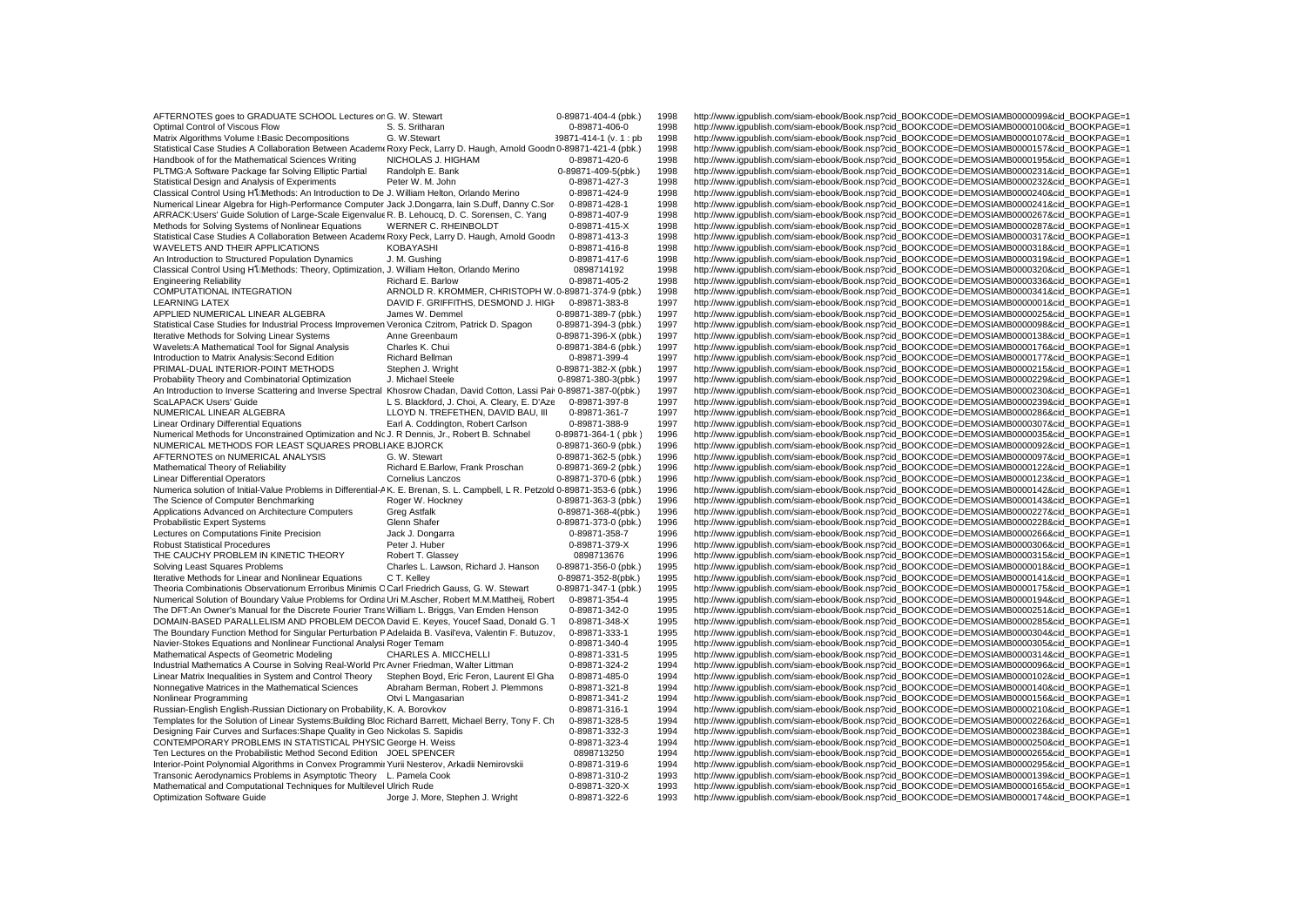| AFTERNOTES goes to GRADUATE SCHOOL Lectures or G. W. Stewart                                                                 |                                                      | 0-89871-404-4 (pbk.)   | 1998 | http://www.igpublish.com/siam-ebook/Book.nsp?cid_BOOKCODE=DEMOSIAMB0000099&cid_BOOKPAGE=1 |
|------------------------------------------------------------------------------------------------------------------------------|------------------------------------------------------|------------------------|------|-------------------------------------------------------------------------------------------|
| Optimal Control of Viscous Flow                                                                                              |                                                      | 0-89871-406-0          | 1998 | http://www.iqpublish.com/siam-ebook/Book.nsp?cid_BOOKCODE=DEMOSIAMB0000100&cid_BOOKPAGE=1 |
|                                                                                                                              | S. S. Sritharan                                      |                        |      |                                                                                           |
| Matrix Algorithms Volume I: Basic Decompositions                                                                             | G. W.Stewart                                         | 39871-414-1 (v. 1 : pb | 1998 | http://www.iqpublish.com/siam-ebook/Book.nsp?cid_BOOKCODE=DEMOSIAMB0000107&cid_BOOKPAGE=1 |
| Statistical Case Studies A Collaboration Between Academ Roxy Peck, Larry D. Haugh, Arnold Goodn 0-89871-421-4 (pbk.)         |                                                      |                        | 1998 | http://www.iqpublish.com/siam-ebook/Book.nsp?cid_BOOKCODE=DEMOSIAMB0000157&cid_BOOKPAGE=1 |
| Handbook of for the Mathematical Sciences Writing                                                                            | NICHOLAS J. HIGHAM                                   | 0-89871-420-6          | 1998 | http://www.iqpublish.com/siam-ebook/Book.nsp?cid_BOOKCODE=DEMOSIAMB0000195&cid_BOOKPAGE=1 |
| PLTMG:A Software Package far Solving Elliptic Partial                                                                        | Randolph E. Bank                                     | 0-89871-409-5(pbk.)    | 1998 | http://www.iqpublish.com/siam-ebook/Book.nsp?cid_BOOKCODE=DEMOSIAMB0000231&cid_BOOKPAGE=1 |
| Statistical Design and Analysis of Experiments                                                                               | Peter W. M. John                                     | 0-89871-427-3          | 1998 | http://www.iqpublish.com/siam-ebook/Book.nsp?cid_BOOKCODE=DEMOSIAMB0000232&cid_BOOKPAGE=1 |
| Classical Control Using H <sub>1</sub> Methods: An Introduction to De J. William Helton, Orlando Merino                      |                                                      | 0-89871-424-9          | 1998 | http://www.iqpublish.com/siam-ebook/Book.nsp?cid_BOOKCODE=DEMOSIAMB0000240&cid_BOOKPAGE=1 |
| Numerical Linear Algebra for High-Performance Computer Jack J.Dongarra, lain S.Duff, Danny C.Sor                             |                                                      | 0-89871-428-1          | 1998 | http://www.igpublish.com/siam-ebook/Book.nsp?cid_BOOKCODE=DEMOSIAMB0000241&cid_BOOKPAGE=1 |
| ARRACK:Users' Guide Solution of Large-Scale Eigenvalue R. B. Lehoucq, D. C. Sorensen, C. Yang                                |                                                      | 0-89871-407-9          | 1998 | http://www.igpublish.com/siam-ebook/Book.nsp?cid_BOOKCODE=DEMOSIAMB0000267&cid_BOOKPAGE=1 |
| Methods for Solving Systems of Nonlinear Equations                                                                           | WERNER C. RHEINBOLDT                                 | 0-89871-415-X          | 1998 | http://www.igpublish.com/siam-ebook/Book.nsp?cid_BOOKCODE=DEMOSIAMB0000287&cid_BOOKPAGE=1 |
| Statistical Case Studies A Collaboration Between Academ Roxy Peck, Larry D. Haugh, Arnold Goodn                              |                                                      | 0-89871-413-3          | 1998 | http://www.iqpublish.com/siam-ebook/Book.nsp?cid_BOOKCODE=DEMOSIAMB0000317&cid_BOOKPAGE=1 |
| WAVELETS AND THEIR APPLICATIONS                                                                                              | KOBAYASHI                                            | 0-89871-416-8          | 1998 | http://www.iqpublish.com/siam-ebook/Book.nsp?cid_BOOKCODE=DEMOSIAMB0000318&cid_BOOKPAGE=1 |
| An Introduction to Structured Population Dynamics                                                                            | J. M. Gushing                                        | 0-89871-417-6          | 1998 | http://www.iqpublish.com/siam-ebook/Book.nsp?cid_BOOKCODE=DEMOSIAMB0000319&cid_BOOKPAGE=1 |
| Classical Control Using H1[Methods: Theory, Optimization, J. William Helton, Orlando Merino                                  |                                                      | 0898714192             | 1998 | http://www.iqpublish.com/siam-ebook/Book.nsp?cid_BOOKCODE=DEMOSIAMB0000320&cid_BOOKPAGE=1 |
|                                                                                                                              |                                                      |                        |      |                                                                                           |
| <b>Engineering Reliability</b>                                                                                               | Richard E. Barlow                                    | 0-89871-405-2          | 1998 | http://www.igpublish.com/siam-ebook/Book.nsp?cid_BOOKCODE=DEMOSIAMB0000336&cid_BOOKPAGE=1 |
| COMPUTATIONAL INTEGRATION                                                                                                    | ARNOLD R. KROMMER, CHRISTOPH W. 0-89871-374-9 (pbk.) |                        | 1998 | http://www.iqpublish.com/siam-ebook/Book.nsp?cid_BOOKCODE=DEMOSIAMB0000341&cid_BOOKPAGE=1 |
| <b>LEARNING LATEX</b>                                                                                                        | DAVID F. GRIFFITHS, DESMOND J. HIGH                  | 0-89871-383-8          | 1997 | http://www.igpublish.com/siam-ebook/Book.nsp?cid_BOOKCODE=DEMOSIAMB0000001&cid_BOOKPAGE=1 |
| APPLIED NUMERICAL LINEAR ALGEBRA                                                                                             | James W. Demmel                                      | 0-89871-389-7 (pbk.)   | 1997 | http://www.iqpublish.com/siam-ebook/Book.nsp?cid_BOOKCODE=DEMOSIAMB0000025&cid_BOOKPAGE=1 |
| Statistical Case Studies for Industrial Process Improvemen Veronica Czitrom, Patrick D. Spagon                               |                                                      | 0-89871-394-3 (pbk.)   | 1997 | http://www.iqpublish.com/siam-ebook/Book.nsp?cid_BOOKCODE=DEMOSIAMB0000098&cid_BOOKPAGE=1 |
| Iterative Methods for Solving Linear Systems                                                                                 | Anne Greenbaum                                       | 0-89871-396-X (pbk.)   | 1997 | http://www.igpublish.com/siam-ebook/Book.nsp?cid_BOOKCODE=DEMOSIAMB0000138&cid_BOOKPAGE=1 |
| Wavelets: A Mathematical Tool for Signal Analysis                                                                            | Charles K. Chui                                      | 0-89871-384-6 (pbk.)   | 1997 | http://www.igpublish.com/siam-ebook/Book.nsp?cid_BOOKCODE=DEMOSIAMB0000176&cid_BOOKPAGE=1 |
| Introduction to Matrix Analysis: Second Edition                                                                              | Richard Bellman                                      | 0-89871-399-4          | 1997 | http://www.iqpublish.com/siam-ebook/Book.nsp?cid_BOOKCODE=DEMOSIAMB0000177&cid_BOOKPAGE=1 |
| PRIMAL-DUAL INTERIOR-POINT METHODS                                                                                           | Stephen J. Wright                                    | 0-89871-382-X (pbk.)   | 1997 | http://www.iqpublish.com/siam-ebook/Book.nsp?cid_BOOKCODE=DEMOSIAMB0000215&cid_BOOKPAGE=1 |
| Probability Theory and Combinatorial Optimization                                                                            | J. Michael Steele                                    | 0-89871-380-3(pbk.)    | 1997 | http://www.igpublish.com/siam-ebook/Book.nsp?cid_BOOKCODE=DEMOSIAMB0000229&cid_BOOKPAGE=1 |
| An Introduction to Inverse Scattering and Inverse Spectral Khosrow Chadan, David Cotton, Lassi Pai 0-89871-387-0(pbk.)       |                                                      |                        | 1997 | http://www.iqpublish.com/siam-ebook/Book.nsp?cid_BOOKCODE=DEMOSIAMB0000230&cid_BOOKPAGE=1 |
| ScaLAPACK Users' Guide                                                                                                       | L S. Blackford, J. Choi, A. Cleary, E. D'Aze         | 0-89871-397-8          | 1997 | http://www.iqpublish.com/siam-ebook/Book.nsp?cid_BOOKCODE=DEMOSIAMB0000239&cid_BOOKPAGE=1 |
| NUMERICAL LINEAR ALGEBRA                                                                                                     | LLOYD N. TREFETHEN, DAVID BAU, III                   | 0-89871-361-7          | 1997 | http://www.iqpublish.com/siam-ebook/Book.nsp?cid_BOOKCODE=DEMOSIAMB0000286&cid_BOOKPAGE=1 |
| <b>Linear Ordinary Differential Equations</b>                                                                                | Earl A. Coddington, Robert Carlson                   | 0-89871-388-9          | 1997 | http://www.iqpublish.com/siam-ebook/Book.nsp?cid_BOOKCODE=DEMOSIAMB0000307&cid_BOOKPAGE=1 |
| Numerical Methods for Unconstrained Optimization and Nc J. R Dennis, Jr., Robert B. Schnabel                                 |                                                      | 0-89871-364-1 (pbk)    | 1996 | http://www.iqpublish.com/siam-ebook/Book.nsp?cid_BOOKCODE=DEMOSIAMB0000035&cid_BOOKPAGE=1 |
| NUMERICAL METHODS FOR LEAST SQUARES PROBLIAKE BJORCK                                                                         |                                                      | 0-89871-360-9 (pbk.)   | 1996 | http://www.iqpublish.com/siam-ebook/Book.nsp?cid_BOOKCODE=DEMOSIAMB0000092&cid_BOOKPAGE=1 |
| AFTERNOTES on NUMERICAL ANALYSIS                                                                                             | G. W. Stewart                                        | 0-89871-362-5 (pbk.)   | 1996 | http://www.iqpublish.com/siam-ebook/Book.nsp?cid_BOOKCODE=DEMOSIAMB0000097&cid_BOOKPAGE=1 |
|                                                                                                                              | Richard E.Barlow, Frank Proschan                     |                        |      |                                                                                           |
| Mathematical Theory of Reliability                                                                                           |                                                      | 0-89871-369-2 (pbk.)   | 1996 | http://www.igpublish.com/siam-ebook/Book.nsp?cid_BOOKCODE=DEMOSIAMB0000122&cid_BOOKPAGE=1 |
| <b>Linear Differential Operators</b>                                                                                         | <b>Cornelius Lanczos</b>                             | 0-89871-370-6 (pbk.)   | 1996 | http://www.iqpublish.com/siam-ebook/Book.nsp?cid_BOOKCODE=DEMOSIAMB0000123&cid_BOOKPAGE=1 |
| Numerica solution of Initial-Value Problems in Differential-AK. E. Brenan, S. L. Campbell, L R. Petzold 0-89871-353-6 (pbk.) |                                                      |                        | 1996 | http://www.igpublish.com/siam-ebook/Book.nsp?cid_BOOKCODE=DEMOSIAMB0000142&cid_BOOKPAGE=1 |
| The Science of Computer Benchmarking                                                                                         | Roger W. Hockney                                     | 0-89871-363-3 (pbk.)   | 1996 | http://www.igpublish.com/siam-ebook/Book.nsp?cid_BOOKCODE=DEMOSIAMB0000143&cid_BOOKPAGE=1 |
| Applications Advanced on Architecture Computers                                                                              | <b>Greg Astfalk</b>                                  | 0-89871-368-4(pbk.)    | 1996 | http://www.igpublish.com/siam-ebook/Book.nsp?cid_BOOKCODE=DEMOSIAMB0000227&cid_BOOKPAGE=1 |
| <b>Probabilistic Expert Systems</b>                                                                                          | Glenn Shafer                                         | 0-89871-373-0 (pbk.)   | 1996 | http://www.iqpublish.com/siam-ebook/Book.nsp?cid_BOOKCODE=DEMOSIAMB0000228&cid_BOOKPAGE=1 |
| Lectures on Computations Finite Precision                                                                                    | Jack J. Dongarra                                     | 0-89871-358-7          | 1996 | http://www.igpublish.com/siam-ebook/Book.nsp?cid_BOOKCODE=DEMOSIAMB0000266&cid_BOOKPAGE=1 |
| <b>Robust Statistical Procedures</b>                                                                                         | Peter J. Huber                                       | 0-89871-379-X          | 1996 | http://www.iqpublish.com/siam-ebook/Book.nsp?cid_BOOKCODE=DEMOSIAMB0000306&cid_BOOKPAGE=1 |
| THE CAUCHY PROBLEM IN KINETIC THEORY                                                                                         | Robert T. Glassey                                    | 0898713676             | 1996 | http://www.iqpublish.com/siam-ebook/Book.nsp?cid_BOOKCODE=DEMOSIAMB0000315&cid_BOOKPAGE=1 |
| Solving Least Squares Problems                                                                                               | Charles L. Lawson, Richard J. Hanson                 | 0-89871-356-0 (pbk.)   | 1995 | http://www.iqpublish.com/siam-ebook/Book.nsp?cid_BOOKCODE=DEMOSIAMB0000018&cid_BOOKPAGE=1 |
| Iterative Methods for Linear and Nonlinear Equations                                                                         | C T. Kellev                                          | 0-89871-352-8(pbk.)    | 1995 | http://www.iqpublish.com/siam-ebook/Book.nsp?cid_BOOKCODE=DEMOSIAMB0000141&cid_BOOKPAGE=1 |
| Theoria Combinationis Observationum Erroribus Minimis C Carl Friedrich Gauss, G. W. Stewart                                  |                                                      | 0-89871-347-1 (pbk.)   | 1995 | http://www.igpublish.com/siam-ebook/Book.nsp?cid_BOOKCODE=DEMOSIAMB0000175&cid_BOOKPAGE=1 |
| Numerical Solution of Boundary Value Problems for Ordina Uri M.Ascher, Robert M.M.Mattheij, Robert                           |                                                      | 0-89871-354-4          | 1995 | http://www.igpublish.com/siam-ebook/Book.nsp?cid_BOOKCODE=DEMOSIAMB0000194&cid_BOOKPAGE=1 |
| The DFT:An Owner's Manual for the Discrete Fourier Trans William L. Briggs, Van Emden Henson                                 |                                                      | 0-89871-342-0          | 1995 | http://www.iqpublish.com/siam-ebook/Book.nsp?cid_BOOKCODE=DEMOSIAMB0000251&cid_BOOKPAGE=1 |
| DOMAIN-BASED PARALLELISM AND PROBLEM DECON David E. Keyes, Youcef Saad, Donald G. 1                                          |                                                      | 0-89871-348-X          | 1995 | http://www.iqpublish.com/siam-ebook/Book.nsp?cid_BOOKCODE=DEMOSIAMB0000285&cid_BOOKPAGE=1 |
| The Boundary Function Method for Singular Perturbation P Adelaida B. Vasil'eva, Valentin F. Butuzov,                         |                                                      | 0-89871-333-1          | 1995 | http://www.igpublish.com/siam-ebook/Book.nsp?cid_BOOKCODE=DEMOSIAMB0000304&cid_BOOKPAGE=1 |
| Navier-Stokes Equations and Nonlinear Functional Analysi Roger Temam                                                         |                                                      | 0-89871-340-4          | 1995 | http://www.igpublish.com/siam-ebook/Book.nsp?cid_BOOKCODE=DEMOSIAMB0000305&cid_BOOKPAGE=1 |
| Mathematical Aspects of Geometric Modeling                                                                                   | CHARLES A. MICCHELLI                                 | 0-89871-331-5          | 1995 | http://www.igpublish.com/siam-ebook/Book.nsp?cid_BOOKCODE=DEMOSIAMB0000314&cid_BOOKPAGE=1 |
| Industrial Mathematics A Course in Solving Real-World Pro Avner Friedman, Walter Littman                                     |                                                      | 0-89871-324-2          | 1994 | http://www.igpublish.com/siam-ebook/Book.nsp?cid_BOOKCODE=DEMOSIAMB0000096&cid_BOOKPAGE=1 |
| Linear Matrix Inequalities in System and Control Theory                                                                      | Stephen Boyd, Eric Feron, Laurent El Gha             | 0-89871-485-0          | 1994 | http://www.iqpublish.com/siam-ebook/Book.nsp?cid_BOOKCODE=DEMOSIAMB0000102&cid_BOOKPAGE=1 |
| Nonnegative Matrices in the Mathematical Sciences                                                                            | Abraham Berman, Robert J. Plemmons                   | 0-89871-321-8          | 1994 | http://www.igpublish.com/siam-ebook/Book.nsp?cid_BOOKCODE=DEMOSIAMB0000140&cid_BOOKPAGE=1 |
| Nonlinear Programming                                                                                                        | Otvi L Mangasarian                                   | 0-89871-341-2          | 1994 | http://www.iqpublish.com/siam-ebook/Book.nsp?cid_BOOKCODE=DEMOSIAMB0000156&cid_BOOKPAGE=1 |
| Russian-English English-Russian Dictionary on Probability, K. A. Borovkov                                                    |                                                      | 0-89871-316-1          | 1994 | http://www.iqpublish.com/siam-ebook/Book.nsp?cid_BOOKCODE=DEMOSIAMB0000210&cid_BOOKPAGE=1 |
| Templates for the Solution of Linear Systems: Building Bloc Richard Barrett, Michael Berry, Tony F. Ch                       |                                                      | 0-89871-328-5          | 1994 | http://www.iqpublish.com/siam-ebook/Book.nsp?cid_BOOKCODE=DEMOSIAMB0000226&cid_BOOKPAGE=1 |
|                                                                                                                              |                                                      |                        |      |                                                                                           |
| Designing Fair Curves and Surfaces: Shape Quality in Geo Nickolas S. Sapidis                                                 |                                                      | 0-89871-332-3          | 1994 | http://www.igpublish.com/siam-ebook/Book.nsp?cid_BOOKCODE=DEMOSIAMB0000238&cid_BOOKPAGE=1 |
| CONTEMPORARY PROBLEMS IN STATISTICAL PHYSIC George H. Weiss                                                                  |                                                      | 0-89871-323-4          | 1994 | http://www.iqpublish.com/siam-ebook/Book.nsp?cid_BOOKCODE=DEMOSIAMB0000250&cid_BOOKPAGE=1 |
| Ten Lectures on the Probabilistic Method Second Edition JOEL SPENCER                                                         |                                                      | 0898713250             | 1994 | http://www.iqpublish.com/siam-ebook/Book.nsp?cid_BOOKCODE=DEMOSIAMB0000265&cid_BOOKPAGE=1 |
| Interior-Point Polynomial Algorithms in Convex Programmir Yurii Nesterov, Arkadii Nemirovskii                                |                                                      | 0-89871-319-6          | 1994 | http://www.igpublish.com/siam-ebook/Book.nsp?cid_BOOKCODE=DEMOSIAMB0000295&cid_BOOKPAGE=1 |
| Transonic Aerodynamics Problems in Asymptotic Theory L. Pamela Cook                                                          |                                                      | 0-89871-310-2          | 1993 | http://www.igpublish.com/siam-ebook/Book.nsp?cid_BOOKCODE=DEMOSIAMB0000139&cid_BOOKPAGE=1 |
| Mathematical and Computational Techniques for Multilevel Ulrich Rude                                                         |                                                      | 0-89871-320-X          | 1993 | http://www.igpublish.com/siam-ebook/Book.nsp?cid_BOOKCODE=DEMOSIAMB0000165&cid_BOOKPAGE=1 |
| Optimization Software Guide                                                                                                  | Jorge J. More, Stephen J. Wright                     | 0-89871-322-6          | 1993 | http://www.igpublish.com/siam-ebook/Book.nsp?cid_BOOKCODE=DEMOSIAMB0000174&cid BOOKPAGE=1 |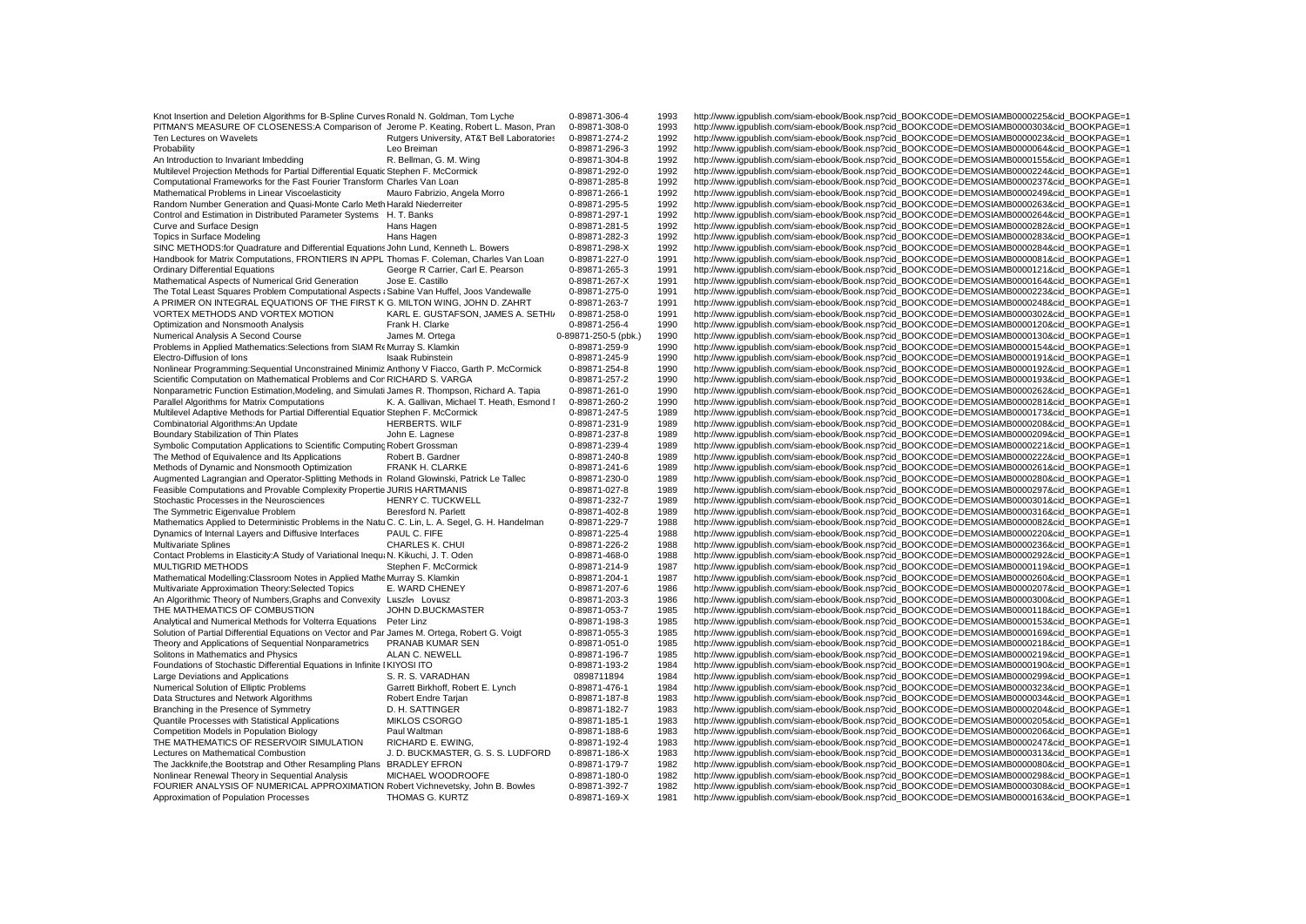| Knot Insertion and Deletion Algorithms for B-Spline Curves Ronald N. Goldman, Tom Lyche                                                                                   |                                            | 0-89871-306-4        | 1993 | http://www.iqpublish.com/siam-ebook/Book.nsp?cid_BOOKCODE=DEMOSIAMB0000225&cid_BOOKPAGE=1                                                                                              |
|---------------------------------------------------------------------------------------------------------------------------------------------------------------------------|--------------------------------------------|----------------------|------|----------------------------------------------------------------------------------------------------------------------------------------------------------------------------------------|
| PITMAN'S MEASURE OF CLOSENESS:A Comparison of Jerome P. Keating, Robert L. Mason, Pran                                                                                    |                                            | 0-89871-308-0        | 1993 | http://www.iqpublish.com/siam-ebook/Book.nsp?cid_BOOKCODE=DEMOSIAMB0000303&cid_BOOKPAGE=1                                                                                              |
| Ten Lectures on Wavelets                                                                                                                                                  | Rutgers University, AT&T Bell Laboratories | 0-89871-274-2        | 1992 | http://www.igpublish.com/siam-ebook/Book.nsp?cid_BOOKCODE=DEMOSIAMB0000023&cid_BOOKPAGE=1                                                                                              |
| Probability                                                                                                                                                               | Leo Breiman                                | 0-89871-296-3        | 1992 | http://www.iqpublish.com/siam-ebook/Book.nsp?cid_BOOKCODE=DEMOSIAMB0000064&cid_BOOKPAGE=1                                                                                              |
| An Introduction to Invariant Imbedding                                                                                                                                    | R. Bellman, G. M. Wing                     | 0-89871-304-8        | 1992 | http://www.iqpublish.com/siam-ebook/Book.nsp?cid_BOOKCODE=DEMOSIAMB0000155&cid_BOOKPAGE=1                                                                                              |
|                                                                                                                                                                           |                                            |                      |      |                                                                                                                                                                                        |
| Multilevel Projection Methods for Partial Differential Equatic Stephen F. McCormick                                                                                       |                                            | 0-89871-292-0        | 1992 | http://www.iqpublish.com/siam-ebook/Book.nsp?cid_BOOKCODE=DEMOSIAMB0000224&cid_BOOKPAGE=1                                                                                              |
| Computational Frameworks for the Fast Fourier Transform Charles Van Loan                                                                                                  |                                            | 0-89871-285-8        | 1992 | http://www.iqpublish.com/siam-ebook/Book.nsp?cid_BOOKCODE=DEMOSIAMB0000237&cid_BOOKPAGE=1                                                                                              |
| Mathematical Problems in Linear Viscoelasticity                                                                                                                           | Mauro Fabrizio, Angela Morro               | 0-89871-266-1        | 1992 | http://www.igpublish.com/siam-ebook/Book.nsp?cid_BOOKCODE=DEMOSIAMB0000249&cid_BOOKPAGE=1                                                                                              |
| Random Number Generation and Quasi-Monte Carlo Meth Harald Niederreiter                                                                                                   |                                            | 0-89871-295-5        | 1992 | http://www.igpublish.com/siam-ebook/Book.nsp?cid_BOOKCODE=DEMOSIAMB0000263&cid_BOOKPAGE=1                                                                                              |
| Control and Estimation in Distributed Parameter Systems H. T. Banks                                                                                                       |                                            | 0-89871-297-1        | 1992 | http://www.igpublish.com/siam-ebook/Book.nsp?cid_BOOKCODE=DEMOSIAMB0000264&cid_BOOKPAGE=1                                                                                              |
| Curve and Surface Design                                                                                                                                                  | Hans Hagen                                 | 0-89871-281-5        | 1992 | http://www.iqpublish.com/siam-ebook/Book.nsp?cid_BOOKCODE=DEMOSIAMB0000282&cid_BOOKPAGE=                                                                                               |
| Topics in Surface Modeling                                                                                                                                                | Hans Hagen                                 | 0-89871-282-3        | 1992 | http://www.igpublish.com/siam-ebook/Book.nsp?cid_BOOKCODE=DEMOSIAMB0000283&cid_BOOKPAGE=1                                                                                              |
| SINC METHODS: for Quadrature and Differential Equations John Lund, Kenneth L. Bowers                                                                                      |                                            | 0-89871-298-X        | 1992 | http://www.iqpublish.com/siam-ebook/Book.nsp?cid_BOOKCODE=DEMOSIAMB0000284&cid_BOOKPAGE=1                                                                                              |
| Handbook for Matrix Computations, FRONTIERS IN APPL Thomas F. Coleman, Charles Van Loan                                                                                   |                                            | 0-89871-227-0        | 1991 | http://www.igpublish.com/siam-ebook/Book.nsp?cid_BOOKCODE=DEMOSIAMB0000081&cid_BOOKPAGE=1                                                                                              |
| <b>Ordinary Differential Equations</b>                                                                                                                                    | George R Carrier, Carl E. Pearson          | 0-89871-265-3        | 1991 | http://www.igpublish.com/siam-ebook/Book.nsp?cid_BOOKCODE=DEMOSIAMB0000121&cid_BOOKPAGE=1                                                                                              |
| Mathematical Aspects of Numerical Grid Generation                                                                                                                         | Jose E. Castillo                           | 0-89871-267-X        | 1991 | http://www.iqpublish.com/siam-ebook/Book.nsp?cid_BOOKCODE=DEMOSIAMB0000164&cid_BOOKPAGE='                                                                                              |
| The Total Least Squares Problem Computational Aspects : Sabine Van Huffel, Joos Vandewalle                                                                                |                                            | 0-89871-275-0        | 1991 | http://www.igpublish.com/siam-ebook/Book.nsp?cid_BOOKCODE=DEMOSIAMB0000223&cid_BOOKPAGE=1                                                                                              |
| A PRIMER ON INTEGRAL EQUATIONS OF THE FIRST K G. MILTON WING, JOHN D. ZAHRT                                                                                               |                                            | 0-89871-263-7        | 1991 | http://www.iqpublish.com/siam-ebook/Book.nsp?cid_BOOKCODE=DEMOSIAMB0000248&cid_BOOKPAGE=1                                                                                              |
| VORTEX METHODS AND VORTEX MOTION                                                                                                                                          | KARL E. GUSTAFSON, JAMES A. SETHI/         | 0-89871-258-0        | 1991 | http://www.iqpublish.com/siam-ebook/Book.nsp?cid_BOOKCODE=DEMOSIAMB0000302&cid_BOOKPAGE=1                                                                                              |
| Optimization and Nonsmooth Analysis                                                                                                                                       | Frank H. Clarke                            | 0-89871-256-4        | 1990 | http://www.igpublish.com/siam-ebook/Book.nsp?cid_BOOKCODE=DEMOSIAMB0000120&cid_BOOKPAGE=1                                                                                              |
| Numerical Analysis A Second Course                                                                                                                                        | James M. Ortega                            | 0-89871-250-5 (pbk.) | 1990 | http://www.igpublish.com/siam-ebook/Book.nsp?cid_BOOKCODE=DEMOSIAMB0000130&cid_BOOKPAGE=1                                                                                              |
| Problems in Applied Mathematics: Selections from SIAM Re Murray S. Klamkin                                                                                                |                                            | 0-89871-259-9        | 1990 | http://www.igpublish.com/siam-ebook/Book.nsp?cid_BOOKCODE=DEMOSIAMB0000154&cid_BOOKPAGE=1                                                                                              |
| Electro-Diffusion of lons                                                                                                                                                 | <b>Isaak Rubinstein</b>                    | 0-89871-245-9        | 1990 | http://www.iqpublish.com/siam-ebook/Book.nsp?cid_BOOKCODE=DEMOSIAMB0000191&cid_BOOKPAGE=1                                                                                              |
| Nonlinear Programming: Sequential Unconstrained Minimiz Anthony V Fiacco, Garth P. McCormick                                                                              |                                            | 0-89871-254-8        | 1990 | http://www.igpublish.com/siam-ebook/Book.nsp?cid_BOOKCODE=DEMOSIAMB0000192&cid_BOOKPAGE=1                                                                                              |
|                                                                                                                                                                           |                                            | 0-89871-257-2        | 1990 |                                                                                                                                                                                        |
| Scientific Computation on Mathematical Problems and Cor RICHARD S. VARGA<br>Nonparametric Function Estimation, Modeling, and Simulati James R. Thompson, Richard A. Tapia |                                            | 0-89871-261-0        | 1990 | http://www.igpublish.com/siam-ebook/Book.nsp?cid_BOOKCODE=DEMOSIAMB0000193&cid_BOOKPAGE=1<br>http://www.iqpublish.com/siam-ebook/Book.nsp?cid_BOOKCODE=DEMOSIAMB0000262&cid_BOOKPAGE=1 |
|                                                                                                                                                                           |                                            |                      | 1990 |                                                                                                                                                                                        |
| Parallel Algorithms for Matrix Computations                                                                                                                               | K. A. Gallivan, Michael T. Heath, Esmond I | 0-89871-260-2        |      | http://www.iqpublish.com/siam-ebook/Book.nsp?cid_BOOKCODE=DEMOSIAMB0000281&cid_BOOKPAGE='                                                                                              |
| Multilevel Adaptive Methods for Partial Differential Equatior Stephen F. McCormick                                                                                        |                                            | 0-89871-247-5        | 1989 | http://www.iqpublish.com/siam-ebook/Book.nsp?cid_BOOKCODE=DEMOSIAMB0000173&cid_BOOKPAGE=1                                                                                              |
| Combinatorial Algorithms: An Update                                                                                                                                       | <b>HERBERTS, WILF</b>                      | 0-89871-231-9        | 1989 | http://www.iqpublish.com/siam-ebook/Book.nsp?cid_BOOKCODE=DEMOSIAMB0000208&cid_BOOKPAGE=1                                                                                              |
| Boundary Stabilization of Thin Plates                                                                                                                                     | John E. Lagnese                            | 0-89871-237-8        | 1989 | http://www.iqpublish.com/siam-ebook/Book.nsp?cid_BOOKCODE=DEMOSIAMB0000209&cid_BOOKPAGE=1                                                                                              |
| Symbolic Computation Applications to Scientific Computinc Robert Grossman                                                                                                 |                                            | 0-89871-239-4        | 1989 | http://www.iqpublish.com/siam-ebook/Book.nsp?cid_BOOKCODE=DEMOSIAMB0000221&cid_BOOKPAGE=1                                                                                              |
| The Method of Equivalence and Its Applications                                                                                                                            | Robert B. Gardner                          | 0-89871-240-8        | 1989 | http://www.iqpublish.com/siam-ebook/Book.nsp?cid_BOOKCODE=DEMOSIAMB0000222&cid_BOOKPAGE='                                                                                              |
| Methods of Dynamic and Nonsmooth Optimization                                                                                                                             | FRANK H. CLARKE                            | 0-89871-241-6        | 1989 | http://www.igpublish.com/siam-ebook/Book.nsp?cid_BOOKCODE=DEMOSIAMB0000261&cid_BOOKPAGE=1                                                                                              |
| Augmented Lagrangian and Operator-Splitting Methods in Roland Glowinski, Patrick Le Tallec                                                                                |                                            | 0-89871-230-0        | 1989 | http://www.iqpublish.com/siam-ebook/Book.nsp?cid_BOOKCODE=DEMOSIAMB0000280&cid_BOOKPAGE=1                                                                                              |
| Feasible Computations and Provable Complexity Propertie JURIS HARTMANIS                                                                                                   |                                            | 0-89871-027-8        | 1989 | http://www.igpublish.com/siam-ebook/Book.nsp?cid_BOOKCODE=DEMOSIAMB0000297&cid_BOOKPAGE=1                                                                                              |
| Stochastic Processes in the Neurosciences                                                                                                                                 | HENRY C. TUCKWELL                          | 0-89871-232-7        | 1989 | http://www.igpublish.com/siam-ebook/Book.nsp?cid_BOOKCODE=DEMOSIAMB0000301&cid_BOOKPAGE=1                                                                                              |
| The Symmetric Eigenvalue Problem                                                                                                                                          | Beresford N. Parlett                       | 0-89871-402-8        | 1989 | http://www.igpublish.com/siam-ebook/Book.nsp?cid_BOOKCODE=DEMOSIAMB0000316&cid_BOOKPAGE=1                                                                                              |
| Mathematics Applied to Deterministic Problems in the Natu C. C. Lin, L. A. Segel, G. H. Handelman                                                                         |                                            | 0-89871-229-7        | 1988 | http://www.igpublish.com/siam-ebook/Book.nsp?cid_BOOKCODE=DEMOSIAMB0000082&cid_BOOKPAGE=1                                                                                              |
| Dynamics of Internal Layers and Diffusive Interfaces                                                                                                                      | PAUL C. FIFE                               | 0-89871-225-4        | 1988 | http://www.iqpublish.com/siam-ebook/Book.nsp?cid_BOOKCODE=DEMOSIAMB0000220&cid_BOOKPAGE='                                                                                              |
| <b>Multivariate Splines</b>                                                                                                                                               | CHARLES K. CHUI                            | 0-89871-226-2        | 1988 | http://www.iqpublish.com/siam-ebook/Book.nsp?cid_BOOKCODE=DEMOSIAMB0000236&cid_BOOKPAGE=1                                                                                              |
| Contact Problems in Elasticity: A Study of Variational Inequa N. Kikuchi, J. T. Oden                                                                                      |                                            | 0-89871-468-0        | 1988 | http://www.iqpublish.com/siam-ebook/Book.nsp?cid_BOOKCODE=DEMOSIAMB0000292&cid_BOOKPAGE=1                                                                                              |
| MULTIGRID METHODS                                                                                                                                                         | Stephen F. McCormick                       | 0-89871-214-9        | 1987 | http://www.iqpublish.com/siam-ebook/Book.nsp?cid_BOOKCODE=DEMOSIAMB0000119&cid_BOOKPAGE=1                                                                                              |
| Mathematical Modelling:Classroom Notes in Applied Mathe Murray S. Klamkin                                                                                                 |                                            | 0-89871-204-1        | 1987 | http://www.iqpublish.com/siam-ebook/Book.nsp?cid_BOOKCODE=DEMOSIAMB0000260&cid_BOOKPAGE=1                                                                                              |
| Multivariate Approximation Theory:Selected Topics                                                                                                                         | E. WARD CHENEY                             | 0-89871-207-6        | 1986 | http://www.igpublish.com/siam-ebook/Book.nsp?cid_BOOKCODE=DEMOSIAMB0000207&cid_BOOKPAGE=1                                                                                              |
| An Algorithmic Theory of Numbers, Graphs and Convexity Luszle Lovusz                                                                                                      |                                            | 0-89871-203-3        | 1986 | http://www.iqpublish.com/siam-ebook/Book.nsp?cid_BOOKCODE=DEMOSIAMB0000300&cid_BOOKPAGE=1                                                                                              |
| THE MATHEMATICS OF COMBUSTION                                                                                                                                             | JOHN D.BUCKMASTER                          | 0-89871-053-7        | 1985 | http://www.iqpublish.com/siam-ebook/Book.nsp?cid_BOOKCODE=DEMOSIAMB0000118&cid_BOOKPAGE=1                                                                                              |
| Analytical and Numerical Methods for Volterra Equations                                                                                                                   | Peter Linz                                 | 0-89871-198-3        | 1985 | http://www.igpublish.com/siam-ebook/Book.nsp?cid_BOOKCODE=DEMOSIAMB0000153&cid_BOOKPAGE=1                                                                                              |
| Solution of Partial Differential Equations on Vector and Par James M. Ortega, Robert G. Voigt                                                                             |                                            | 0-89871-055-3        | 1985 | http://www.igpublish.com/siam-ebook/Book.nsp?cid_BOOKCODE=DEMOSIAMB0000169&cid_BOOKPAGE=1                                                                                              |
| Theory and Applications of Sequential Nonparametrics                                                                                                                      | PRANAB KUMAR SEN                           | 0-89871-051-0        | 1985 | http://www.igpublish.com/siam-ebook/Book.nsp?cid_BOOKCODE=DEMOSIAMB0000218&cid_BOOKPAGE=1                                                                                              |
| Solitons in Mathematics and Physics                                                                                                                                       | ALAN C. NEWELL                             | 0-89871-196-7        | 1985 | http://www.iqpublish.com/siam-ebook/Book.nsp?cid_BOOKCODE=DEMOSIAMB0000219&cid_BOOKPAGE=1                                                                                              |
|                                                                                                                                                                           |                                            | 0-89871-193-2        | 1984 |                                                                                                                                                                                        |
| Foundations of Stochastic Differential Equations in Infinite I KIYOSI ITO                                                                                                 |                                            |                      |      | http://www.iqpublish.com/siam-ebook/Book.nsp?cid_BOOKCODE=DEMOSIAMB0000190&cid_BOOKPAGE=1                                                                                              |
| Large Deviations and Applications                                                                                                                                         | S. R. S. VARADHAN                          | 0898711894           | 1984 | http://www.iqpublish.com/siam-ebook/Book.nsp?cid_BOOKCODE=DEMOSIAMB0000299&cid_BOOKPAGE=1                                                                                              |
| Numerical Solution of Elliptic Problems                                                                                                                                   | Garrett Birkhoff, Robert E. Lynch          | 0-89871-476-1        | 1984 | http://www.iqpublish.com/siam-ebook/Book.nsp?cid_BOOKCODE=DEMOSIAMB0000323&cid_BOOKPAGE=1                                                                                              |
| Data Structures and Network Algorithms                                                                                                                                    | Robert Endre Tarjan                        | 0-89871-187-8        | 1983 | http://www.iqpublish.com/siam-ebook/Book.nsp?cid_BOOKCODE=DEMOSIAMB0000034&cid_BOOKPAGE=1                                                                                              |
| Branching in the Presence of Symmetry                                                                                                                                     | D. H. SATTINGER                            | 0-89871-182-7        | 1983 | http://www.iqpublish.com/siam-ebook/Book.nsp?cid_BOOKCODE=DEMOSIAMB0000204&cid_BOOKPAGE=1                                                                                              |
| Quantile Processes with Statistical Applications                                                                                                                          | MIKLOS CSORGO                              | 0-89871-185-1        | 1983 | http://www.igpublish.com/siam-ebook/Book.nsp?cid_BOOKCODE=DEMOSIAMB0000205&cid_BOOKPAGE=1                                                                                              |
| <b>Competition Models in Population Biology</b>                                                                                                                           | Paul Waltman                               | 0-89871-188-6        | 1983 | http://www.iqpublish.com/siam-ebook/Book.nsp?cid_BOOKCODE=DEMOSIAMB0000206&cid_BOOKPAGE=1                                                                                              |
| THE MATHEMATICS OF RESERVOIR SIMULATION                                                                                                                                   | RICHARD E. EWING,                          | 0-89871-192-4        | 1983 | http://www.iqpublish.com/siam-ebook/Book.nsp?cid_BOOKCODE=DEMOSIAMB0000247&cid_BOOKPAGE=1                                                                                              |
| Lectures on Mathematical Combustion                                                                                                                                       | J. D. BUCKMASTER, G. S. S. LUDFORD         | 0-89871-186-X        | 1983 | http://www.igpublish.com/siam-ebook/Book.nsp?cid_BOOKCODE=DEMOSIAMB0000313&cid_BOOKPAGE=1                                                                                              |
| The Jackknife, the Bootstrap and Other Resampling Plans BRADLEY EFRON                                                                                                     |                                            | 0-89871-179-7        | 1982 | http://www.igpublish.com/siam-ebook/Book.nsp?cid_BOOKCODE=DEMOSIAMB0000080&cid_BOOKPAGE=1                                                                                              |
| Nonlinear Renewal Theory in Sequential Analysis                                                                                                                           | MICHAEL WOODROOFE                          | 0-89871-180-0        | 1982 | http://www.iqpublish.com/siam-ebook/Book.nsp?cid_BOOKCODE=DEMOSIAMB0000298&cid_BOOKPAGE=1                                                                                              |
| FOURIER ANALYSIS OF NUMERICAL APPROXIMATION Robert Vichnevetsky, John B. Bowles                                                                                           |                                            | 0-89871-392-7        | 1982 | http://www.igpublish.com/siam-ebook/Book.nsp?cid_BOOKCODE=DEMOSIAMB0000308&cid_BOOKPAGE=1                                                                                              |
| Approximation of Population Processes                                                                                                                                     | THOMAS G. KURTZ                            | 0-89871-169-X        | 1981 | http://www.igpublish.com/siam-ebook/Book.nsp?cid_BOOKCODE=DEMOSIAMB0000163&cid_BOOKPAGE=1                                                                                              |